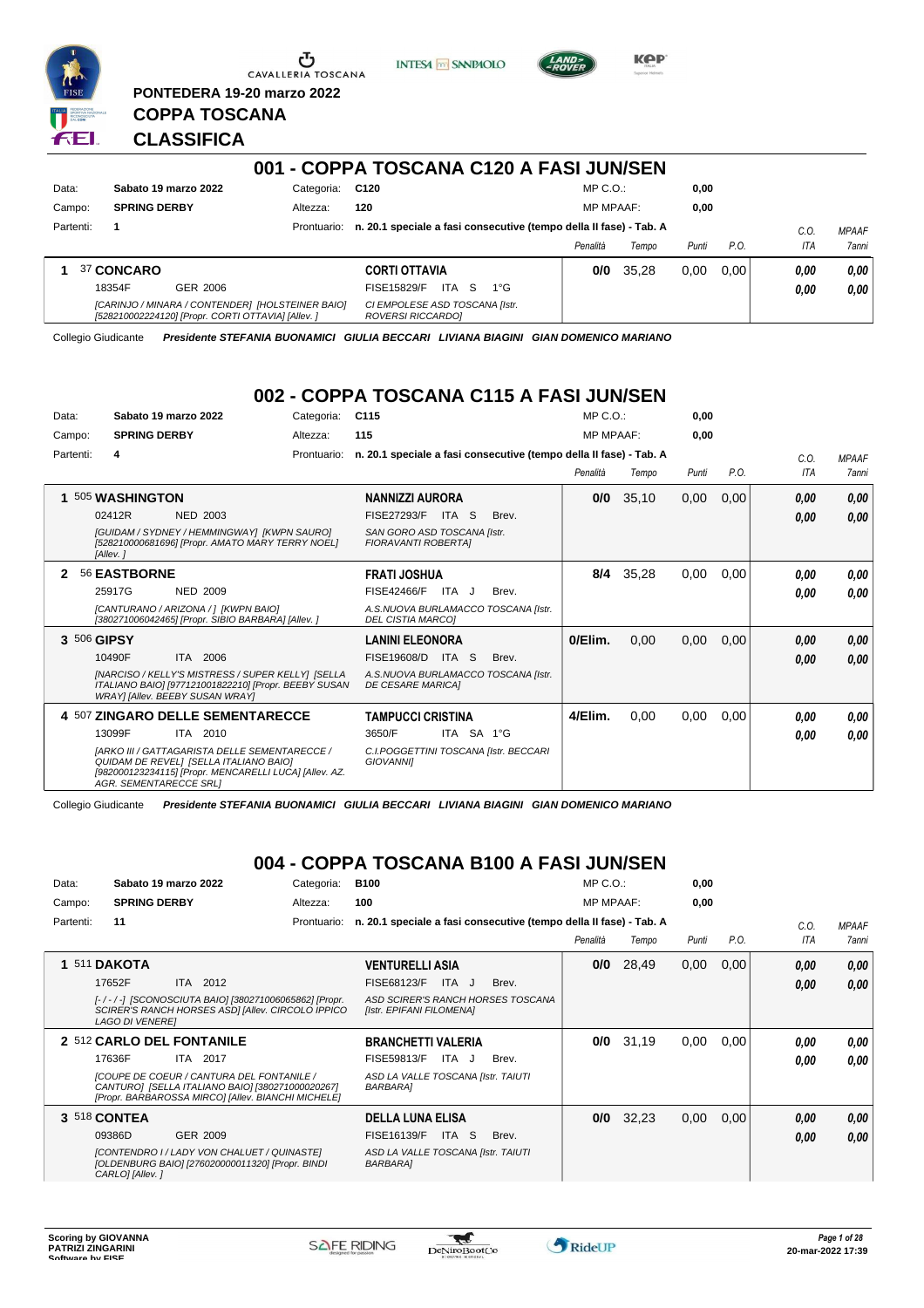



**KPP** 

### **PONTEDERA 19-20 marzo 2022 COPPA TOSCANA** 3 E I

**CLASSIFICA**

| 001 - COPPA TOSCANA C120 A FASI JUN/SEN |                     |                                                                                                        |             |                                                                    |                  |       |       |      |      |              |
|-----------------------------------------|---------------------|--------------------------------------------------------------------------------------------------------|-------------|--------------------------------------------------------------------|------------------|-------|-------|------|------|--------------|
| Data:                                   |                     | Sabato 19 marzo 2022                                                                                   | Categoria:  | C120                                                               | $MP C. O.$ :     |       | 0.00  |      |      |              |
| Campo:                                  | <b>SPRING DERBY</b> |                                                                                                        | Altezza:    | 120                                                                | <b>MP MPAAF:</b> |       | 0.00  |      |      |              |
| Partenti:                               |                     |                                                                                                        | Prontuario: | n. 20.1 speciale a fasi consecutive (tempo della II fase) - Tab. A |                  |       |       |      | C.0  | <b>MPAAF</b> |
|                                         |                     |                                                                                                        |             |                                                                    | Penalità         | Tempo | Punti | P.O. | ITA  | 7anni        |
|                                         | 37 CONCARO          |                                                                                                        |             | <b>CORTI OTTAVIA</b>                                               | 0/0              | 35.28 | 0.00  | 0.00 | 0.00 | 0,00         |
|                                         | 18354F              | GER 2006                                                                                               |             | ITA<br>`S<br>FISE15829/F<br>$1^{\circ}G$                           |                  |       |       |      | 0,00 | 0,00         |
|                                         |                     | [CARINJO / MINARA / CONTENDER] [HOLSTEINER BAIO]<br>[528210002224120] [Propr. CORTI OTTAVIA] [Allev. ] |             | CI EMPOLESE ASD TOSCANA [Istr.<br>ROVERSI RICCARDOI                |                  |       |       |      |      |              |

Collegio Giudicante *Presidente STEFANIA BUONAMICI GIULIA BECCARI LIVIANA BIAGINI GIAN DOMENICO MARIANO*

# **002 - COPPA TOSCANA C115 A FASI JUN/SEN**

| Data:<br>Campo: | Sabato 19 marzo 2022<br><b>SPRING DERBY</b>                                                                                                                                               | Categoria:<br>Altezza: | C <sub>115</sub><br>115                                            |            |       | MP C. O.<br><b>MP MPAAF:</b> |       | 0.00<br>0.00 |      |            |              |
|-----------------|-------------------------------------------------------------------------------------------------------------------------------------------------------------------------------------------|------------------------|--------------------------------------------------------------------|------------|-------|------------------------------|-------|--------------|------|------------|--------------|
| Partenti:       | 4                                                                                                                                                                                         | Prontuario:            | n. 20.1 speciale a fasi consecutive (tempo della II fase) - Tab. A |            |       |                              |       |              |      | C.O.       | <b>MPAAF</b> |
|                 |                                                                                                                                                                                           |                        |                                                                    |            |       | Penalità                     | Tempo | Punti        | P.O. | <b>ITA</b> | <b>7anni</b> |
| 1               | 505 WASHINGTON                                                                                                                                                                            |                        | <b>NANNIZZI AURORA</b>                                             |            |       | 0/0                          | 35,10 | 0,00         | 0,00 | 0,00       | 0,00         |
|                 | 02412R<br>NED 2003                                                                                                                                                                        |                        | <b>FISE27293/F</b>                                                 | ITA S      | Brev. |                              |       |              |      | 0,00       | 0,00         |
|                 | [GUIDAM / SYDNEY / HEMMINGWAY] [KWPN SAURO]<br>[528210000681696] [Propr. AMATO MARY TERRY NOEL]<br>[Allev.]                                                                               |                        | SAN GORO ASD TOSCANA [Istr.<br><b>FIORAVANTI ROBERTAI</b>          |            |       |                              |       |              |      |            |              |
| 2               | 56 EASTBORNE                                                                                                                                                                              |                        | <b>FRATI JOSHUA</b>                                                |            |       | 8/4                          | 35,28 | 0,00         | 0,00 | 0.00       | 0,00         |
|                 | 25917G<br><b>NED 2009</b>                                                                                                                                                                 |                        | FISE42466/F                                                        | ITA J      | Brev. |                              |       |              |      | 0.00       | 0.00         |
|                 | [CANTURANO / ARIZONA / 1 [KWPN BAIO]<br>[380271006042465] [Propr. SIBIO BARBARA] [Allev. ]                                                                                                |                        | A.S.NUOVA BURLAMACCO TOSCANA [Istr.<br><b>DEL CISTIA MARCOI</b>    |            |       |                              |       |              |      |            |              |
|                 | 3 506 GIPSY                                                                                                                                                                               |                        | <b>LANINI ELEONORA</b>                                             |            |       | 0/Elim.                      | 0,00  | 0,00         | 0,00 | 0,00       | 0,00         |
|                 | ITA 2006<br>10490F                                                                                                                                                                        |                        | FISE19608/D                                                        | ITA S      | Brev. |                              |       |              |      | 0,00       | 0,00         |
|                 | [NARCISO / KELLY'S MISTRESS / SUPER KELLY] [SELLA<br>ITALIANO BAIO] [977121001822210] [Propr. BEEBY SUSAN<br><b>WRAY] [Allev. BEEBY SUSAN WRAY]</b>                                       |                        | A.S.NUOVA BURLAMACCO TOSCANA [Istr.<br><b>DE CESARE MARICAI</b>    |            |       |                              |       |              |      |            |              |
|                 | 4 507 ZINGARO DELLE SEMENTARECCE                                                                                                                                                          |                        | TAMPUCCI CRISTINA                                                  |            |       | 4/Elim.                      | 0,00  | 0,00         | 0,00 | 0.00       | 0,00         |
|                 | ITA 2010<br>13099F                                                                                                                                                                        |                        | 3650/F                                                             | ITA SA 1°G |       |                              |       |              |      | 0.00       | 0.00         |
|                 | <b>IARKO III / GATTAGARISTA DELLE SEMENTARECCE /</b><br>QUIDAM DE REVELI [SELLA ITALIANO BAIO]<br>[982000123234115] [Propr. MENCARELLI LUCA] [Allev. AZ.<br><b>AGR. SEMENTARECCE SRL1</b> |                        | C.I.POGGETTINI TOSCANA [Istr. BECCARI<br><b>GIOVANNII</b>          |            |       |                              |       |              |      |            |              |

Collegio Giudicante *Presidente STEFANIA BUONAMICI GIULIA BECCARI LIVIANA BIAGINI GIAN DOMENICO MARIANO*

# **004 - COPPA TOSCANA B100 A FASI JUN/SEN**

| Data:     | Sabato 19 marzo 2022                                                                                                                                       | Categoria:  | <b>B100</b>                                                        | $MP C. O.$ :     |       | 0,00  |      |      |                     |
|-----------|------------------------------------------------------------------------------------------------------------------------------------------------------------|-------------|--------------------------------------------------------------------|------------------|-------|-------|------|------|---------------------|
| Campo:    | <b>SPRING DERBY</b>                                                                                                                                        | Altezza:    | 100                                                                | <b>MP MPAAF:</b> |       | 0,00  |      |      |                     |
| Partenti: | 11                                                                                                                                                         | Prontuario: | n. 20.1 speciale a fasi consecutive (tempo della II fase) - Tab. A |                  |       |       |      | C.O. | <b>MPAAF</b>        |
|           |                                                                                                                                                            |             |                                                                    | Penalità         | Tempo | Punti | P.O. | ITA  | <i><b>7anni</b></i> |
| 1         | 511 DAKOTA                                                                                                                                                 |             | <b>VENTURELLI ASIA</b>                                             | 0/0              | 28,49 | 0,00  | 0,00 | 0,00 | 0,00                |
|           | ITA 2012<br>17652F                                                                                                                                         |             | FISE68123/F<br>ITA J<br>Brev.                                      |                  |       |       |      | 0.00 | 0.00                |
|           | [-/-/-] [SCONOSCIUTA BAIO] [380271006065862] [Propr.<br>SCIRER'S RANCH HORSES ASDI [Allev. CIRCOLO IPPICO<br><b>LAGO DI VENEREI</b>                        |             | ASD SCIRER'S RANCH HORSES TOSCANA<br>[Istr. EPIFANI FILOMENA]      |                  |       |       |      |      |                     |
|           | 2 512 CARLO DEL FONTANILE                                                                                                                                  |             | <b>BRANCHETTI VALERIA</b>                                          | 0/0              | 31,19 | 0,00  | 0.00 | 0,00 | 0,00                |
|           | 17636F<br><b>ITA 2017</b>                                                                                                                                  |             | <b>FISE59813/F</b><br>ITA J<br>Brev.                               |                  |       |       |      | 0.00 | 0.00                |
|           | <b>[COUPE DE COEUR / CANTURA DEL FONTANILE /</b><br>CANTURO] [SELLA ITALIANO BAIO] [380271000020267]<br>[Propr. BARBAROSSA MIRCO] [Allev. BIANCHI MICHELE] |             | ASD LA VALLE TOSCANA [Istr. TAIUTI<br><b>BARBARA1</b>              |                  |       |       |      |      |                     |
|           | 3 518 CONTEA                                                                                                                                               |             | <b>DELLA LUNA ELISA</b>                                            | 0/0              | 32,23 | 0,00  | 0,00 | 0,00 | 0,00                |
|           | 09386D<br>GER 2009                                                                                                                                         |             | FISE16139/F<br>ITA S<br>Brev.                                      |                  |       |       |      | 0.00 | 0.00                |
|           | [CONTENDRO I / LADY VON CHALUET / QUINASTE]<br>[OLDENBURG BAIO] [276020000011320] [Propr. BINDI<br>CARLO] [Allev.]                                         |             | ASD LA VALLE TOSCANA [Istr. TAIUTI<br><b>BARBARA1</b>              |                  |       |       |      |      |                     |

 $\tau$ 

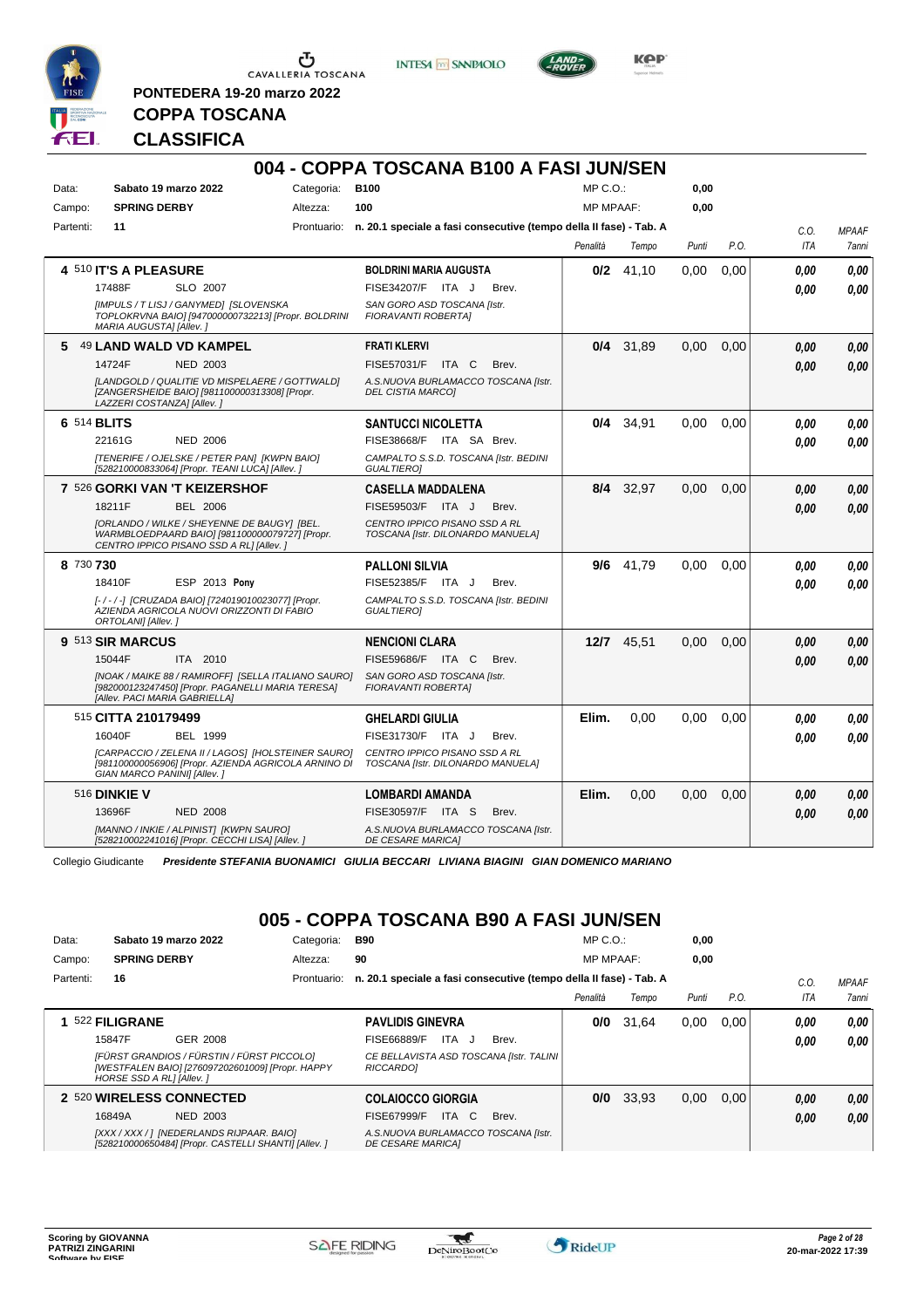

**PONTEDERA 19-20 marzo 2022**

**INTESA** M SANPAOLO



**Kep** 

# **CLASSIFICA**

**COPPA TOSCANA**

|           |                               |                                                                                                                                           |            | 004 - COPPA TOSCANA B100 A FASI JUN/SEN                                        |                  |             |       |      |      |              |
|-----------|-------------------------------|-------------------------------------------------------------------------------------------------------------------------------------------|------------|--------------------------------------------------------------------------------|------------------|-------------|-------|------|------|--------------|
| Data:     | Sabato 19 marzo 2022          |                                                                                                                                           | Categoria: | <b>B100</b>                                                                    | MP C.O.          |             | 0,00  |      |      |              |
| Campo:    | <b>SPRING DERBY</b>           |                                                                                                                                           | Altezza:   | 100                                                                            | <b>MP MPAAF:</b> |             | 0.00  |      |      |              |
| Partenti: | 11                            |                                                                                                                                           |            | Prontuario: n. 20.1 speciale a fasi consecutive (tempo della II fase) - Tab. A |                  |             |       |      | C.O. | <b>MPAAF</b> |
|           |                               |                                                                                                                                           |            |                                                                                | Penalità         | Tempo       | Punti | P.O. | ITA  | 7anni        |
|           | 4 510 IT'S A PLEASURE         |                                                                                                                                           |            | <b>BOLDRINI MARIA AUGUSTA</b>                                                  |                  | $0/2$ 41,10 | 0.00  | 0,00 | 0.00 | 0.00         |
|           | 17488F                        | SLO 2007                                                                                                                                  |            | FISE34207/F ITA J<br>Brev.                                                     |                  |             |       |      | 0.00 | 0.00         |
|           | MARIA AUGUSTA] [Allev.]       | [IMPULS / T LISJ / GANYMED] [SLOVENSKA<br>TOPLOKRVNA BAIO] [947000000732213] [Propr. BOLDRINI                                             |            | SAN GORO ASD TOSCANA [Istr.<br>FIORAVANTI ROBERTA]                             |                  |             |       |      |      |              |
|           | 5 49 LAND WALD VD KAMPEL      |                                                                                                                                           |            | <b>FRATI KLERVI</b>                                                            | 0/4              | 31,89       | 0,00  | 0,00 | 0.00 | 0,00         |
|           | 14724F                        | <b>NED 2003</b>                                                                                                                           |            | FISE57031/F ITA C<br>Brev.                                                     |                  |             |       |      | 0.00 | 0,00         |
|           | LAZZERI COSTANZA] [Allev.]    | [LANDGOLD / QUALITIE VD MISPELAERE / GOTTWALD]<br>[ZANGERSHEIDE BAIO] [981100000313308] [Propr.                                           |            | A.S.NUOVA BURLAMACCO TOSCANA [Istr.<br><b>DEL CISTIA MARCOI</b>                |                  |             |       |      |      |              |
|           | 6 514 BLITS                   |                                                                                                                                           |            | <b>SANTUCCI NICOLETTA</b>                                                      | 0/4              | 34.91       | 0.00  | 0.00 | 0.00 | 0.00         |
|           | 22161G                        | <b>NED 2006</b>                                                                                                                           |            | FISE38668/F ITA SA Brev.                                                       |                  |             |       |      | 0.00 | 0.00         |
|           |                               | [TENERIFE / OJELSKE / PETER PAN] [KWPN BAIO]<br>[528210000833064] [Propr. TEANI LUCA] [Allev. ]                                           |            | CAMPALTO S.S.D. TOSCANA [Istr. BEDINI<br><b>GUALTIEROI</b>                     |                  |             |       |      |      |              |
|           | 7 526 GORKI VAN 'T KEIZERSHOF |                                                                                                                                           |            | <b>CASELLA MADDALENA</b>                                                       |                  | 8/4 32,97   | 0.00  | 0.00 | 0.00 | 0.00         |
|           | 18211F                        | <b>BEL 2006</b>                                                                                                                           |            | FISE59503/F<br>ITA J<br>Brev.                                                  |                  |             |       |      | 0.00 | 0.00         |
|           |                               | [ORLANDO / WILKE / SHEYENNE DE BAUGY] [BEL.<br>WARMBLOEDPAARD BAIO] [981100000079727] [Propr.<br>CENTRO IPPICO PISANO SSD A RLI [Allev. ] |            | CENTRO IPPICO PISANO SSD A RL<br>TOSCANA [Istr. DILONARDO MANUELA]             |                  |             |       |      |      |              |
| 8 730 730 |                               |                                                                                                                                           |            | <b>PALLONI SILVIA</b>                                                          |                  | 9/6 41,79   | 0.00  | 0.00 | 0.00 | 0,00         |
|           | 18410F                        | <b>ESP 2013 Pony</b>                                                                                                                      |            | FISE52385/F ITA J<br>Brev.                                                     |                  |             |       |      | 0.00 | 0.00         |
|           | ORTOLANI] [Allev.]            | [-/-/-] [CRUZADA BAIO] [724019010023077] [Propr.<br>AZIENDA AGRICOLA NUOVI ORIZZONTI DI FABIO                                             |            | CAMPALTO S.S.D. TOSCANA [Istr. BEDINI<br><b>GUALTIERO]</b>                     |                  |             |       |      |      |              |
|           | 9 513 SIR MARCUS              |                                                                                                                                           |            | <b>NENCIONI CLARA</b>                                                          |                  | 12/7 45.51  | 0.00  | 0.00 | 0.00 | 0.00         |
|           | 15044F                        | ITA 2010                                                                                                                                  |            | <b>FISE59686/F ITA C</b><br>Brev.                                              |                  |             |       |      | 0.00 | 0.00         |
|           | [Allev. PACI MARIA GABRIELLA] | [NOAK / MAIKE 88 / RAMIROFF] [SELLA ITALIANO SAURO]<br>[982000123247450] [Propr. PAGANELLI MARIA TERESA]                                  |            | SAN GORO ASD TOSCANA [Istr.<br><b>FIORAVANTI ROBERTAI</b>                      |                  |             |       |      |      |              |
|           | 515 CITTA 210179499           |                                                                                                                                           |            | <b>GHELARDI GIULIA</b>                                                         | Elim.            | 0.00        | 0.00  | 0.00 | 0.00 | 0.00         |
|           | 16040F                        | <b>BEL 1999</b>                                                                                                                           |            | FISE31730/F ITA J<br>Brev.                                                     |                  |             |       |      | 0.00 | 0.00         |
|           | GIAN MARCO PANINI] [Allev.]   | [CARPACCIO / ZELENA II / LAGOS] [HOLSTEINER SAURO]<br>[981100000056906] [Propr. AZIENDA AGRICOLA ARNINO DI                                |            | CENTRO IPPICO PISANO SSD A RL<br>TOSCANA [Istr. DILONARDO MANUELA]             |                  |             |       |      |      |              |
|           | <b>516 DINKIE V</b>           |                                                                                                                                           |            | <b>LOMBARDI AMANDA</b>                                                         | Elim.            | 0,00        | 0,00  | 0,00 | 0.00 | 0,00         |
|           | 13696F                        | <b>NED 2008</b>                                                                                                                           |            | FISE30597/F ITA S<br>Brev.                                                     |                  |             |       |      | 0.00 | 0,00         |
|           |                               | [MANNO / INKIE / ALPINIST] [KWPN SAURO]<br>[528210002241016] [Propr. CECCHI LISA] [Allev. ]                                               |            | A.S.NUOVA BURLAMACCO TOSCANA [Istr.<br><b>DE CESARE MARICAI</b>                |                  |             |       |      |      |              |

Collegio Giudicante *Presidente STEFANIA BUONAMICI GIULIA BECCARI LIVIANA BIAGINI GIAN DOMENICO MARIANO*

# **005 - COPPA TOSCANA B90 A FASI JUN/SEN**

| Data:     |                          | Sabato 19 marzo 2022                                                                              | Categoria:  | B90                                                                |       | $MP C. O.$ :     |       | 0,00  |      |      |              |
|-----------|--------------------------|---------------------------------------------------------------------------------------------------|-------------|--------------------------------------------------------------------|-------|------------------|-------|-------|------|------|--------------|
| Campo:    | <b>SPRING DERBY</b>      |                                                                                                   | Altezza:    | 90                                                                 |       | <b>MP MPAAF:</b> |       | 0.00  |      |      |              |
| Partenti: | 16                       |                                                                                                   | Prontuario: | n. 20.1 speciale a fasi consecutive (tempo della II fase) - Tab. A |       |                  |       |       |      | C.O. | <b>MPAAF</b> |
|           |                          |                                                                                                   |             |                                                                    |       | Penalità         | Tempo | Punti | P.O. | ITA  | 7anni        |
|           | 522 FILIGRANE            |                                                                                                   |             | <b>PAVLIDIS GINEVRA</b>                                            |       | 0/0              | 31.64 | 0,00  | 0.00 | 0.00 | 0,00         |
|           | 15847F                   | GER 2008                                                                                          |             | FISE66889/F<br>ITA.                                                | Brev. |                  |       |       |      | 0,00 | 0,00         |
|           | HORSE SSD A RLI [Allev.] | [FÜRST GRANDIOS / FÜRSTIN / FÜRST PICCOLO]<br>[WESTFALEN BAIO] [276097202601009] [Propr. HAPPY    |             | CE BELLAVISTA ASD TOSCANA [Istr. TALINI<br><b>RICCARDOI</b>        |       |                  |       |       |      |      |              |
|           |                          | 2 520 WIRELESS CONNECTED                                                                          |             | <b>COLAIOCCO GIORGIA</b>                                           |       | 0/0              | 33,93 | 0,00  | 0.00 | 0,00 | 0.00         |
|           | 16849A                   | NED 2003                                                                                          |             | FISE67999/F<br>ITA C                                               | Brev. |                  |       |       |      | 0,00 | 0.00         |
|           |                          | [XXX / XXX / ] [NEDERLANDS RIJPAAR. BAIO]<br>[528210000650484] [Propr. CASTELLI SHANTI] [Allev. ] |             | A.S.NUOVA BURLAMACCO TOSCANA [Istr.<br><b>DE CESARE MARICAI</b>    |       |                  |       |       |      |      |              |

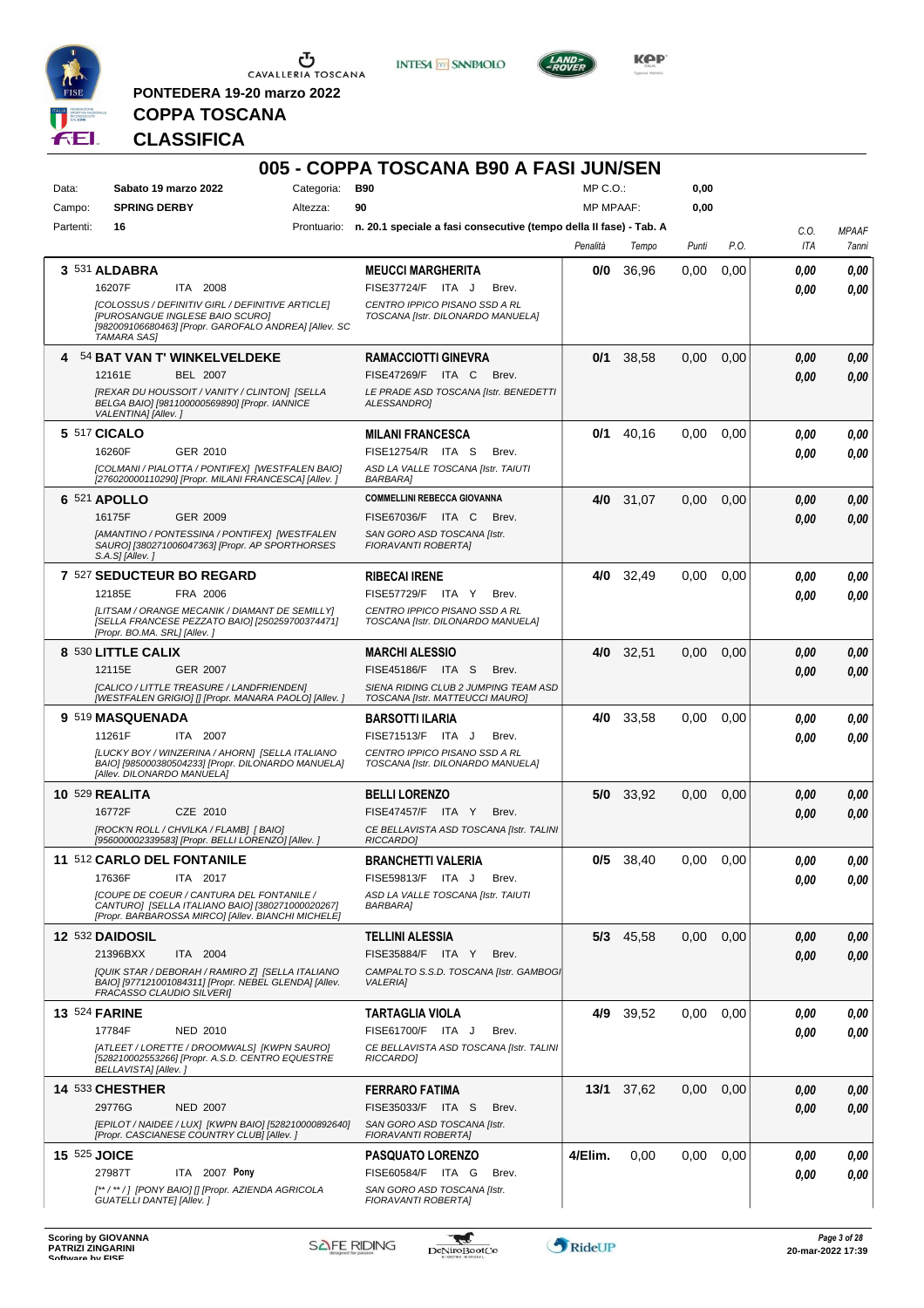

**PONTEDERA 19-20 marzo 2022**

**INTESA M** SANPAOLO



**Kep** 

# **COPPA TOSCANA CLASSIFICA**

| Data:<br>Campo:      | Sabato 19 marzo 2022<br><b>SPRING DERBY</b>                                                                                                                               | Categoria:<br>Altezza: | <b>B90</b><br>90                                                               | $MP C. O.$ :<br><b>MP MPAAF:</b> |             | 0,00<br>0,00 |      |             |                       |
|----------------------|---------------------------------------------------------------------------------------------------------------------------------------------------------------------------|------------------------|--------------------------------------------------------------------------------|----------------------------------|-------------|--------------|------|-------------|-----------------------|
| Partenti:            | 16                                                                                                                                                                        |                        | Prontuario: n. 20.1 speciale a fasi consecutive (tempo della II fase) - Tab. A |                                  |             |              |      |             |                       |
|                      |                                                                                                                                                                           |                        |                                                                                | Penalità                         | Tempo       | Punti        | P.O. | C.0.<br>ITA | <b>MPAAF</b><br>7anni |
|                      | 3 531 ALDABRA                                                                                                                                                             |                        | <b>MEUCCI MARGHERITA</b>                                                       | 0/0                              | 36,96       | 0,00         | 0,00 | 0.00        | 0,00                  |
|                      | 16207F<br>ITA 2008                                                                                                                                                        |                        | <b>FISE37724/F</b><br>ITA J<br>Brev.                                           |                                  |             |              |      | 0.00        | 0,00                  |
|                      | [COLOSSUS / DEFINITIV GIRL / DEFINITIVE ARTICLE]<br><b>IPUROSANGUE INGLESE BAIO SCUROI</b><br>[982009106680463] [Propr. GAROFALO ANDREA] [Allev. SC<br><b>TAMARA SAS]</b> |                        | CENTRO IPPICO PISANO SSD A RL<br>TOSCANA [Istr. DILONARDO MANUELA]             |                                  |             |              |      |             |                       |
|                      | 4 54 BAT VAN T' WINKELVELDEKE                                                                                                                                             |                        | <b>RAMACCIOTTI GINEVRA</b>                                                     | 0/1                              | 38,58       | 0,00         | 0,00 | 0.00        | 0,00                  |
|                      | <b>BEL 2007</b><br>12161E<br>[REXAR DU HOUSSOIT / VANITY / CLINTON] [SELLA                                                                                                |                        | <b>FISE47269/F</b><br>ITA C<br>Brev.<br>LE PRADE ASD TOSCANA [Istr. BENEDETTI  |                                  |             |              |      | 0.00        | 0,00                  |
|                      | BELGA BAIO] [981100000569890] [Propr. IANNICE<br>VALENTINA] [Allev. ]                                                                                                     |                        | ALESSANDRO]                                                                    |                                  |             |              |      |             |                       |
|                      | 5 517 CICALO                                                                                                                                                              |                        | <b>MILANI FRANCESCA</b>                                                        | 0/1                              | 40,16       | 0,00         | 0,00 | 0.00        | 0,00                  |
|                      | 16260F<br>GER 2010                                                                                                                                                        |                        | FISE12754/R ITA S<br>Brev.                                                     |                                  |             |              |      | 0.00        | 0,00                  |
|                      | [COLMANI / PIALOTTA / PONTIFEX] [WESTFALEN BAIO]<br>[276020000110290] [Propr. MILANI FRANCESCA] [Allev.]                                                                  |                        | ASD LA VALLE TOSCANA [Istr. TAIUTI<br><b>BARBARA1</b>                          |                                  |             |              |      |             |                       |
|                      | 6 521 APOLLO                                                                                                                                                              |                        | <b>COMMELLINI REBECCA GIOVANNA</b>                                             | 4/0                              | 31,07       | 0,00         | 0,00 | 0.00        | 0,00                  |
|                      | 16175F<br>GER 2009                                                                                                                                                        |                        | FISE67036/F ITA C<br>Brev.                                                     |                                  |             |              |      | 0.00        | 0.00                  |
|                      | [AMANTINO / PONTESSINA / PONTIFEX] [WESTFALEN<br>SAURO] [380271006047363] [Propr. AP SPORTHORSES<br>S.A.S] [Allev.]                                                       |                        | SAN GORO ASD TOSCANA [Istr.<br>FIORAVANTI ROBERTA]                             |                                  |             |              |      |             |                       |
|                      | 7 527 SEDUCTEUR BO REGARD                                                                                                                                                 |                        | <b>RIBECAI IRENE</b>                                                           | 4/0                              | 32,49       | 0,00         | 0,00 | 0.00        | 0.00                  |
|                      | FRA 2006<br>12185E                                                                                                                                                        |                        | FISE57729/F ITA Y<br>Brev.                                                     |                                  |             |              |      | 0.00        | 0.00                  |
|                      | [LITSAM / ORANGE MECANIK / DIAMANT DE SEMILLY]<br>[SELLA FRANCESE PEZZATO BAIO] [250259700374471]<br>[Propr. BO.MA. SRL] [Allev. ]                                        |                        | CENTRO IPPICO PISANO SSD A RL<br>TOSCANA [Istr. DILONARDO MANUELA]             |                                  |             |              |      |             |                       |
|                      | 8 530 LITTLE CALIX                                                                                                                                                        |                        | <b>MARCHI ALESSIO</b>                                                          |                                  | 4/0 32,51   | 0,00         | 0,00 | 0.00        | 0,00                  |
|                      | <b>GER 2007</b><br>12115E<br>[CALICO / LITTLE TREASURE / LANDFRIENDEN]                                                                                                    |                        | <b>FISE45186/F ITA S</b><br>Brev.<br>SIENA RIDING CLUB 2 JUMPING TEAM ASD      |                                  |             |              |      | 0.00        | 0,00                  |
|                      | [WESTFALEN GRIGIO] [] [Propr. MANARA PAOLO] [Allev. ]                                                                                                                     |                        | TOSCANA [Istr. MATTEUCCI MAURO]                                                |                                  |             |              |      |             |                       |
|                      | 9 519 MASQUENADA<br>11261F<br>ITA 2007                                                                                                                                    |                        | <b>BARSOTTI ILARIA</b><br>FISE71513/F ITA J<br>Brev.                           | 4/0                              | 33,58       | 0,00         | 0,00 | 0.00        | 0,00                  |
|                      | [LUCKY BOY / WINZERINA / AHORN] [SELLA ITALIANO                                                                                                                           |                        | CENTRO IPPICO PISANO SSD A RL                                                  |                                  |             |              |      | 0.00        | 0,00                  |
|                      | BAIO] [985000380504233] [Propr. DILONARDO MANUELA]<br><b>IAlley, DILONARDO MANUELA1</b>                                                                                   |                        | TOSCANA [Istr. DILONARDO MANUELA]                                              |                                  |             |              |      |             |                       |
|                      | <b>10 529 REALITA</b>                                                                                                                                                     |                        | <b>BELLI LORENZO</b>                                                           | 5/0                              | 33,92       | 0,00         | 0,00 | 0.00        | 0,00                  |
|                      | 16772F<br>CZE 2010<br>[ROCK'N ROLL / CHVILKA / FLAMB] [ BAIO]                                                                                                             |                        | FISE47457/F ITA Y<br>Brev.                                                     |                                  |             |              |      | 0.00        | 0.00                  |
|                      | [956000002339583] [Propr. BELLI LORENZO] [Allev. ]                                                                                                                        |                        | CE BELLAVISTA ASD TOSCANA [Istr. TALINI<br><b>RICCARDOI</b>                    |                                  |             |              |      |             |                       |
|                      | 11 512 CARLO DEL FONTANILE                                                                                                                                                |                        | <b>BRANCHETTI VALERIA</b>                                                      |                                  | $0/5$ 38,40 | 0,00         | 0,00 | 0,00        | 0,00                  |
|                      | 17636F<br>ITA 2017<br><b>[COUPE DE COEUR / CANTURA DEL FONTANILE /</b>                                                                                                    |                        | FISE59813/F ITA J<br>Brev.<br>ASD LA VALLE TOSCANA [Istr. TAIUTI               |                                  |             |              |      | 0.00        | 0,00                  |
|                      | CANTUROJ [SELLA ITALIANO BAIO] [380271000020267]<br>[Propr. BARBAROSSA MIRCO] [Allev. BIANCHI MICHELE]                                                                    |                        | <b>BARBARA</b>                                                                 |                                  |             |              |      |             |                       |
|                      | 12 532 DAIDOSIL                                                                                                                                                           |                        | <b>TELLINI ALESSIA</b>                                                         |                                  | $5/3$ 45,58 | 0,00         | 0,00 | 0,00        | 0,00                  |
|                      | ITA 2004<br>21396BXX                                                                                                                                                      |                        | FISE35884/F ITA Y<br>Brev.                                                     |                                  |             |              |      | 0.00        | 0,00                  |
|                      | [QUIK STAR / DEBORAH / RAMIRO Z] [SELLA ITALIANO<br>BAIO] [977121001084311] [Propr. NEBEL GLENDA] [Allev.<br>FRACASSO CLAUDIO SILVERI]                                    |                        | CAMPALTO S.S.D. TOSCANA [Istr. GAMBOGI<br><b>VALERIA]</b>                      |                                  |             |              |      |             |                       |
| <b>13 524 FARINE</b> |                                                                                                                                                                           |                        | <b>TARTAGLIA VIOLA</b>                                                         | 4/9                              | 39,52       | 0,00         | 0,00 | 0.00        | 0,00                  |
|                      | 17784F<br><b>NED 2010</b><br>[ATLEET / LORETTE / DROOMWALS] [KWPN SAURO]                                                                                                  |                        | FISE61700/F ITA J<br>Brev.<br>CE BELLAVISTA ASD TOSCANA [Istr. TALINI          |                                  |             |              |      | 0.00        | 0,00                  |
|                      | [528210002553266] [Propr. A.S.D. CENTRO EQUESTRE<br>BELLAVISTA] [Allev.]                                                                                                  |                        | RICCARDO]                                                                      |                                  |             |              |      |             |                       |
|                      | 14 533 CHESTHER                                                                                                                                                           |                        | <b>FERRARO FATIMA</b>                                                          |                                  | 13/1 37,62  | 0,00         | 0,00 | 0,00        | 0,00                  |
|                      | 29776G<br><b>NED 2007</b>                                                                                                                                                 |                        | FISE35033/F ITA S<br>Brev.                                                     |                                  |             |              |      | 0.00        | 0,00                  |
|                      | [EPILOT / NAIDEE / LUX] [KWPN BAIO] [528210000892640]<br>[Propr. CASCIANESE COUNTRY CLUB] [Allev.]                                                                        |                        | SAN GORO ASD TOSCANA [Istr.<br>FIORAVANTI ROBERTA]                             |                                  |             |              |      |             |                       |
| <b>15 525 JOICE</b>  |                                                                                                                                                                           |                        | <b>PASQUATO LORENZO</b>                                                        | 4/Elim.                          | 0,00        | 0,00         | 0,00 | 0.00        | 0,00                  |
|                      | 27987T<br>ITA 2007 Pony                                                                                                                                                   |                        | FISE60584/F ITA G<br>Brev.                                                     |                                  |             |              |      | 0,00        | 0,00                  |
|                      | [**/**/] [PONY BAIO] [] [Propr. AZIENDA AGRICOLA<br><b>GUATELLI DANTE] [Allev. ]</b>                                                                                      |                        | SAN GORO ASD TOSCANA [Istr.<br>FIORAVANTI ROBERTA]                             |                                  |             |              |      |             |                       |

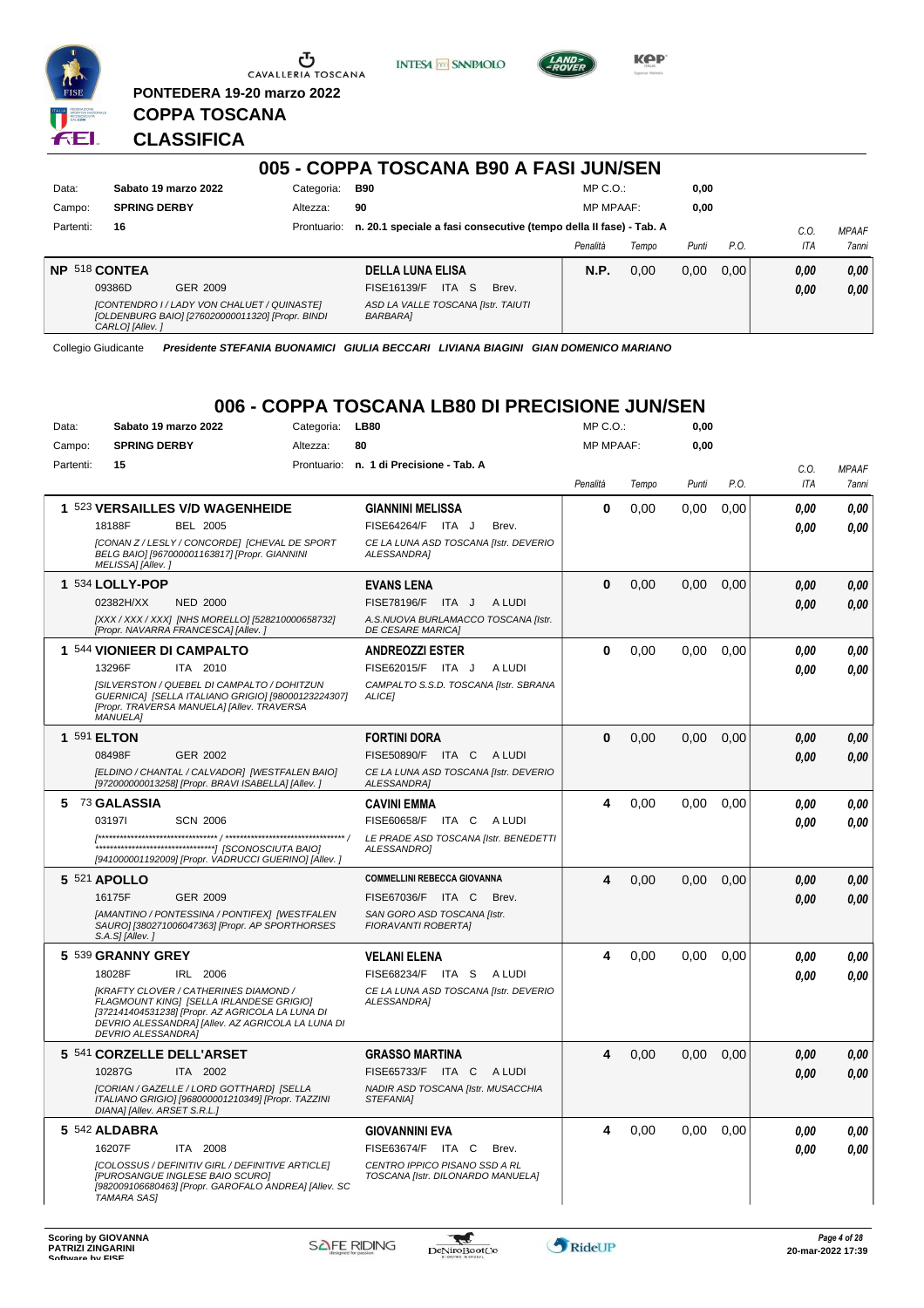

**PONTEDERA 19-20 marzo 2022**

**INTESA** M SANPAOLO



**Kep** 

### **CLASSIFICA**

**COPPA TOSCANA**

| 005 - COPPA TOSCANA B90 A FASI JUN/SEN |                                                                                                                    |             |                                                                    |                  |       |       |      |            |              |
|----------------------------------------|--------------------------------------------------------------------------------------------------------------------|-------------|--------------------------------------------------------------------|------------------|-------|-------|------|------------|--------------|
| Data:                                  | Sabato 19 marzo 2022                                                                                               | Categoria:  | <b>B90</b>                                                         | $MP C. O.$ :     |       | 0,00  |      |            |              |
| Campo:                                 | <b>SPRING DERBY</b>                                                                                                | Altezza:    | 90                                                                 | <b>MP MPAAF:</b> |       | 0,00  |      |            |              |
| Partenti:                              | 16                                                                                                                 | Prontuario: | n. 20.1 speciale a fasi consecutive (tempo della II fase) - Tab. A |                  |       |       |      | C.O        | <b>MPAAF</b> |
|                                        |                                                                                                                    |             |                                                                    | Penalità         | Tempo | Punti | P.O. | <b>ITA</b> | 7anni        |
|                                        | <b>NP 518 CONTEA</b>                                                                                               |             | <b>DELLA LUNA ELISA</b>                                            | N.P.             | 0.00  | 0.00  | 0.00 | 0.00       | 0.00         |
|                                        | 09386D<br>GER 2009                                                                                                 |             | ITA S<br>FISE16139/F<br>Brev.                                      |                  |       |       |      | 0.00       | 0,00         |
|                                        | [CONTENDRO I / LADY VON CHALUET / QUINASTE]<br>[OLDENBURG BAIO] [276020000011320] [Propr. BINDI<br>CARLO] [Allev.] |             | ASD LA VALLE TOSCANA [Istr. TAIUTI<br><b>BARBARA1</b>              |                  |       |       |      |            |              |

Collegio Giudicante *Presidente STEFANIA BUONAMICI GIULIA BECCARI LIVIANA BIAGINI GIAN DOMENICO MARIANO*

### **006 - COPPA TOSCANA LB80 DI PRECISIONE JUN/SEN**

| Data:     | Sabato 19 marzo 2022                                                                                                                                                                                                           | Categoria: | LB80                                                               | MP C.O.:         |       | 0,00  |      |      |              |
|-----------|--------------------------------------------------------------------------------------------------------------------------------------------------------------------------------------------------------------------------------|------------|--------------------------------------------------------------------|------------------|-------|-------|------|------|--------------|
| Campo:    | <b>SPRING DERBY</b>                                                                                                                                                                                                            | Altezza:   | 80                                                                 | <b>MP MPAAF:</b> |       | 0,00  |      |      |              |
| Partenti: | 15                                                                                                                                                                                                                             |            | Prontuario: n. 1 di Precisione - Tab. A                            |                  |       |       |      | C.0. | <b>MPAAF</b> |
|           |                                                                                                                                                                                                                                |            |                                                                    | Penalità         | Tempo | Punti | P.O. | ITA  | 7anni        |
|           | 1 523 VERSAILLES V/D WAGENHEIDE                                                                                                                                                                                                |            | <b>GIANNINI MELISSA</b>                                            | $\mathbf 0$      | 0,00  | 0.00  | 0,00 | 0.00 | 0.00         |
|           | <b>BEL 2005</b><br>18188F                                                                                                                                                                                                      |            | <b>FISE64264/F</b><br>ITA J<br>Brev.                               |                  |       |       |      | 0.00 | 0.00         |
|           | [CONAN Z / LESLY / CONCORDE] [CHEVAL DE SPORT<br>BELG BAIO] [967000001163817] [Propr. GIANNINI<br>MELISSA] [Allev.]                                                                                                            |            | CE LA LUNA ASD TOSCANA [Istr. DEVERIO<br>ALESSANDRA]               |                  |       |       |      |      |              |
|           | 1 534 LOLLY-POP                                                                                                                                                                                                                |            | <b>EVANS LENA</b>                                                  | $\mathbf 0$      | 0,00  | 0,00  | 0,00 | 0.00 | 0,00         |
|           | 02382H/XX<br><b>NED 2000</b>                                                                                                                                                                                                   |            | FISE78196/F ITA J<br>A LUDI                                        |                  |       |       |      | 0.00 | 0,00         |
|           | [XXX / XXX / XXX] [NHS MORELLO] [528210000658732]<br>[Propr. NAVARRA FRANCESCA] [Allev.]                                                                                                                                       |            | A.S.NUOVA BURLAMACCO TOSCANA [Istr.<br><b>DE CESARE MARICAI</b>    |                  |       |       |      |      |              |
|           | 1 544 VIONIEER DI CAMPALTO                                                                                                                                                                                                     |            | <b>ANDREOZZI ESTER</b>                                             | $\bf{0}$         | 0.00  | 0.00  | 0.00 | 0,00 | 0,00         |
|           | 13296F<br>ITA 2010                                                                                                                                                                                                             |            | FISE62015/F ITA J<br>A LUDI                                        |                  |       |       |      | 0.00 | 0.00         |
|           | [SILVERSTON / QUEBEL DI CAMPALTO / DOHITZUN<br>GUERNICA] [SELLA ITALIANO GRIGIO] [98000123224307]<br>[Propr. TRAVERSA MANUELA] [Allev. TRAVERSA<br><b>MANUELA1</b>                                                             |            | CAMPALTO S.S.D. TOSCANA [Istr. SBRANA<br>ALICE1                    |                  |       |       |      |      |              |
|           | 1 591 ELTON                                                                                                                                                                                                                    |            | <b>FORTINI DORA</b>                                                | $\bf{0}$         | 0,00  | 0.00  | 0.00 | 0.00 | 0,00         |
|           | 08498F<br>GER 2002                                                                                                                                                                                                             |            | FISE50890/F ITA C<br>A LUDI                                        |                  |       |       |      | 0.00 | 0.00         |
|           | [ELDINO / CHANTAL / CALVADOR] [WESTFALEN BAIO]<br>[972000000013258] [Propr. BRAVI ISABELLA] [Allev. ]                                                                                                                          |            | CE LA LUNA ASD TOSCANA [Istr. DEVERIO<br>ALESSANDRA]               |                  |       |       |      |      |              |
| 5.        | <b>73 GALASSIA</b>                                                                                                                                                                                                             |            | <b>CAVINI EMMA</b>                                                 | 4                | 0.00  | 0.00  | 0.00 | 0.00 | 0,00         |
|           | 031971<br><b>SCN 2006</b>                                                                                                                                                                                                      |            | FISE60658/F<br>ITA C<br>A LUDI                                     |                  |       |       |      | 0.00 | 0.00         |
|           | [941000001192009] [Propr. VADRUCCI GUERINO] [Allev.]                                                                                                                                                                           |            | LE PRADE ASD TOSCANA [Istr. BENEDETTI<br>ALESSANDRO1               |                  |       |       |      |      |              |
|           | 5 521 APOLLO                                                                                                                                                                                                                   |            | <b>COMMELLINI REBECCA GIOVANNA</b>                                 | 4                | 0.00  | 0.00  | 0.00 | 0.00 | 0,00         |
|           | 16175F<br>GER 2009                                                                                                                                                                                                             |            | FISE67036/F<br>ITA C<br>Brev.                                      |                  |       |       |      | 0.00 | 0.00         |
|           | [AMANTINO / PONTESSINA / PONTIFEX] [WESTFALEN<br>SAURO] [380271006047363] [Propr. AP SPORTHORSES<br>S.A.S] [Allev.]                                                                                                            |            | SAN GORO ASD TOSCANA [Istr.<br>FIORAVANTI ROBERTA]                 |                  |       |       |      |      |              |
|           | 5 539 GRANNY GREY                                                                                                                                                                                                              |            | <b>VELANI ELENA</b>                                                | 4                | 0,00  | 0,00  | 0,00 | 0.00 | 0.00         |
|           | IRL 2006<br>18028F                                                                                                                                                                                                             |            | FISE68234/F<br>ITA S<br>A LUDI                                     |                  |       |       |      | 0.00 | 0.00         |
|           | <b>[KRAFTY CLOVER / CATHERINES DIAMOND /</b><br>FLAGMOUNT KING] [SELLA IRLANDESE GRIGIO]<br>[372141404531238] [Propr. AZ AGRICOLA LA LUNA DI<br>DEVRIO ALESSANDRA] [Allev. AZ AGRICOLA LA LUNA DI<br><b>DEVRIO ALESSANDRAI</b> |            | CE LA LUNA ASD TOSCANA [Istr. DEVERIO<br>ALESSANDRA1               |                  |       |       |      |      |              |
|           | 5 541 CORZELLE DELL'ARSET                                                                                                                                                                                                      |            | <b>GRASSO MARTINA</b>                                              | 4                | 0.00  | 0.00  | 0.00 | 0.00 | 0,00         |
|           | 10287G<br>ITA 2002                                                                                                                                                                                                             |            | FISE65733/F ITA C<br>A LUDI                                        |                  |       |       |      | 0.00 | 0.00         |
|           | [CORIAN / GAZELLE / LORD GOTTHARD] [SELLA<br>ITALIANO GRIGIO] [968000001210349] [Propr. TAZZINI<br>DIANA] [Allev. ARSET S.R.L.]                                                                                                |            | NADIR ASD TOSCANA [Istr. MUSACCHIA<br>STEFANIA1                    |                  |       |       |      |      |              |
|           | 5 542 ALDABRA                                                                                                                                                                                                                  |            | <b>GIOVANNINI EVA</b>                                              | 4                | 0,00  | 0,00  | 0,00 | 0.00 | 0,00         |
|           | 16207F<br>ITA 2008                                                                                                                                                                                                             |            | FISE63674/F ITA C<br>Brev.                                         |                  |       |       |      | 0.00 | 0,00         |
|           | <b>ICOLOSSUS / DEFINITIV GIRL / DEFINITIVE ARTICLEI</b><br>[PUROSANGUE INGLESE BAIO SCURO]<br>[982009106680463] [Propr. GAROFALO ANDREA] [Allev. SC<br><b>TAMARA SASI</b>                                                      |            | CENTRO IPPICO PISANO SSD A RL<br>TOSCANA [Istr. DILONARDO MANUELA] |                  |       |       |      |      |              |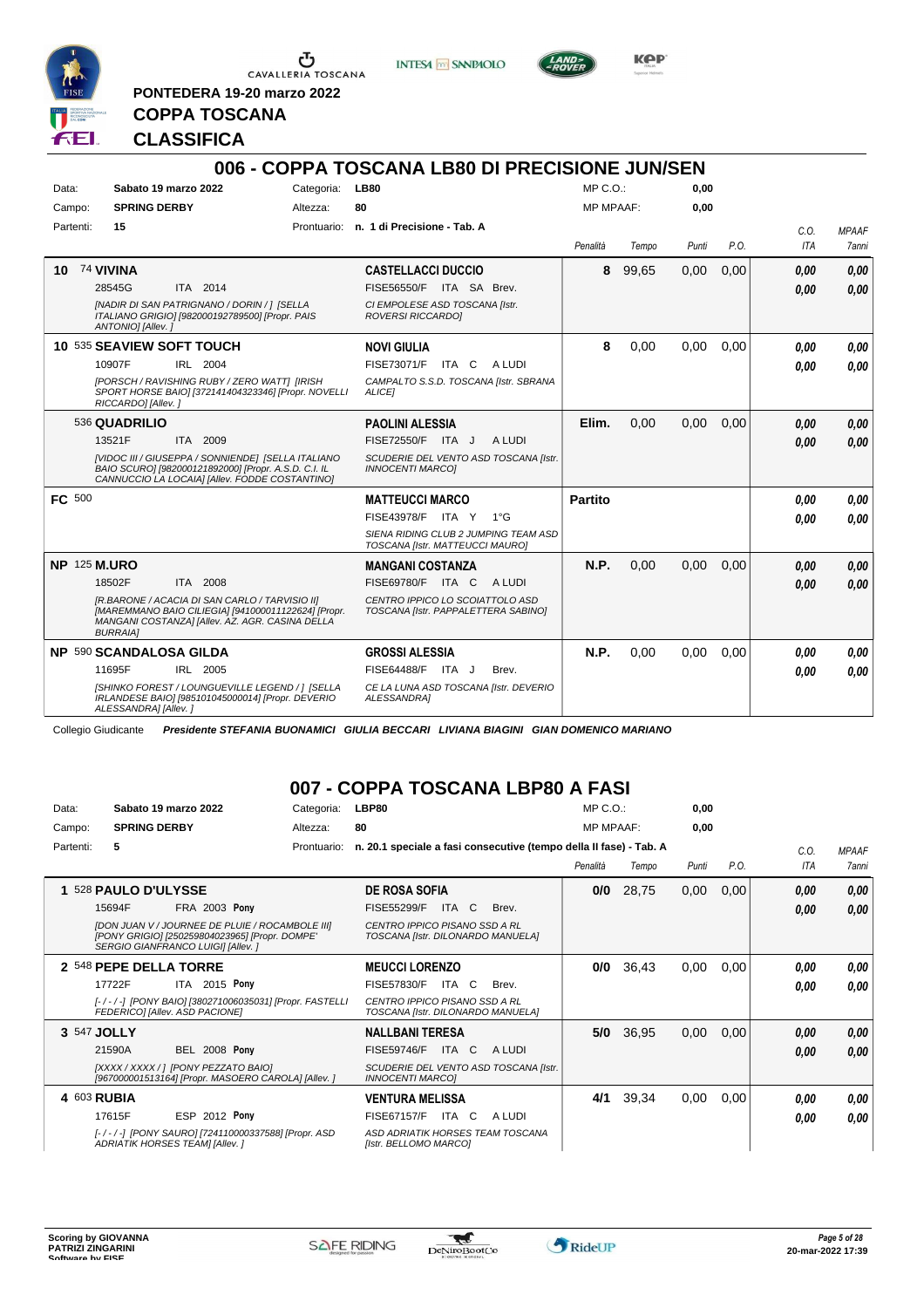

**PONTEDERA 19-20 marzo 2022**

**INTESA** M SANPAOLO



**Kep** 

# **CLASSIFICA**

**COPPA TOSCANA**

|               |                                                                                                                                                                             |             | 006 - COPPA TOSCANA LB80 DI PRECISIONE JUN/SEN                          |                  |       |       |      |      |              |
|---------------|-----------------------------------------------------------------------------------------------------------------------------------------------------------------------------|-------------|-------------------------------------------------------------------------|------------------|-------|-------|------|------|--------------|
| Data:         | Sabato 19 marzo 2022                                                                                                                                                        | Categoria:  | <b>LB80</b>                                                             | $MP C. O.$ :     |       | 0.00  |      |      |              |
| Campo:        | <b>SPRING DERBY</b>                                                                                                                                                         | Altezza:    | 80                                                                      | <b>MP MPAAF:</b> |       | 0,00  |      |      |              |
| Partenti:     | 15                                                                                                                                                                          | Prontuario: | n. 1 di Precisione - Tab. A                                             |                  |       |       |      | C.0. | <b>MPAAF</b> |
|               |                                                                                                                                                                             |             |                                                                         | Penalità         | Tempo | Punti | P.O. | ITA  | 7anni        |
| 10            | 74 VIVINA                                                                                                                                                                   |             | <b>CASTELLACCI DUCCIO</b>                                               | 8                | 99,65 | 0.00  | 0.00 | 0.00 | 0.00         |
|               | ITA 2014<br>28545G                                                                                                                                                          |             | FISE56550/F ITA SA Brev.                                                |                  |       |       |      | 0.00 | 0.00         |
|               | [NADIR DI SAN PATRIGNANO / DORIN / 1 [SELLA<br>ITALIANO GRIGIO] [982000192789500] [Propr. PAIS<br>ANTONIO] [Allev.]                                                         |             | CI EMPOLESE ASD TOSCANA [Istr.<br><b>ROVERSI RICCARDOI</b>              |                  |       |       |      |      |              |
|               | 10 535 SEAVIEW SOFT TOUCH                                                                                                                                                   |             | <b>NOVI GIULIA</b>                                                      | 8                | 0,00  | 0.00  | 0.00 | 0.00 | 0.00         |
|               | 10907F<br>IRL 2004                                                                                                                                                          |             | FISE73071/F ITA C<br>A LUDI                                             |                  |       |       |      | 0.00 | 0.00         |
|               | [PORSCH / RAVISHING RUBY / ZERO WATT] [IRISH<br>SPORT HORSE BAIO] [372141404323346] [Propr. NOVELLI<br>RICCARDO] [Allev.]                                                   |             | CAMPALTO S.S.D. TOSCANA [Istr. SBRANA<br><b>ALICEI</b>                  |                  |       |       |      |      |              |
|               | 536 QUADRILIO                                                                                                                                                               |             | <b>PAOLINI ALESSIA</b>                                                  | Elim.            | 0.00  | 0.00  | 0.00 | 0.00 | 0.00         |
|               | 13521F<br><b>ITA 2009</b>                                                                                                                                                   |             | FISE72550/F ITA J<br>A LUDI                                             |                  |       |       |      | 0.00 | 0.00         |
|               | [VIDOC III / GIUSEPPA / SONNIENDE] [SELLA ITALIANO<br>BAIO SCURO] [982000121892000] [Propr. A.S.D. C.I. IL<br>CANNUCCIO LA LOCAIA] [Allev. FODDE COSTANTINO]                |             | SCUDERIE DEL VENTO ASD TOSCANA [Istr.<br><b>INNOCENTI MARCOI</b>        |                  |       |       |      |      |              |
| <b>FC 500</b> |                                                                                                                                                                             |             | <b>MATTEUCCI MARCO</b>                                                  | <b>Partito</b>   |       |       |      | 0.00 | 0.00         |
|               |                                                                                                                                                                             |             | FISE43978/F ITA Y<br>$1^{\circ}G$                                       |                  |       |       |      | 0,00 | 0.00         |
|               |                                                                                                                                                                             |             | SIENA RIDING CLUB 2 JUMPING TEAM ASD<br>TOSCANA [Istr. MATTEUCCI MAURO] |                  |       |       |      |      |              |
|               | <b>NP 125 M.URO</b>                                                                                                                                                         |             | <b>MANGANI COSTANZA</b>                                                 | N.P.             | 0,00  | 0,00  | 0,00 | 0,00 | 0.00         |
|               | 18502F<br>ITA 2008                                                                                                                                                          |             | <b>FISE69780/F ITA C</b><br>A LUDI                                      |                  |       |       |      | 0.00 | 0.00         |
|               | [R.BARONE / ACACIA DI SAN CARLO / TARVISIO II]<br>[MAREMMANO BAIO CILIEGIA] [941000011122624] [Propr.<br>MANGANI COSTANZAI [Allev. AZ. AGR. CASINA DELLA<br><b>BURRAIA1</b> |             | CENTRO IPPICO LO SCOIATTOLO ASD<br>TOSCANA [Istr. PAPPALETTERA SABINO]  |                  |       |       |      |      |              |
|               | NP 590 SCANDALOSA GILDA                                                                                                                                                     |             | <b>GROSSI ALESSIA</b>                                                   | N.P.             | 0.00  | 0.00  | 0.00 | 0.00 | 0.00         |
|               | 11695F<br>IRL 2005                                                                                                                                                          |             | FISE64488/F ITA J<br>Brev.                                              |                  |       |       |      | 0.00 | 0.00         |
|               | [SHINKO FOREST / LOUNGUEVILLE LEGEND / ] [SELLA<br>IRLANDESE BAIO] [985101045000014] [Propr. DEVERIO<br>ALESSANDRA] [Allev.]                                                |             | CE LA LUNA ASD TOSCANA [Istr. DEVERIO<br>ALESSANDRA]                    |                  |       |       |      |      |              |

Collegio Giudicante *Presidente STEFANIA BUONAMICI GIULIA BECCARI LIVIANA BIAGINI GIAN DOMENICO MARIANO*

### **007 - COPPA TOSCANA LBP80 A FASI**

| Data:     | Sabato 19 marzo 2022                                                                                                                                  | Categoria:  | <b>LBP80</b>                                                       | $MP C. O.$ :     |       | 0,00  |      |      |              |
|-----------|-------------------------------------------------------------------------------------------------------------------------------------------------------|-------------|--------------------------------------------------------------------|------------------|-------|-------|------|------|--------------|
| Campo:    | <b>SPRING DERBY</b>                                                                                                                                   | Altezza:    | 80                                                                 | <b>MP MPAAF:</b> |       | 0,00  |      |      |              |
| Partenti: | 5                                                                                                                                                     | Prontuario: | n. 20.1 speciale a fasi consecutive (tempo della II fase) - Tab. A |                  |       |       |      | C.0. | <b>MPAAF</b> |
|           |                                                                                                                                                       |             |                                                                    | Penalità         | Tempo | Punti | P.O. | ITA  | <b>7anni</b> |
|           | 528 PAULO D'ULYSSE                                                                                                                                    |             | <b>DE ROSA SOFIA</b>                                               | 0/0              | 28,75 | 0,00  | 0,00 | 0,00 | 0,00         |
|           | FRA 2003 Pony<br>15694F                                                                                                                               |             | FISE55299/F<br>ITA C<br>Brev.                                      |                  |       |       |      | 0.00 | 0,00         |
|           | <b>IDON JUAN V / JOURNEE DE PLUIE / ROCAMBOLE IIII</b><br>[PONY GRIGIO] [250259804023965] [Propr. DOMPE'<br><b>SERGIO GIANFRANCO LUIGII IAllev. 1</b> |             | CENTRO IPPICO PISANO SSD A RL<br>TOSCANA [Istr. DILONARDO MANUELA] |                  |       |       |      |      |              |
|           | 2 548 PEPE DELLA TORRE                                                                                                                                |             | <b>MEUCCI LORENZO</b>                                              | 0/0              | 36,43 | 0,00  | 0.00 | 0.00 | 0,00         |
|           | 17722F<br>ITA 2015 Pony                                                                                                                               |             | ITA C<br><b>FISE57830/F</b><br>Brev.                               |                  |       |       |      | 0.00 | 0.00         |
|           | [-/-/-] [PONY BAIO] [380271006035031] [Propr. FASTELLI<br>FEDERICO] [Allev. ASD PACIONE]                                                              |             | CENTRO IPPICO PISANO SSD A RL<br>TOSCANA [Istr. DILONARDO MANUELA] |                  |       |       |      |      |              |
|           | 3 547 JOLLY                                                                                                                                           |             | <b>NALLBANI TERESA</b>                                             | 5/0              | 36,95 | 0,00  | 0,00 | 0,00 | 0,00         |
|           | <b>BEL 2008 Pony</b><br>21590A                                                                                                                        |             | <b>FISE59746/F</b><br>ITA C<br>A LUDI                              |                  |       |       |      | 0.00 | 0,00         |
|           | [XXXX / XXXX / ] [PONY PEZZATO BAIO]<br>[967000001513164] [Propr. MASOERO CAROLA] [Allev. ]                                                           |             | SCUDERIE DEL VENTO ASD TOSCANA [Istr.<br><b>INNOCENTI MARCOI</b>   |                  |       |       |      |      |              |
|           | 4 603 RUBIA                                                                                                                                           |             | <b>VENTURA MELISSA</b>                                             | 4/1              | 39,34 | 0,00  | 0.00 | 0.00 | 0,00         |
|           | <b>ESP 2012 Pony</b><br>17615F                                                                                                                        |             | FISE67157/F<br>ITA C<br>A LUDI                                     |                  |       |       |      | 0.00 | 0.00         |
|           | [-/-/-] [PONY SAURO] [724110000337588] [Propr. ASD<br>ADRIATIK HORSES TEAM] [Allev.]                                                                  |             | ASD ADRIATIK HORSES TEAM TOSCANA<br>[Istr. BELLOMO MARCO]          |                  |       |       |      |      |              |

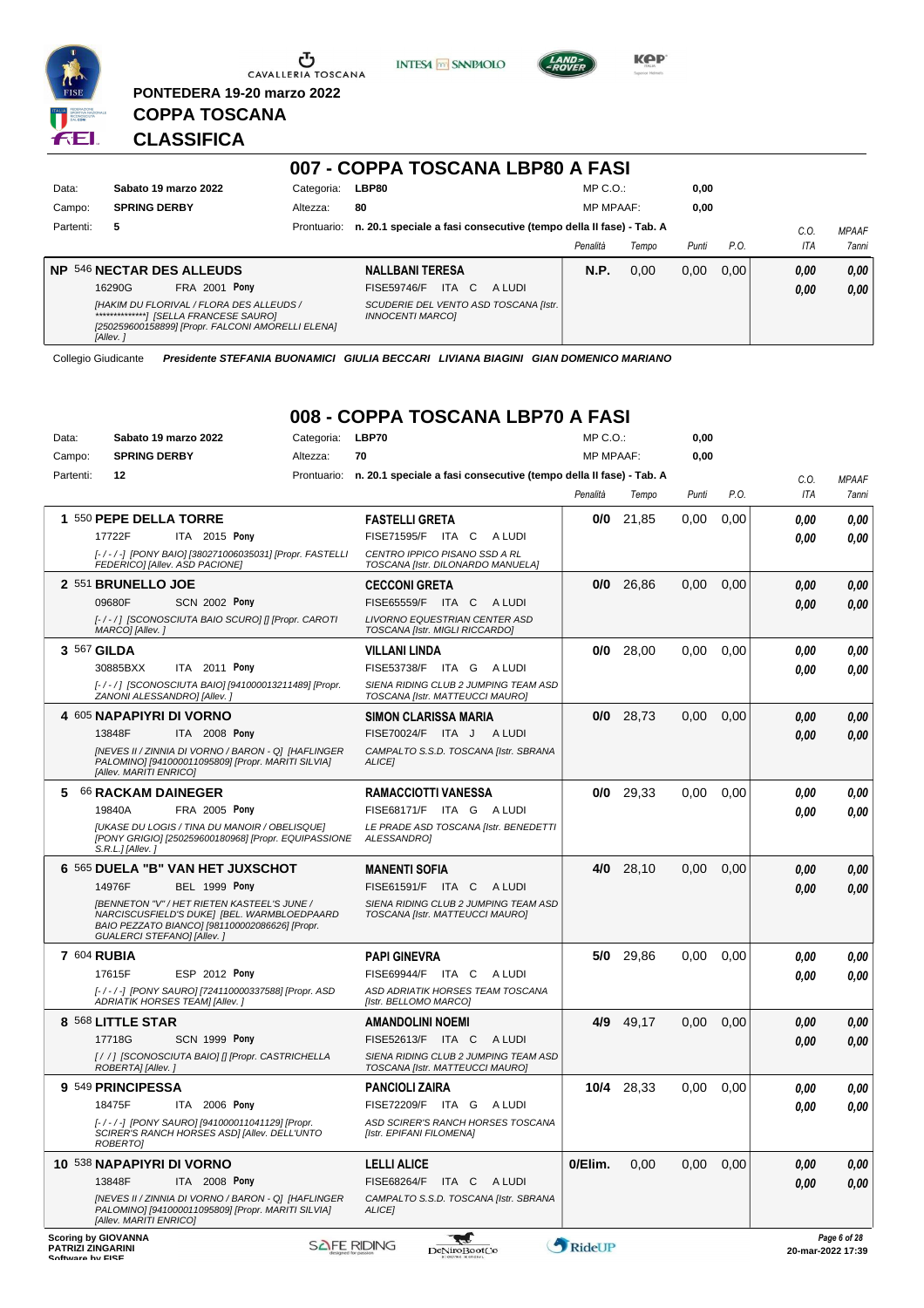

**KPP** 



### **CLASSIFICA**

**COPPA TOSCANA**

**PONTEDERA 19-20 marzo 2022**

|           |                                                                                                           |             | 007 - COPPA TOSCANA LBP80 A FASI                                   |                  |       |       |      |            |              |
|-----------|-----------------------------------------------------------------------------------------------------------|-------------|--------------------------------------------------------------------|------------------|-------|-------|------|------------|--------------|
| Data:     | Sabato 19 marzo 2022                                                                                      | Categoria:  | LBP80                                                              | $MP C. O.$ :     |       | 0,00  |      |            |              |
| Campo:    | <b>SPRING DERBY</b>                                                                                       | Altezza:    | 80                                                                 | <b>MP MPAAF:</b> |       | 0,00  |      |            |              |
| Partenti: | 5                                                                                                         | Prontuario: | n. 20.1 speciale a fasi consecutive (tempo della II fase) - Tab. A |                  |       |       |      | C.0        | <b>MPAAF</b> |
|           |                                                                                                           |             |                                                                    | Penalità         | Tempo | Punti | P.O. | <b>ITA</b> | 7anni        |
|           | <b>NP 546 NECTAR DES ALLEUDS</b>                                                                          |             | <b>NALLBANI TERESA</b>                                             | <b>N.P.</b>      | 0.00  | 0.00  | 0.00 | 0,00       | 0.00         |
|           | <b>FRA 2001 Pony</b><br>16290G                                                                            |             | ITA C<br>FISE59746/F<br>A LUDI                                     |                  |       |       |      | 0,00       | 0,00         |
|           | [HAKIM DU FLORIVAL / FLORA DES ALLEUDS /<br>[250259600158899] [Propr. FALCONI AMORELLI ELENA]<br>[Allev.] |             | SCUDERIE DEL VENTO ASD TOSCANA [Istr.<br><b>INNOCENTI MARCO1</b>   |                  |       |       |      |            |              |

Collegio Giudicante *Presidente STEFANIA BUONAMICI GIULIA BECCARI LIVIANA BIAGINI GIAN DOMENICO MARIANO*

#### **008 - COPPA TOSCANA LBP70 A FASI** MP C.O.:

| Data:            | Sabato 19 marzo 2022                                                                                                                                                              | Categoria:         | LBP70<br>70                                                                    | MP C.O.:<br><b>MP MPAAF:</b> |           | 0,00  |      |      |                                   |
|------------------|-----------------------------------------------------------------------------------------------------------------------------------------------------------------------------------|--------------------|--------------------------------------------------------------------------------|------------------------------|-----------|-------|------|------|-----------------------------------|
| Campo:           | <b>SPRING DERBY</b>                                                                                                                                                               | Altezza:           |                                                                                |                              |           | 0,00  |      |      |                                   |
| Partenti:        | 12                                                                                                                                                                                |                    | Prontuario: n. 20.1 speciale a fasi consecutive (tempo della II fase) - Tab. A |                              |           |       |      | C.O. | <b>MPAAF</b>                      |
|                  |                                                                                                                                                                                   |                    |                                                                                | Penalità                     | Tempo     | Punti | P.O. | ITA  | 7anni                             |
|                  | 1 550 PEPE DELLA TORRE                                                                                                                                                            |                    | <b>FASTELLI GRETA</b>                                                          | 0/0                          | 21,85     | 0.00  | 0,00 | 0.00 | 0,00                              |
|                  | 17722F<br>ITA 2015 Pony                                                                                                                                                           |                    | FISE71595/F<br>ITA C<br>A LUDI                                                 |                              |           |       |      | 0.00 | 0.00                              |
|                  | [-/-/-] [PONY BAIO] [380271006035031] [Propr. FASTELLI<br>FEDERICO] [Allev. ASD PACIONE]                                                                                          |                    | CENTRO IPPICO PISANO SSD A RL<br>TOSCANA [Istr. DILONARDO MANUELA]             |                              |           |       |      |      |                                   |
|                  | 2 551 BRUNELLO JOE                                                                                                                                                                |                    | <b>CECCONI GRETA</b>                                                           | 0/0                          | 26,86     | 0,00  | 0,00 | 0,00 | 0,00                              |
|                  | 09680F<br><b>SCN 2002 Pony</b>                                                                                                                                                    |                    | <b>FISE65559/F ITA C</b><br>A LUDI                                             |                              |           |       |      | 0.00 | 0.00                              |
|                  | [-/-/] [SCONOSCIUTA BAIO SCURO] [] [Propr. CAROTI<br>MARCO] [Allev.]                                                                                                              |                    | LIVORNO EQUESTRIAN CENTER ASD<br>TOSCANA [Istr. MIGLI RICCARDO]                |                              |           |       |      |      |                                   |
|                  | 3 567 GILDA                                                                                                                                                                       |                    | <b>VILLANI LINDA</b>                                                           | 0/0                          | 28,00     | 0,00  | 0.00 | 0.00 | 0,00                              |
|                  | 30885BXX<br>ITA 2011 Pony                                                                                                                                                         |                    | <b>FISE53738/F</b><br>ITA G<br>A LUDI                                          |                              |           |       |      | 0.00 | 0.00                              |
|                  | [-/-/] [SCONOSCIUTA BAIO] [941000013211489] [Propr.<br>ZANONI ALESSANDRO] [Allev.]                                                                                                |                    | SIENA RIDING CLUB 2 JUMPING TEAM ASD<br>TOSCANA [Istr. MATTEUCCI MAURO]        |                              |           |       |      |      |                                   |
|                  | 4 605 NAPAPIYRI DI VORNO                                                                                                                                                          |                    | SIMON CLARISSA MARIA                                                           | 0/0                          | 28,73     | 0,00  | 0,00 | 0,00 | 0,00                              |
|                  | 13848F<br>ITA 2008 Pony                                                                                                                                                           |                    | FISE70024/F ITA J ALUDI                                                        |                              |           |       |      | 0.00 | 0,00                              |
|                  | [NEVES II / ZINNIA DI VORNO / BARON - Q] [HAFLINGER<br>PALOMINO] [941000011095809] [Propr. MARITI SILVIA]<br>[Allev. MARITI ENRICO]                                               |                    | CAMPALTO S.S.D. TOSCANA [Istr. SBRANA<br>ALICE]                                |                              |           |       |      |      |                                   |
| 5                | <b>66 RACKAM DAINEGER</b>                                                                                                                                                         |                    | <b>RAMACCIOTTI VANESSA</b>                                                     | 0/0                          | 29,33     | 0,00  | 0,00 | 0.00 | 0,00                              |
|                  | FRA 2005 Pony<br>19840A                                                                                                                                                           |                    | <b>FISE68171/F</b><br>ITA G ALUDI                                              |                              |           |       |      | 0.00 | 0.00                              |
|                  | <b>JUKASE DU LOGIS / TINA DU MANOIR / OBELISQUE]</b><br>[PONY GRIGIO] [250259600180968] [Propr. EQUIPASSIONE<br>$S.R.L.JIAllev.$ ]                                                |                    | LE PRADE ASD TOSCANA [Istr. BENEDETTI<br>ALESSANDRO]                           |                              |           |       |      |      |                                   |
|                  | 6 565 DUELA "B" VAN HET JUXSCHOT                                                                                                                                                  |                    | <b>MANENTI SOFIA</b>                                                           | 4/0                          | 28,10     | 0,00  | 0,00 | 0,00 | 0,00                              |
|                  | <b>BEL 1999 Pony</b><br>14976F                                                                                                                                                    |                    | FISE61591/F ITA C<br>A LUDI                                                    |                              |           |       |      | 0.00 | 0,00                              |
|                  | <b>IBENNETON "V" / HET RIETEN KASTEEL'S JUNE /</b><br>NARCISCUSFIELD'S DUKE] [BEL. WARMBLOEDPAARD<br>BAIO PEZZATO BIANCO] [981100002086626] [Propr.<br>GUALERCI STEFANO] [Allev.] |                    | SIENA RIDING CLUB 2 JUMPING TEAM ASD<br>TOSCANA [Istr. MATTEUCCI MAURO]        |                              |           |       |      |      |                                   |
|                  | <b>7 604 RUBIA</b>                                                                                                                                                                |                    | <b>PAPI GINEVRA</b>                                                            |                              | 5/0 29,86 | 0.00  | 0,00 | 0.00 | 0,00                              |
|                  | 17615F<br>ESP 2012 Pony                                                                                                                                                           |                    | <b>FISE69944/F</b><br>ITA C<br>A LUDI                                          |                              |           |       |      | 0.00 | 0.00                              |
|                  | [-/-/-] [PONY SAURO] [724110000337588] [Propr. ASD<br>ADRIATIK HORSES TEAM] [Allev.]                                                                                              |                    | ASD ADRIATIK HORSES TEAM TOSCANA<br>[Istr. BELLOMO MARCO]                      |                              |           |       |      |      |                                   |
|                  | 8 568 LITTLE STAR                                                                                                                                                                 |                    | <b>AMANDOLINI NOEMI</b>                                                        | 4/9                          | 49,17     | 0,00  | 0,00 | 0,00 | 0,00                              |
|                  | 17718G<br><b>SCN 1999 Pony</b>                                                                                                                                                    |                    | FISE52613/F ITA C<br>A LUDI                                                    |                              |           |       |      | 0.00 | 0.00                              |
|                  | [/ /] [SCONOSCIUTA BAIO] [] [Propr. CASTRICHELLA<br>ROBERTA] [Allev.]                                                                                                             |                    | SIENA RIDING CLUB 2 JUMPING TEAM ASD<br>TOSCANA [Istr. MATTEUCCI MAURO]        |                              |           |       |      |      |                                   |
|                  | 9 549 PRINCIPESSA                                                                                                                                                                 |                    | PANCIOLI ZAIRA                                                                 | 10/4                         | 28,33     | 0,00  | 0,00 | 0,00 | 0,00                              |
|                  | 18475F<br>ITA 2006 Pony                                                                                                                                                           |                    | FISE72209/F ITA G ALUDI                                                        |                              |           |       |      | 0.00 | 0.00                              |
|                  | [-/-/-] [PONY SAURO] [941000011041129] [Propr.<br>SCIRER'S RANCH HORSES ASD] [Allev. DELL'UNTO<br>ROBERTO]                                                                        |                    | ASD SCIRER'S RANCH HORSES TOSCANA<br>[Istr. EPIFANI FILOMENA]                  |                              |           |       |      |      |                                   |
|                  | 10 538 NAPAPIYRI DI VORNO                                                                                                                                                         |                    | <b>LELLI ALICE</b>                                                             | 0/Elim.                      | 0,00      | 0,00  | 0,00 | 0,00 | 0,00                              |
|                  | 13848F<br><b>ITA</b> 2008 Pony                                                                                                                                                    |                    | FISE68264/F ITA C ALUDI                                                        |                              |           |       |      | 0,00 | 0,00                              |
|                  | [NEVES II / ZINNIA DI VORNO / BARON - Q] [HAFLINGER<br>PALOMINO] [941000011095809] [Propr. MARITI SILVIA]<br>[Allev. MARITI ENRICO]                                               |                    | CAMPALTO S.S.D. TOSCANA [Istr. SBRANA<br>ALICE]                                |                              |           |       |      |      |                                   |
| Coffware by EICE | <b>Scoring by GIOVANNA</b><br><b>PATRIZI ZINGARINI</b>                                                                                                                            | <b>SAFE RIDING</b> | <b>Red</b><br><b>DeNiroBootCo</b>                                              | RideUP                       |           |       |      |      | Page 6 of 28<br>20-mar-2022 17:39 |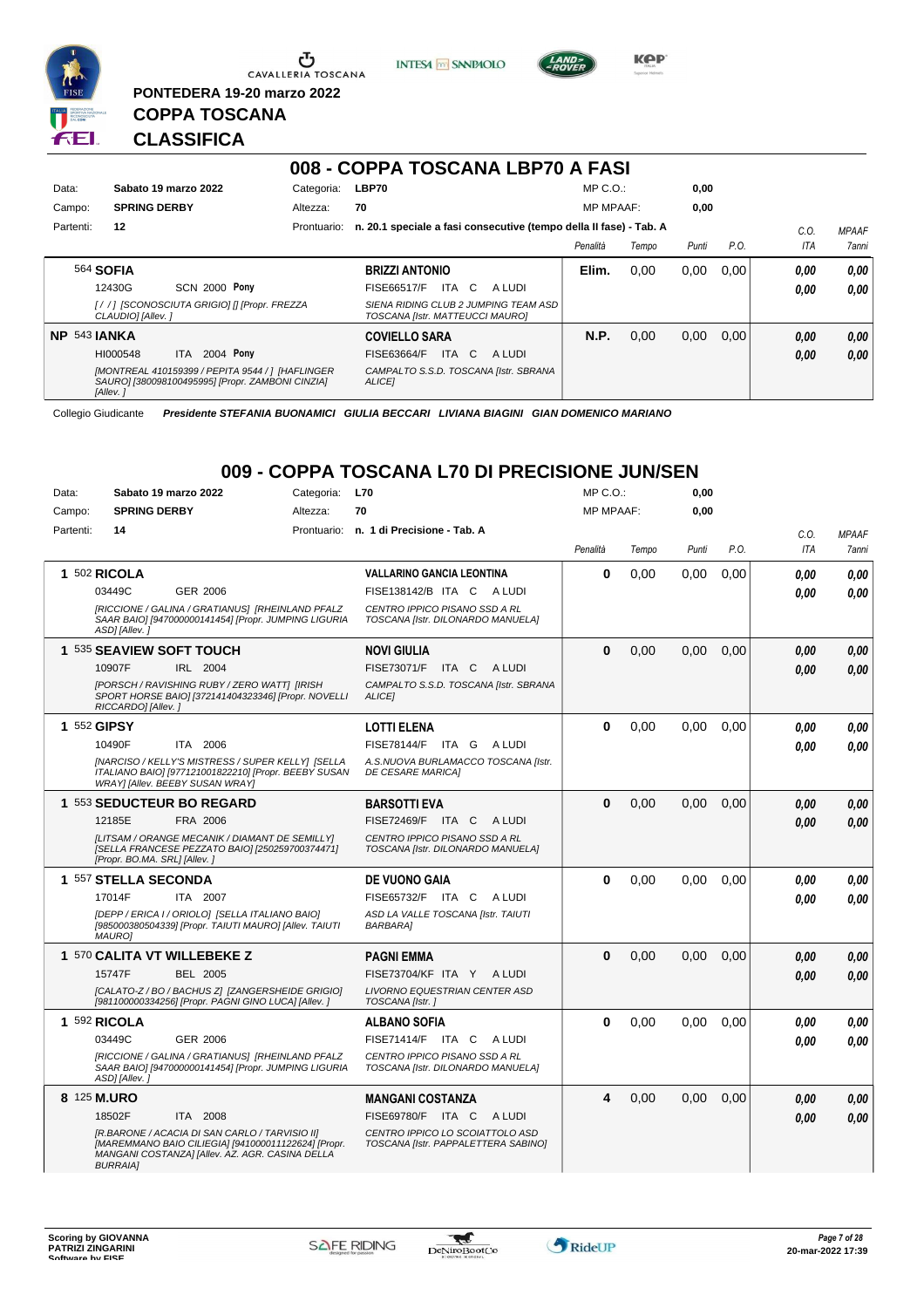

**PONTEDERA 19-20 marzo 2022**

**INTESA** M SANPAOLO



**Kep** 

### **CLASSIFICA**

**COPPA TOSCANA**

|           |                      |                                                                                                      |             | 008 - COPPA TOSCANA LBP70 A FASI                                        |        |                  |       |       |      |            |              |
|-----------|----------------------|------------------------------------------------------------------------------------------------------|-------------|-------------------------------------------------------------------------|--------|------------------|-------|-------|------|------------|--------------|
| Data:     | Sabato 19 marzo 2022 |                                                                                                      | Categoria:  | LBP70                                                                   |        | $MP C. O.$ :     |       | 0,00  |      |            |              |
| Campo:    | <b>SPRING DERBY</b>  |                                                                                                      | Altezza:    | 70                                                                      |        | <b>MP MPAAF:</b> |       | 0.00  |      |            |              |
| Partenti: | 12                   |                                                                                                      | Prontuario: | n. 20.1 speciale a fasi consecutive (tempo della II fase) - Tab. A      |        |                  |       |       |      | C.O.       | <b>MPAAF</b> |
|           |                      |                                                                                                      |             |                                                                         |        | Penalità         | Tempo | Punti | P.O. | <b>ITA</b> | <b>7anni</b> |
|           | 564 <b>SOFIA</b>     |                                                                                                      |             | <b>BRIZZI ANTONIO</b>                                                   |        | Elim.            | 0.00  | 0.00  | 0.00 | 0.00       | 0,00         |
|           | 12430G               | <b>SCN 2000 Pony</b>                                                                                 |             | ITA C<br><b>FISE66517/F</b>                                             | A LUDI |                  |       |       |      | 0.00       | 0,00         |
|           | CLAUDIO] [Allev.]    | [//] [SCONOSCIUTA GRIGIO] [] [Propr. FREZZA                                                          |             | SIENA RIDING CLUB 2 JUMPING TEAM ASD<br>TOSCANA [Istr. MATTEUCCI MAURO] |        |                  |       |       |      |            |              |
| NP.       | <b>543 JANKA</b>     |                                                                                                      |             | <b>COVIELLO SARA</b>                                                    |        | <b>N.P.</b>      | 0.00  | 0.00  | 0.00 | 0.00       | 0,00         |
|           | HI000548             | 2004 Pony<br><b>ITA</b>                                                                              |             | <b>FISE63664/F</b><br>ITA C                                             | A LUDI |                  |       |       |      | 0,00       | 0,00         |
|           | [Allev.]             | [MONTREAL 410159399 / PEPITA 9544 / ] [HAFLINGER<br>SAURO] [380098100495995] [Propr. ZAMBONI CINZIA] |             | CAMPALTO S.S.D. TOSCANA [Istr. SBRANA<br><b>ALICEI</b>                  |        |                  |       |       |      |            |              |

Collegio Giudicante *Presidente STEFANIA BUONAMICI GIULIA BECCARI LIVIANA BIAGINI GIAN DOMENICO MARIANO*

### **009 - COPPA TOSCANA L70 DI PRECISIONE JUN/SEN**

| Data:     | Sabato 19 marzo 2022                                                                                                                                                        | Categoria: | <b>L70</b>                                                             | MP C.O.:         |       | 0,00  |      |            |              |
|-----------|-----------------------------------------------------------------------------------------------------------------------------------------------------------------------------|------------|------------------------------------------------------------------------|------------------|-------|-------|------|------------|--------------|
| Campo:    | <b>SPRING DERBY</b>                                                                                                                                                         | Altezza:   | 70                                                                     | <b>MP MPAAF:</b> |       | 0.00  |      |            |              |
| Partenti: | 14                                                                                                                                                                          |            | Prontuario: n. 1 di Precisione - Tab. A                                |                  |       |       |      | C.O.       | <b>MPAAF</b> |
|           |                                                                                                                                                                             |            |                                                                        | Penalità         | Tempo | Punti | P.O. | <b>ITA</b> | 7anni        |
|           | 1 502 RICOLA                                                                                                                                                                |            | <b>VALLARINO GANCIA LEONTINA</b>                                       | $\mathbf 0$      | 0,00  | 0,00  | 0,00 | 0.00       | 0,00         |
|           | 03449C<br>GER 2006                                                                                                                                                          |            | FISE138142/B ITA C<br>A LUDI                                           |                  |       |       |      | 0.00       | 0.00         |
|           | [RICCIONE / GALINA / GRATIANUS] [RHEINLAND PFALZ<br>SAAR BAIO] [947000000141454] [Propr. JUMPING LIGURIA<br>ASD] [Allev.]                                                   |            | CENTRO IPPICO PISANO SSD A RL<br>TOSCANA [Istr. DILONARDO MANUELA]     |                  |       |       |      |            |              |
|           | 1 535 SEAVIEW SOFT TOUCH                                                                                                                                                    |            | <b>NOVI GIULIA</b>                                                     | $\mathbf{0}$     | 0,00  | 0,00  | 0.00 | 0.00       | 0,00         |
|           | IRL 2004<br>10907F                                                                                                                                                          |            | <b>FISE73071/F</b><br>ITA C<br>A LUDI                                  |                  |       |       |      | 0.00       | 0,00         |
|           | [PORSCH / RAVISHING RUBY / ZERO WATT] [IRISH<br>SPORT HORSE BAIO] [372141404323346] [Propr. NOVELLI<br>RICCARDO] [Allev.]                                                   |            | CAMPALTO S.S.D. TOSCANA [Istr. SBRANA<br><b>ALICEI</b>                 |                  |       |       |      |            |              |
|           | 1 552 GIPSY                                                                                                                                                                 |            | <b>LOTTI ELENA</b>                                                     | $\Omega$         | 0,00  | 0,00  | 0.00 | 0.00       | 0,00         |
|           | ITA 2006<br>10490F                                                                                                                                                          |            | FISE78144/F ITA G<br>A LUDI                                            |                  |       |       |      | 0.00       | 0.00         |
|           | [NARCISO / KELLY'S MISTRESS / SUPER KELLY] [SELLA<br>ITALIANO BAIO] [977121001822210] [Propr. BEEBY SUSAN<br>WRAY] [Allev. BEEBY SUSAN WRAY]                                |            | A.S.NUOVA BURLAMACCO TOSCANA [Istr.<br><b>DE CESARE MARICAI</b>        |                  |       |       |      |            |              |
|           | 1 553 SEDUCTEUR BO REGARD                                                                                                                                                   |            | <b>BARSOTTI EVA</b>                                                    | $\mathbf{0}$     | 0,00  | 0.00  | 0,00 | 0.00       | 0,00         |
|           | FRA 2006<br>12185E                                                                                                                                                          |            | <b>FISE72469/F</b><br>ITA C<br>A LUDI                                  |                  |       |       |      | 0,00       | 0,00         |
|           | [LITSAM / ORANGE MECANIK / DIAMANT DE SEMILLY]<br>[SELLA FRANCESE PEZZATO BAIO] [250259700374471]<br>[Propr. BO.MA. SRL] [Allev.]                                           |            | CENTRO IPPICO PISANO SSD A RL<br>TOSCANA [Istr. DILONARDO MANUELA]     |                  |       |       |      |            |              |
|           | 1 557 STELLA SECONDA                                                                                                                                                        |            | <b>DE VUONO GAIA</b>                                                   | $\Omega$         | 0,00  | 0.00  | 0,00 | 0.00       | 0,00         |
|           | 17014F<br>ITA 2007                                                                                                                                                          |            | FISE65732/F ITA C<br>A LUDI                                            |                  |       |       |      | 0.00       | 0.00         |
|           | [DEPP / ERICA I / ORIOLO] [SELLA ITALIANO BAIO]<br>[985000380504339] [Propr. TAIUTI MAURO] [Allev. TAIUTI<br><b>MAUROI</b>                                                  |            | ASD LA VALLE TOSCANA [Istr. TAIUTI<br><b>BARBARA1</b>                  |                  |       |       |      |            |              |
|           | 1 570 CALITA VT WILLEBEKE Z                                                                                                                                                 |            | <b>PAGNI EMMA</b>                                                      | $\bf{0}$         | 0,00  | 0,00  | 0,00 | 0.00       | 0,00         |
|           | 15747F<br><b>BEL 2005</b>                                                                                                                                                   |            | FISE73704/KF ITA Y ALUDI                                               |                  |       |       |      | 0,00       | 0.00         |
|           | [CALATO-Z / BO / BACHUS Z] [ZANGERSHEIDE GRIGIO]<br>[981100000334256] [Propr. PAGNI GINO LUCA] [Allev. ]                                                                    |            | <b>LIVORNO EQUESTRIAN CENTER ASD</b><br>TOSCANA [Istr.]                |                  |       |       |      |            |              |
|           | 1 592 RICOLA                                                                                                                                                                |            | <b>ALBANO SOFIA</b>                                                    | $\bf{0}$         | 0.00  | 0.00  | 0.00 | 0.00       | 0.00         |
|           | <b>GER 2006</b><br>03449C                                                                                                                                                   |            | FISE71414/F ITA C<br>A LUDI                                            |                  |       |       |      | 0.00       | 0.00         |
|           | IRICCIONE / GALINA / GRATIANUS] [RHEINLAND PFALZ<br>SAAR BAIO] [947000000141454] [Propr. JUMPING LIGURIA<br>ASD] [Allev.]                                                   |            | CENTRO IPPICO PISANO SSD A RL<br>TOSCANA [Istr. DILONARDO MANUELA]     |                  |       |       |      |            |              |
|           | 8 125 M.URO                                                                                                                                                                 |            | <b>MANGANI COSTANZA</b>                                                | 4                | 0,00  | 0.00  | 0,00 | 0.00       | 0,00         |
|           | 18502F<br>ITA 2008                                                                                                                                                          |            | FISE69780/F ITA C<br>A LUDI                                            |                  |       |       |      | 0.00       | 0.00         |
|           | [R.BARONE / ACACIA DI SAN CARLO / TARVISIO II]<br>[MAREMMANO BAIO CILIEGIA] [941000011122624] [Propr.<br>MANGANI COSTANZA] [Allev. AZ. AGR. CASINA DELLA<br><b>BURRAIA]</b> |            | CENTRO IPPICO LO SCOIATTOLO ASD<br>TOSCANA [Istr. PAPPALETTERA SABINO] |                  |       |       |      |            |              |

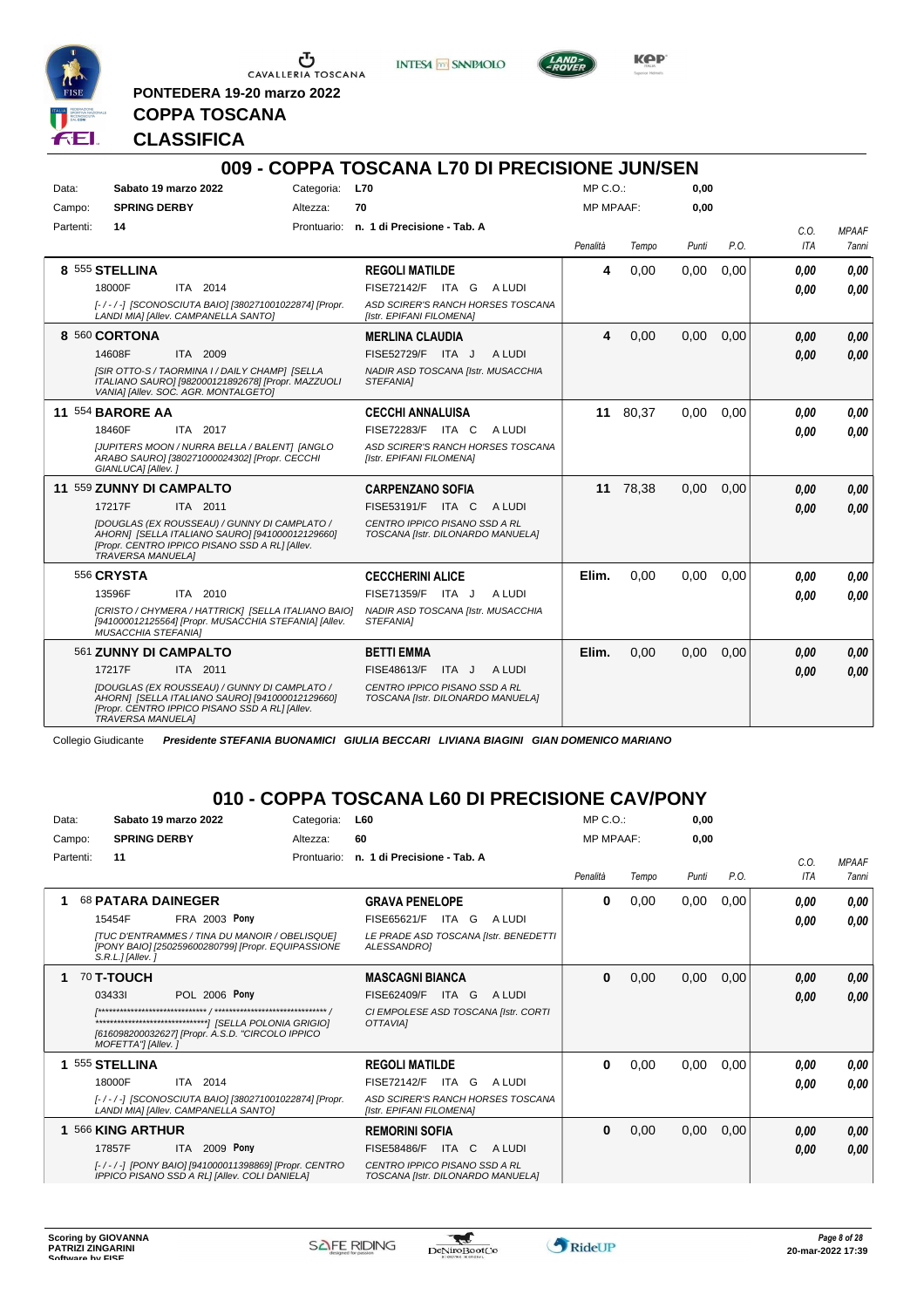

<u>ა</u> CAVALLERIA TOSCANA

**PONTEDERA 19-20 marzo 2022**





**COPPA TOSCANA**

#### **CLASSIFICA**

|           |                            |                                                                                                                                                   |            | 009 - COPPA TOSCANA L70 DI PRECISIONE JUN/SEN                      |        |                  |          |       |      |            |              |
|-----------|----------------------------|---------------------------------------------------------------------------------------------------------------------------------------------------|------------|--------------------------------------------------------------------|--------|------------------|----------|-------|------|------------|--------------|
| Data:     |                            | Sabato 19 marzo 2022                                                                                                                              | Categoria: | <b>L70</b>                                                         |        | MP C.O.:         |          | 0.00  |      |            |              |
| Campo:    | <b>SPRING DERBY</b>        |                                                                                                                                                   | Altezza:   | 70                                                                 |        | <b>MP MPAAF:</b> |          | 0.00  |      |            |              |
| Partenti: | 14                         |                                                                                                                                                   |            | Prontuario: n. 1 di Precisione - Tab. A                            |        |                  |          |       |      | C.O.       | <b>MPAAF</b> |
|           |                            |                                                                                                                                                   |            |                                                                    |        | Penalità         | Tempo    | Punti | P.O. | <b>ITA</b> | 7anni        |
|           | 8 555 STELLINA             |                                                                                                                                                   |            | <b>REGOLI MATILDE</b>                                              |        | 4                | 0,00     | 0,00  | 0,00 | 0.00       | 0.00         |
|           | 18000F                     | ITA 2014                                                                                                                                          |            | FISE72142/F ITA G                                                  | A LUDI |                  |          |       |      | 0.00       | 0.00         |
|           |                            | [-/-/-] [SCONOSCIUTA BAIO] [380271001022874] [Propr.<br>LANDI MIAI [Allev. CAMPANELLA SANTO]                                                      |            | ASD SCIRER'S RANCH HORSES TOSCANA<br>[Istr. EPIFANI FILOMENA]      |        |                  |          |       |      |            |              |
|           | 8 560 CORTONA              |                                                                                                                                                   |            | <b>MERLINA CLAUDIA</b>                                             |        | 4                | 0,00     | 0.00  | 0,00 | 0.00       | 0.00         |
|           | 14608F                     | ITA 2009                                                                                                                                          |            | FISE52729/F ITA J                                                  | A LUDI |                  |          |       |      | 0.00       | 0.00         |
|           |                            | [SIR OTTO-S / TAORMINA I / DAILY CHAMP] [SELLA<br>ITALIANO SAURO] [982000121892678] [Propr. MAZZUOLI<br>VANIA] [Allev. SOC. AGR. MONTALGETO]      |            | NADIR ASD TOSCANA [Istr. MUSACCHIA<br>STEFANIA1                    |        |                  |          |       |      |            |              |
|           | <b>11 554 BARORE AA</b>    |                                                                                                                                                   |            | <b>CECCHI ANNALUISA</b>                                            |        |                  | 11 80,37 | 0.00  | 0.00 | 0.00       | 0.00         |
|           | 18460F                     | ITA 2017                                                                                                                                          |            | FISE72283/F ITA C                                                  | A LUDI |                  |          |       |      | 0.00       | 0.00         |
|           | GIANLUCA] [Allev.]         | [JUPITERS MOON / NURRA BELLA / BALENT] [ANGLO<br>ARABO SAURO] [380271000024302] [Propr. CECCHI                                                    |            | ASD SCIRER'S RANCH HORSES TOSCANA<br>[Istr. EPIFANI FILOMENA]      |        |                  |          |       |      |            |              |
|           | 11 559 ZUNNY DI CAMPALTO   |                                                                                                                                                   |            | <b>CARPENZANO SOFIA</b>                                            |        |                  | 11 78,38 | 0.00  | 0.00 | 0,00       | 0.00         |
|           | 17217F                     | ITA 2011                                                                                                                                          |            | FISE53191/F ITA C                                                  | A LUDI |                  |          |       |      | 0.00       | 0.00         |
|           | <b>TRAVERSA MANUELA]</b>   | IDOUGLAS (EX ROUSSEAU) / GUNNY DI CAMPLATO /<br>AHORNI [SELLA ITALIANO SAURO] [941000012129660]<br>[Propr. CENTRO IPPICO PISANO SSD A RL] [Allev. |            | CENTRO IPPICO PISANO SSD A RL<br>TOSCANA [Istr. DILONARDO MANUELA] |        |                  |          |       |      |            |              |
|           | 556 CRYSTA                 |                                                                                                                                                   |            | <b>CECCHERINI ALICE</b>                                            |        | Elim.            | 0.00     | 0.00  | 0.00 | 0.00       | 0.00         |
|           | 13596F                     | ITA 2010                                                                                                                                          |            | FISE71359/F ITA J                                                  | A LUDI |                  |          |       |      | 0.00       | 0.00         |
|           | <b>MUSACCHIA STEFANIA1</b> | [CRISTO / CHYMERA / HATTRICK] [SELLA ITALIANO BAIO]<br>[941000012125564] [Propr. MUSACCHIA STEFANIA] [Allev.                                      |            | NADIR ASD TOSCANA [Istr. MUSACCHIA<br>STEFANIA1                    |        |                  |          |       |      |            |              |
|           | 561 ZUNNY DI CAMPALTO      |                                                                                                                                                   |            | <b>BETTI EMMA</b>                                                  |        | Elim.            | 0,00     | 0,00  | 0,00 | 0.00       | 0.00         |
|           | 17217F                     | ITA 2011                                                                                                                                          |            | FISE48613/F<br>ITA J                                               | A LUDI |                  |          |       |      | 0.00       | 0.00         |
|           | <b>TRAVERSA MANUELA]</b>   | IDOUGLAS (EX ROUSSEAU) / GUNNY DI CAMPLATO /<br>AHORNI [SELLA ITALIANO SAURO] [941000012129660]<br>[Propr. CENTRO IPPICO PISANO SSD A RL] [Allev. |            | CENTRO IPPICO PISANO SSD A RL<br>TOSCANA [Istr. DILONARDO MANUELA] |        |                  |          |       |      |            |              |

Collegio Giudicante *Presidente STEFANIA BUONAMICI GIULIA BECCARI LIVIANA BIAGINI GIAN DOMENICO MARIANO*

#### **010 - COPPA TOSCANA L60 DI PRECISIONE CAV/PONY**

| Data:     | Sabato 19 marzo 2022                                                                                                            | Categoria:  | <b>L60</b>                                                         | MP C. O.         |       | 0,00  |      |                    |                              |
|-----------|---------------------------------------------------------------------------------------------------------------------------------|-------------|--------------------------------------------------------------------|------------------|-------|-------|------|--------------------|------------------------------|
| Campo:    | <b>SPRING DERBY</b>                                                                                                             | Altezza:    | 60                                                                 | <b>MP MPAAF:</b> |       | 0.00  |      |                    |                              |
| Partenti: | 11                                                                                                                              | Prontuario: | n. 1 di Precisione - Tab. A                                        | Penalità         | Tempo | Punti | P.O. | C.O.<br><b>ITA</b> | <b>MPAAF</b><br><b>7anni</b> |
| 1         | <b>68 PATARA DAINEGER</b>                                                                                                       |             | <b>GRAVA PENELOPE</b>                                              | $\bf{0}$         | 0,00  | 0,00  | 0,00 | 0.00               | 0,00                         |
|           | <b>FRA 2003 Pony</b><br>15454F                                                                                                  |             | FISE65621/F<br>ITA G<br>A LUDI                                     |                  |       |       |      | 0.00               | 0,00                         |
|           | <b>[TUC D'ENTRAMMES / TINA DU MANOIR / OBELISQUE]</b><br>[PONY BAIO] [250259600280799] [Propr. EQUIPASSIONE<br>S.R.L.IIAllev. I |             | LE PRADE ASD TOSCANA [Istr. BENEDETTI<br>ALESSANDROI               |                  |       |       |      |                    |                              |
| 1         | <b>70 T-TOUCH</b>                                                                                                               |             | <b>MASCAGNI BIANCA</b>                                             | $\bf{0}$         | 0,00  | 0,00  | 0,00 | 0.00               | 0,00                         |
|           | POL 2006 Pony<br>034331                                                                                                         |             | ITA G<br>FISE62409/F<br>A LUDI                                     |                  |       |       |      | 0.00               | 0,00                         |
|           | [616098200032627] [Propr. A.S.D. "CIRCOLO IPPICO<br>MOFETTA"] [Allev. ]                                                         |             | CI EMPOLESE ASD TOSCANA [Istr. CORTI<br><b>OTTAVIAI</b>            |                  |       |       |      |                    |                              |
|           | 1 555 STELLINA                                                                                                                  |             | <b>REGOLI MATILDE</b>                                              | $\bf{0}$         | 0,00  | 0,00  | 0,00 | 0.00               | 0,00                         |
|           | 18000F<br>ITA 2014                                                                                                              |             | <b>FISE72142/F</b><br>ITA G<br>A LUDI                              |                  |       |       |      | 0.00               | 0.00                         |
|           | [-/-/-] [SCONOSCIUTA BAIO] [380271001022874] [Propr.<br>LANDI MIAI [Allev. CAMPANELLA SANTO]                                    |             | ASD SCIRER'S RANCH HORSES TOSCANA<br>[Istr. EPIFANI FILOMENA]      |                  |       |       |      |                    |                              |
| 1         | 566 KING ARTHUR                                                                                                                 |             | <b>REMORINI SOFIA</b>                                              | $\bf{0}$         | 0,00  | 0,00  | 0,00 | 0.00               | 0,00                         |
|           | <b>ITA 2009 Pony</b><br>17857F                                                                                                  |             | <b>FISE58486/F</b><br>ITA C<br>A LUDI                              |                  |       |       |      | 0,00               | 0,00                         |
|           | [-/-/-] [PONY BAIO] [941000011398869] [Propr. CENTRO<br>IPPICO PISANO SSD A RLI [Allev. COLI DANIELA]                           |             | CENTRO IPPICO PISANO SSD A RL<br>TOSCANA [Istr. DILONARDO MANUELA] |                  |       |       |      |                    |                              |

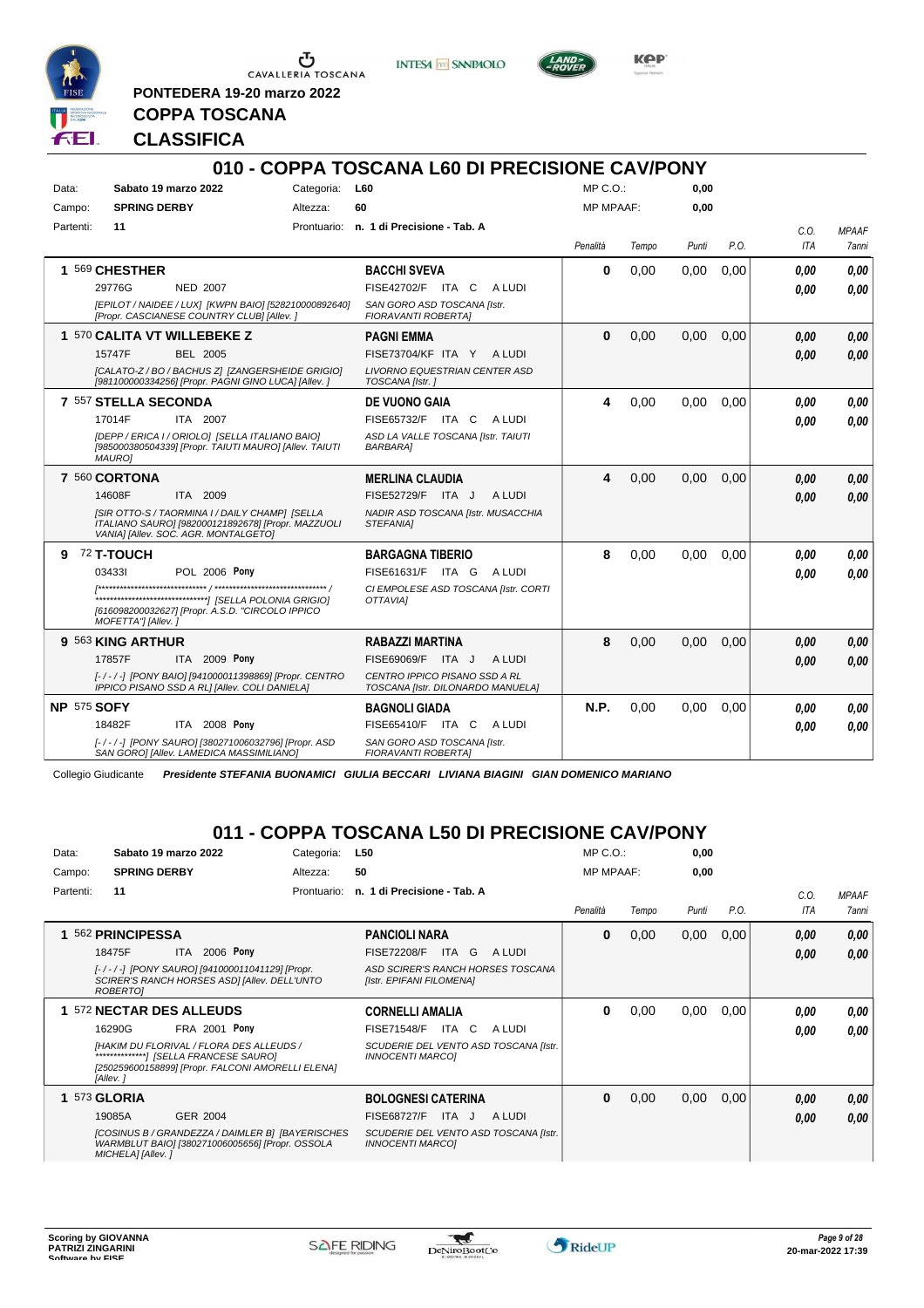

<u>ა</u> CAVALLERIA TOSCANA

**PONTEDERA 19-20 marzo 2022**

**INTESA** M SANPAOLO



**Kep** 

# **CLASSIFICA**

**COPPA TOSCANA**

|                    |                                                                                                                                              |            | 010 - COPPA TOSCANA L60 DI PRECISIONE CAV/PONY                     |                  |       |       |      |            |              |
|--------------------|----------------------------------------------------------------------------------------------------------------------------------------------|------------|--------------------------------------------------------------------|------------------|-------|-------|------|------------|--------------|
| Data:              | Sabato 19 marzo 2022                                                                                                                         | Categoria: | <b>L60</b>                                                         | MP C.O.          |       | 0,00  |      |            |              |
| Campo:             | <b>SPRING DERBY</b>                                                                                                                          | Altezza:   | 60                                                                 | <b>MP MPAAF:</b> |       | 0.00  |      |            |              |
| Partenti:          | 11                                                                                                                                           |            | Prontuario: n. 1 di Precisione - Tab. A                            |                  |       |       |      | C.O.       | <b>MPAAF</b> |
|                    |                                                                                                                                              |            |                                                                    | Penalità         | Tempo | Punti | P.O. | <b>ITA</b> | 7anni        |
|                    | 1 569 CHESTHER                                                                                                                               |            | <b>BACCHI SVEVA</b>                                                | 0                | 0,00  | 0,00  | 0,00 | 0.00       | 0.00         |
|                    | 29776G<br><b>NED 2007</b>                                                                                                                    |            | FISE42702/F ITA C<br>A LUDI                                        |                  |       |       |      | 0.00       | 0.00         |
|                    | [EPILOT / NAIDEE / LUX] [KWPN BAIO] [528210000892640]<br>[Propr. CASCIANESE COUNTRY CLUB] [Allev.]                                           |            | SAN GORO ASD TOSCANA [Istr.<br>FIORAVANTI ROBERTA]                 |                  |       |       |      |            |              |
|                    | 1 570 CALITA VT WILLEBEKE Z                                                                                                                  |            | <b>PAGNI EMMA</b>                                                  | 0                | 0,00  | 0,00  | 0,00 | 0.00       | 0.00         |
|                    | 15747F<br><b>BEL 2005</b>                                                                                                                    |            | FISE73704/KF ITA Y ALUDI                                           |                  |       |       |      | 0.00       | 0.00         |
|                    | [CALATO-Z / BO / BACHUS Z] [ZANGERSHEIDE GRIGIO]<br>[981100000334256] [Propr. PAGNI GINO LUCA] [Allev. ]                                     |            | <b>LIVORNO EQUESTRIAN CENTER ASD</b><br>TOSCANA [Istr.]            |                  |       |       |      |            |              |
|                    | 7 557 STELLA SECONDA                                                                                                                         |            | <b>DE VUONO GAIA</b>                                               | 4                | 0.00  | 0.00  | 0.00 | 0.00       | 0.00         |
|                    | 17014F<br>ITA 2007                                                                                                                           |            | FISE65732/F ITA C<br>A LUDI                                        |                  |       |       |      | 0.00       | 0.00         |
|                    | [DEPP / ERICA I / ORIOLO] [SELLA ITALIANO BAIO]<br>[985000380504339] [Propr. TAIUTI MAURO] [Allev. TAIUTI<br><b>MAURO1</b>                   |            | ASD LA VALLE TOSCANA [Istr. TAIUTI<br><b>BARBARA1</b>              |                  |       |       |      |            |              |
|                    | 7 560 CORTONA                                                                                                                                |            | <b>MERLINA CLAUDIA</b>                                             | 4                | 0,00  | 0,00  | 0,00 | 0.00       | 0.00         |
|                    | ITA 2009<br>14608F                                                                                                                           |            | FISE52729/F ITA J<br>A LUDI                                        |                  |       |       |      | 0.00       | 0.00         |
|                    | [SIR OTTO-S / TAORMINA I / DAILY CHAMP] [SELLA<br>ITALIANO SAURO] [982000121892678] [Propr. MAZZUOLI<br>VANIA] [Allev. SOC. AGR. MONTALGETO] |            | NADIR ASD TOSCANA [Istr. MUSACCHIA<br>STEFANIA1                    |                  |       |       |      |            |              |
|                    | 9 72 T-TOUCH                                                                                                                                 |            | <b>BARGAGNA TIBERIO</b>                                            | 8                | 0,00  | 0.00  | 0.00 | 0.00       | 0.00         |
|                    | <b>POL 2006 Pony</b><br>034331                                                                                                               |            | FISE61631/F ITA G<br>A LUDI                                        |                  |       |       |      | 0.00       | 0.00         |
|                    | [616098200032627] [Propr. A.S.D. "CIRCOLO IPPICO<br>MOFETTA"] [Allev.]                                                                       |            | CI EMPOLESE ASD TOSCANA [Istr. CORTI<br><b>OTTAVIAI</b>            |                  |       |       |      |            |              |
|                    | 9 563 KING ARTHUR                                                                                                                            |            | RABAZZI MARTINA                                                    | 8                | 0,00  | 0,00  | 0,00 | 0.00       | 0.00         |
|                    | 17857F<br><b>ITA 2009 Pony</b>                                                                                                               |            | FISE69069/F<br>A LUDI<br>ITA J                                     |                  |       |       |      | 0.00       | 0.00         |
|                    | [-/-/-] [PONY BAIO] [941000011398869] [Propr. CENTRO<br>IPPICO PISANO SSD A RL] [Allev. COLI DANIELA]                                        |            | CENTRO IPPICO PISANO SSD A RL<br>TOSCANA [Istr. DILONARDO MANUELA] |                  |       |       |      |            |              |
| <b>NP 575 SOFY</b> |                                                                                                                                              |            | <b>BAGNOLI GIADA</b>                                               | <b>N.P.</b>      | 0.00  | 0.00  | 0.00 | 0.00       | 0.00         |
|                    | ITA 2008 Pony<br>18482F                                                                                                                      |            | FISE65410/F ITA C<br>A LUDI                                        |                  |       |       |      | 0.00       | 0,00         |
|                    | [-/-/-] [PONY SAURO] [380271006032796] [Propr. ASD<br>SAN GORO] [Allev. LAMEDICA MASSIMILIANO]                                               |            | SAN GORO ASD TOSCANA [Istr.<br><b>FIORAVANTI ROBERTAI</b>          |                  |       |       |      |            |              |

Collegio Giudicante *Presidente STEFANIA BUONAMICI GIULIA BECCARI LIVIANA BIAGINI GIAN DOMENICO MARIANO*

### **011 - COPPA TOSCANA L50 DI PRECISIONE CAV/PONY**

| Data:     | Sabato 19 marzo 2022     |                                                                                                      | Categoria:  | L50                         |                                       | $MP C. O.$ :     |       | 0,00  |      |            |              |
|-----------|--------------------------|------------------------------------------------------------------------------------------------------|-------------|-----------------------------|---------------------------------------|------------------|-------|-------|------|------------|--------------|
| Campo:    | <b>SPRING DERBY</b>      |                                                                                                      | Altezza:    | 50                          |                                       | <b>MP MPAAF:</b> |       | 0,00  |      |            |              |
| Partenti: | 11                       |                                                                                                      | Prontuario: | n. 1 di Precisione - Tab. A |                                       |                  |       |       |      | C.O.       | <b>MPAAF</b> |
|           |                          |                                                                                                      |             |                             |                                       | Penalità         | Tempo | Punti | P.O. | <b>ITA</b> | 7anni        |
|           | 562 PRINCIPESSA          |                                                                                                      |             | <b>PANCIOLI NARA</b>        |                                       | $\bf{0}$         | 0,00  | 0,00  | 0,00 | 0.00       | 0.00         |
|           | 18475F                   | ITA 2006 Pony                                                                                        |             | <b>FISE72208/F</b>          | ITA G<br>A LUDI                       |                  |       |       |      | 0.00       | 0.00         |
|           | ROBERTO]                 | [-/-/-] [PONY SAURO] [941000011041129] [Propr.<br>SCIRER'S RANCH HORSES ASD] [Allev. DELL'UNTO       |             | [Istr. EPIFANI FILOMENA]    | ASD SCIRER'S RANCH HORSES TOSCANA     |                  |       |       |      |            |              |
|           | 1 572 NECTAR DES ALLEUDS |                                                                                                      |             | <b>CORNELLI AMALIA</b>      |                                       | 0                | 0,00  | 0,00  | 0,00 | 0.00       | 0,00         |
|           | 16290G                   | <b>FRA 2001 Pony</b>                                                                                 |             | <b>FISE71548/F</b>          | ITA C<br>A LUDI                       |                  |       |       |      | 0.00       | 0.00         |
|           |                          | [HAKIM DU FLORIVAL / FLORA DES ALLEUDS /<br>*************************/ ISELLA FRANCESE SAUROJ        |             | <b>INNOCENTI MARCOI</b>     | SCUDERIE DEL VENTO ASD TOSCANA [Istr. |                  |       |       |      |            |              |
|           | [Allev.]                 | [250259600158899] [Propr. FALCONI AMORELLI ELENA]                                                    |             |                             |                                       |                  |       |       |      |            |              |
|           | <b>1 573 GLORIA</b>      |                                                                                                      |             | <b>BOLOGNESI CATERINA</b>   |                                       | $\bf{0}$         | 0,00  | 0,00  | 0,00 | 0.00       | 0,00         |
|           | 19085A                   | GER 2004                                                                                             |             | <b>FISE68727/F</b>          | A LUDI<br>ITA J                       |                  |       |       |      | 0.00       | 0.00         |
|           | MICHELA] [Allev.]        | [COSINUS B / GRANDEZZA / DAIMLER B] [BAYERISCHES]<br>WARMBLUT BAIO] [380271006005656] [Propr. OSSOLA |             | <b>INNOCENTI MARCOI</b>     | SCUDERIE DEL VENTO ASD TOSCANA [Istr. |                  |       |       |      |            |              |

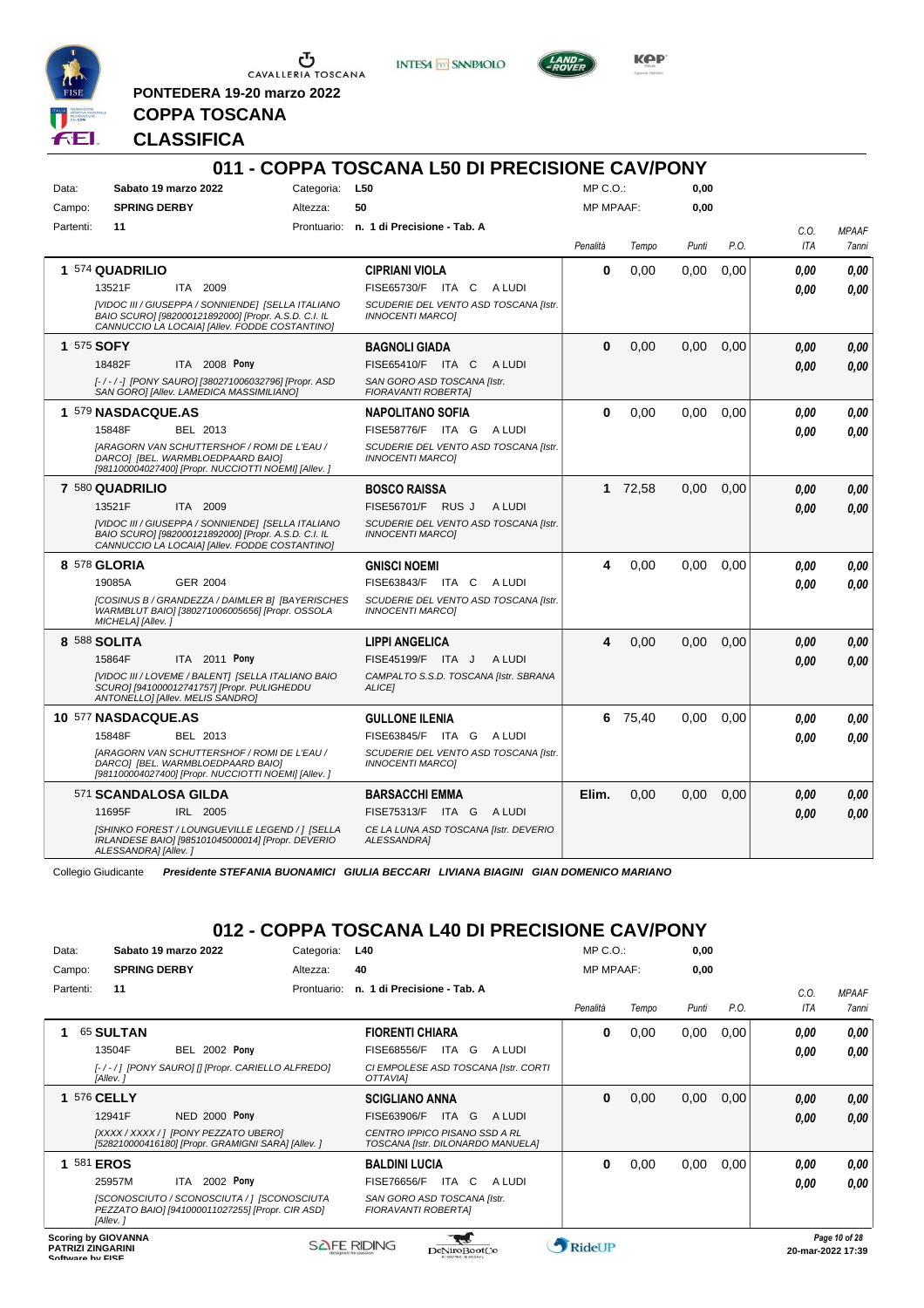

 $\sigma$  CAVALLERIA TOSCANA

**PONTEDERA 19-20 marzo 2022**

**INTESA** M SANPAOLO



**Kep** 

# **CLASSIFICA**

**COPPA TOSCANA**

|           |                                                                                                                                                              |            | 011 - COPPA TOSCANA L50 DI PRECISIONE CAV/PONY                   |                  |         |       |      |            |              |
|-----------|--------------------------------------------------------------------------------------------------------------------------------------------------------------|------------|------------------------------------------------------------------|------------------|---------|-------|------|------------|--------------|
| Data:     | Sabato 19 marzo 2022                                                                                                                                         | Categoria: | <b>L50</b>                                                       | MP C. O.         |         | 0.00  |      |            |              |
| Campo:    | <b>SPRING DERBY</b>                                                                                                                                          | Altezza:   | 50                                                               | <b>MP MPAAF:</b> |         | 0.00  |      |            |              |
| Partenti: | 11                                                                                                                                                           |            | Prontuario: n. 1 di Precisione - Tab. A                          |                  |         |       |      | C.O.       | <b>MPAAF</b> |
|           |                                                                                                                                                              |            |                                                                  | Penalità         | Tempo   | Punti | P.O. | <b>ITA</b> | 7anni        |
|           | 1 574 QUADRILIO                                                                                                                                              |            | <b>CIPRIANI VIOLA</b>                                            | 0                | 0,00    | 0,00  | 0,00 | 0.00       | 0.00         |
|           | 13521F<br>ITA 2009                                                                                                                                           |            | FISE65730/F ITA C ALUDI                                          |                  |         |       |      | 0.00       | 0.00         |
|           | [VIDOC III / GIUSEPPA / SONNIENDE] [SELLA ITALIANO<br>BAIO SCURO] [982000121892000] [Propr. A.S.D. C.I. IL<br>CANNUCCIO LA LOCAIA] [Allev. FODDE COSTANTINO] |            | SCUDERIE DEL VENTO ASD TOSCANA [Istr.<br><b>INNOCENTI MARCOI</b> |                  |         |       |      |            |              |
|           | 1 575 SOFY                                                                                                                                                   |            | <b>BAGNOLI GIADA</b>                                             | $\bf{0}$         | 0,00    | 0.00  | 0.00 | 0.00       | 0.00         |
|           | 18482F<br>ITA 2008 Pony                                                                                                                                      |            | FISE65410/F ITA C<br>A LUDI                                      |                  |         |       |      | 0.00       | 0,00         |
|           | [-/-/-] [PONY SAURO] [380271006032796] [Propr. ASD<br>SAN GORO] [Allev. LAMEDICA MASSIMILIANO]                                                               |            | SAN GORO ASD TOSCANA [Istr.<br>FIORAVANTI ROBERTA]               |                  |         |       |      |            |              |
|           | 1 579 NASDACQUE.AS                                                                                                                                           |            | <b>NAPOLITANO SOFIA</b>                                          | 0                | 0,00    | 0.00  | 0.00 | 0.00       | 0.00         |
|           | 15848F<br>BEL 2013                                                                                                                                           |            | FISE58776/F ITA G ALUDI                                          |                  |         |       |      | 0.00       | 0,00         |
|           | [ARAGORN VAN SCHUTTERSHOF / ROMI DE L'EAU /<br>DARCO] [BEL. WARMBLOEDPAARD BAIO]<br>[981100004027400] [Propr. NUCCIOTTI NOEMI] [Allev. ]                     |            | SCUDERIE DEL VENTO ASD TOSCANA [Istr.<br><b>INNOCENTI MARCOI</b> |                  |         |       |      |            |              |
|           | 7 580 QUADRILIO                                                                                                                                              |            | <b>BOSCO RAISSA</b>                                              |                  | 1 72,58 | 0.00  | 0.00 | 0,00       | 0,00         |
|           | 13521F<br>ITA 2009                                                                                                                                           |            | FISE56701/F RUS J A LUDI                                         |                  |         |       |      | 0.00       | 0.00         |
|           | [VIDOC III / GIUSEPPA / SONNIENDE] [SELLA ITALIANO<br>BAIO SCURO] [982000121892000] [Propr. A.S.D. C.I. IL<br>CANNUCCIO LA LOCAIA] [Allev. FODDE COSTANTINO] |            | SCUDERIE DEL VENTO ASD TOSCANA [Istr.<br><b>INNOCENTI MARCO1</b> |                  |         |       |      |            |              |
|           | 8 578 GLORIA                                                                                                                                                 |            | <b>GNISCI NOEMI</b>                                              | 4                | 0,00    | 0,00  | 0,00 | 0.00       | 0.00         |
|           | <b>GER 2004</b><br>19085A                                                                                                                                    |            | FISE63843/F ITA C ALUDI                                          |                  |         |       |      | 0.00       | 0.00         |
|           | [COSINUS B / GRANDEZZA / DAIMLER B] [BAYERISCHES<br>WARMBLUT BAIO] [380271006005656] [Propr. OSSOLA<br>MICHELAI [Allev.]                                     |            | SCUDERIE DEL VENTO ASD TOSCANA [Istr.<br><b>INNOCENTI MARCOI</b> |                  |         |       |      |            |              |
|           | 8 588 SOLITA                                                                                                                                                 |            | <b>LIPPI ANGELICA</b>                                            | 4                | 0,00    | 0.00  | 0.00 | 0.00       | 0.00         |
|           | 15864F<br>ITA 2011 Pony                                                                                                                                      |            | FISE45199/F ITA J<br>A LUDI                                      |                  |         |       |      | 0.00       | 0.00         |
|           | [VIDOC III / LOVEME / BALENT] [SELLA ITALIANO BAIO<br>SCURO] [941000012741757] [Propr. PULIGHEDDU<br>ANTONELLOI [Allev. MELIS SANDRO]                        |            | CAMPALTO S.S.D. TOSCANA [Istr. SBRANA<br>ALICE]                  |                  |         |       |      |            |              |
|           | 10 577 NASDACQUE.AS                                                                                                                                          |            | <b>GULLONE ILENIA</b>                                            |                  | 6 75,40 | 0.00  | 0,00 | 0.00       | 0,00         |
|           | 15848F<br>BEL 2013                                                                                                                                           |            | FISE63845/F ITA G ALUDI                                          |                  |         |       |      | 0.00       | 0.00         |
|           | <b>IARAGORN VAN SCHUTTERSHOF / ROMI DE L'EAU /</b><br>DARCO] [BEL. WARMBLOEDPAARD BAIO]<br>[981100004027400] [Propr. NUCCIOTTI NOEMI] [Allev.]               |            | SCUDERIE DEL VENTO ASD TOSCANA [Istr.<br><b>INNOCENTI MARCOI</b> |                  |         |       |      |            |              |
|           | 571 SCANDALOSA GILDA                                                                                                                                         |            | <b>BARSACCHI EMMA</b>                                            | Elim.            | 0.00    | 0.00  | 0.00 | 0.00       | 0.00         |
|           | 11695F<br>IRL 2005                                                                                                                                           |            | FISE75313/F ITA G ALUDI                                          |                  |         |       |      | 0,00       | 0.00         |
|           | [SHINKO FOREST / LOUNGUEVILLE LEGEND / ] [SELLA<br>IRLANDESE BAIO] [985101045000014] [Propr. DEVERIO<br>ALESSANDRA] [Allev.]                                 |            | CE LA LUNA ASD TOSCANA [Istr. DEVERIO<br>ALESSANDRA]             |                  |         |       |      |            |              |

Collegio Giudicante *Presidente STEFANIA BUONAMICI GIULIA BECCARI LIVIANA BIAGINI GIAN DOMENICO MARIANO*

# **012 - COPPA TOSCANA L40 DI PRECISIONE CAV/PONY**

| Data:                                        | Sabato 19 marzo 2022       |                                                                                                 | Categoria:  | L40                                                                |        | $MP C. O.$ :     |       | 0,00  |      |                   |                     |
|----------------------------------------------|----------------------------|-------------------------------------------------------------------------------------------------|-------------|--------------------------------------------------------------------|--------|------------------|-------|-------|------|-------------------|---------------------|
| Campo:                                       | <b>SPRING DERBY</b>        |                                                                                                 | Altezza:    | 40                                                                 |        | <b>MP MPAAF:</b> |       | 0,00  |      |                   |                     |
| Partenti:                                    | 11                         |                                                                                                 | Prontuario: | n. 1 di Precisione - Tab. A                                        |        |                  |       |       |      | C.0               | <b>MPAAF</b>        |
|                                              |                            |                                                                                                 |             |                                                                    |        | Penalità         | Tempo | Punti | P.O. | ITA               | <i><b>7anni</b></i> |
|                                              | 65 SULTAN                  |                                                                                                 |             | <b>FIORENTI CHIARA</b>                                             |        | 0                | 0,00  | 0,00  | 0,00 | 0,00              | 0,00                |
|                                              | 13504F                     | <b>BEL 2002 Pony</b>                                                                            |             | FISE68556/F<br>ITA<br>G                                            | A LUDI |                  |       |       |      | 0,00              | 0.00                |
|                                              | [Allev.]                   | [-/-/] [PONY SAURO] [] [Propr. CARIELLO ALFREDO]                                                |             | CI EMPOLESE ASD TOSCANA [Istr. CORTI<br>OTTAVIAI                   |        |                  |       |       |      |                   |                     |
|                                              | 576 CELLY                  |                                                                                                 |             | <b>SCIGLIANO ANNA</b>                                              |        | 0                | 0,00  | 0,00  | 0,00 | 0,00              | 0,00                |
|                                              | 12941F                     | <b>NED 2000 Pony</b>                                                                            |             | <b>ITA</b><br>G<br>FISE63906/F                                     | A LUDI |                  |       |       |      | 0,00              | 0.00                |
|                                              |                            | [XXXX / XXXX / ] [PONY PEZZATO UBERO]<br>[528210000416180] [Propr. GRAMIGNI SARA] [Allev. ]     |             | CENTRO IPPICO PISANO SSD A RL<br>TOSCANA [Istr. DILONARDO MANUELA] |        |                  |       |       |      |                   |                     |
|                                              | 581 <b>EROS</b>            |                                                                                                 |             | <b>BALDINI LUCIA</b>                                               |        | 0                | 0,00  | 0,00  | 0,00 | 0,00              | 0,00                |
|                                              | 25957M                     | 2002 Pony<br>ITA                                                                                |             | <b>FISE76656/F</b><br>ITA C                                        | A LUDI |                  |       |       |      | 0,00              | 0.00                |
|                                              | [Allev.]                   | [SCONOSCIUTO / SCONOSCIUTA / ] [SCONOSCIUTA<br>PEZZATO BAIO] [941000011027255] [Propr. CIR ASD] |             | SAN GORO ASD TOSCANA [Istr.<br>FIORAVANTI ROBERTAI                 |        |                  |       |       |      |                   |                     |
| <b>PATRIZI ZINGARINI</b><br>Coffware by EICE | <b>Scoring by GIOVANNA</b> |                                                                                                 |             | <b>SAFE RIDING</b><br>DeNiroBootCo<br><b>BIGHNYW, HERREALL</b>     |        | RideUP           |       |       |      | 20-mar-2022 17:39 | Page 10 of 28       |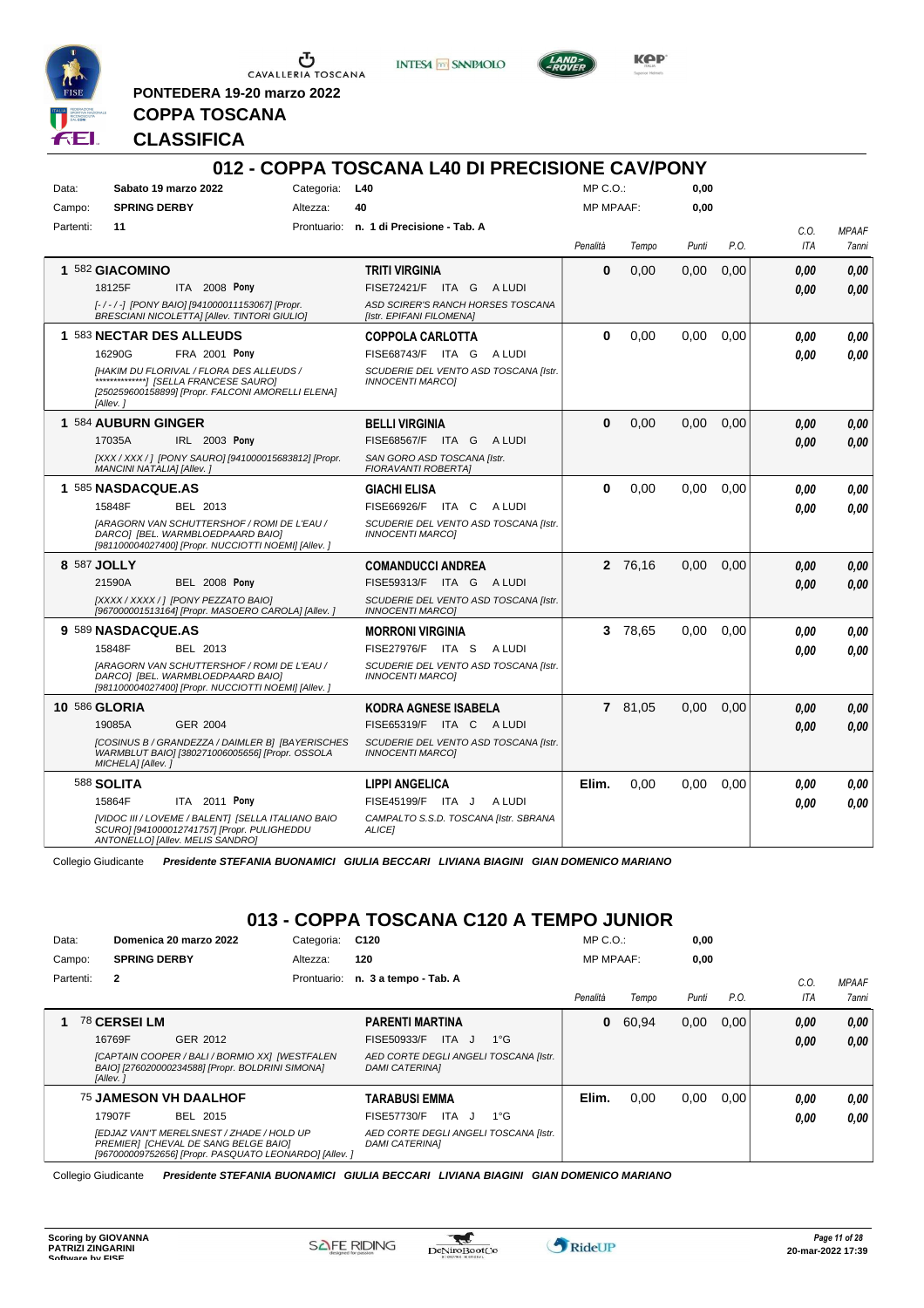

**PONTEDERA 19-20 marzo 2022**

**INTESA** M SANPAOLO



**Kep** 

# **CLASSIFICA**

**COPPA TOSCANA**

|           |                           |                                                                                                                                          |            | 012 - COPPA TOSCANA L40 DI PRECISIONE CAV/PONY                   |                  |         |       |      |            |              |
|-----------|---------------------------|------------------------------------------------------------------------------------------------------------------------------------------|------------|------------------------------------------------------------------|------------------|---------|-------|------|------------|--------------|
| Data:     |                           | Sabato 19 marzo 2022                                                                                                                     | Categoria: | L40                                                              | $MP C. O.$ :     |         | 0.00  |      |            |              |
| Campo:    | <b>SPRING DERBY</b>       |                                                                                                                                          | Altezza:   | 40                                                               | <b>MP MPAAF:</b> |         | 0,00  |      |            |              |
| Partenti: | 11                        |                                                                                                                                          |            | Prontuario: n. 1 di Precisione - Tab. A                          |                  |         |       |      | C.O.       | <b>MPAAF</b> |
|           |                           |                                                                                                                                          |            |                                                                  | Penalità         | Tempo   | Punti | P.O. | <b>ITA</b> | 7anni        |
|           | 1 582 GIACOMINO           |                                                                                                                                          |            | <b>TRITI VIRGINIA</b>                                            | $\bf{0}$         | 0.00    | 0.00  | 0.00 | 0.00       | 0,00         |
|           | 18125F                    | ITA 2008 Pony                                                                                                                            |            | FISE72421/F ITA G ALUDI                                          |                  |         |       |      | 0.00       | 0,00         |
|           |                           | [-/-/-] [PONY BAIO] [941000011153067] [Propr.<br>BRESCIANI NICOLETTA] [Allev. TINTORI GIULIO]                                            |            | ASD SCIRER'S RANCH HORSES TOSCANA<br>[Istr. EPIFANI FILOMENA]    |                  |         |       |      |            |              |
|           |                           | 1 583 NECTAR DES ALLEUDS                                                                                                                 |            | <b>COPPOLA CARLOTTA</b>                                          | $\bf{0}$         | 0.00    | 0.00  | 0.00 | 0.00       | 0,00         |
|           | 16290G                    | FRA 2001 Pony                                                                                                                            |            | FISE68743/F ITA G<br>A LUDI                                      |                  |         |       |      | 0.00       | 0.00         |
|           | [Allev. 1                 | IHAKIM DU FLORIVAL / FLORA DES ALLEUDS /<br>[250259600158899] [Propr. FALCONI AMORELLI ELENA]                                            |            | SCUDERIE DEL VENTO ASD TOSCANA Ilstr.<br><b>INNOCENTI MARCOI</b> |                  |         |       |      |            |              |
|           | 1 584 AUBURN GINGER       |                                                                                                                                          |            | <b>BELLI VIRGINIA</b>                                            | $\bf{0}$         | 0.00    | 0.00  | 0.00 | 0.00       | 0,00         |
|           | 17035A                    | IRL 2003 Pony                                                                                                                            |            | FISE68567/F ITA G<br>A LUDI                                      |                  |         |       |      | 0.00       | 0.00         |
|           | MANCINI NATALIA] [Allev.] | [XXX / XXX / ] [PONY SAURO] [941000015683812] [Propr.                                                                                    |            | SAN GORO ASD TOSCANA [Istr.<br><b>FIORAVANTI ROBERTAI</b>        |                  |         |       |      |            |              |
|           | 1 585 NASDACQUE.AS        |                                                                                                                                          |            | <b>GIACHI ELISA</b>                                              | $\bf{0}$         | 0.00    | 0.00  | 0.00 | 0.00       | 0,00         |
|           | 15848F                    | BEL 2013                                                                                                                                 |            | FISE66926/F ITA C<br>A LUDI                                      |                  |         |       |      | 0.00       | 0.00         |
|           |                           | [ARAGORN VAN SCHUTTERSHOF / ROMI DE L'EAU /<br>DARCO] [BEL. WARMBLOEDPAARD BAIO]<br>[981100004027400] [Propr. NUCCIOTTI NOEMI] [Allev. ] |            | SCUDERIE DEL VENTO ASD TOSCANA [Istr.<br><b>INNOCENTI MARCOI</b> |                  |         |       |      |            |              |
|           | 8 587 JOLLY               |                                                                                                                                          |            | <b>COMANDUCCI ANDREA</b>                                         |                  | 2 76,16 | 0.00  | 0.00 | 0.00       | 0,00         |
|           | 21590A                    | <b>BEL 2008 Pony</b>                                                                                                                     |            | FISE59313/F ITA G ALUDI                                          |                  |         |       |      | 0.00       | 0,00         |
|           |                           | [XXXX / XXXX / ] [PONY PEZZATO BAIO]<br>[967000001513164] [Propr. MASOERO CAROLA] [Allev.]                                               |            | SCUDERIE DEL VENTO ASD TOSCANA [Istr.<br><b>INNOCENTI MARCOI</b> |                  |         |       |      |            |              |
|           | 9 589 NASDACQUE.AS        |                                                                                                                                          |            | <b>MORRONI VIRGINIA</b>                                          |                  | 3 78,65 | 0.00  | 0,00 | 0.00       | 0,00         |
|           | 15848F                    | BEL 2013                                                                                                                                 |            | FISE27976/F ITA S<br>A LUDI                                      |                  |         |       |      | 0.00       | 0,00         |
|           |                           | [ARAGORN VAN SCHUTTERSHOF / ROMI DE L'EAU /<br>DARCO] [BEL. WARMBLOEDPAARD BAIO]<br>[981100004027400] [Propr. NUCCIOTTI NOEMI] [Allev.]  |            | SCUDERIE DEL VENTO ASD TOSCANA [Istr.<br><b>INNOCENTI MARCOI</b> |                  |         |       |      |            |              |
|           | <b>10 586 GLORIA</b>      |                                                                                                                                          |            | <b>KODRA AGNESE ISABELA</b>                                      |                  | 7 81,05 | 0.00  | 0,00 | 0.00       | 0,00         |
|           | 19085A                    | GER 2004                                                                                                                                 |            | FISE65319/F ITA C ALUDI                                          |                  |         |       |      | 0.00       | 0,00         |
|           | MICHELA] [Allev.]         | [COSINUS B / GRANDEZZA / DAIMLER B] [BAYERISCHES<br>WARMBLUT BAIO] [380271006005656] [Propr. OSSOLA                                      |            | SCUDERIE DEL VENTO ASD TOSCANA [Istr.<br><b>INNOCENTI MARCOI</b> |                  |         |       |      |            |              |
|           | 588 <b>SOLITA</b>         |                                                                                                                                          |            | <b>LIPPI ANGELICA</b>                                            | Elim.            | 0,00    | 0.00  | 0,00 | 0.00       | 0,00         |
|           | 15864F                    | ITA 2011 Pony                                                                                                                            |            | FISE45199/F<br>A LUDI<br>ITA J                                   |                  |         |       |      | 0.00       | 0,00         |
|           |                           | [VIDOC III / LOVEME / BALENT] [SELLA ITALIANO BAIO<br>SCURO] [941000012741757] [Propr. PULIGHEDDU<br>ANTONELLO] [Allev. MELIS SANDRO]    |            | CAMPALTO S.S.D. TOSCANA [Istr. SBRANA<br><b>ALICEI</b>           |                  |         |       |      |            |              |

Collegio Giudicante *Presidente STEFANIA BUONAMICI GIULIA BECCARI LIVIANA BIAGINI GIAN DOMENICO MARIANO*

# **013 - COPPA TOSCANA C120 A TEMPO JUNIOR**

| Data:     |                     | Domenica 20 marzo 2022                                                                                                                      | Categoria:  | C120                                                           | $MP C. O.$ :     |       | 0,00  |      |      |              |
|-----------|---------------------|---------------------------------------------------------------------------------------------------------------------------------------------|-------------|----------------------------------------------------------------|------------------|-------|-------|------|------|--------------|
| Campo:    | <b>SPRING DERBY</b> |                                                                                                                                             | Altezza:    | 120                                                            | <b>MP MPAAF:</b> |       | 0.00  |      |      |              |
| Partenti: | $\mathbf{2}$        |                                                                                                                                             | Prontuario: | n. 3 a tempo - Tab. A                                          |                  |       |       |      | C.0  | <b>MPAAF</b> |
|           |                     |                                                                                                                                             |             |                                                                | Penalità         | Tempo | Punti | P.O. | ITA  | 7anni        |
|           | 78 CERSEI LM        |                                                                                                                                             |             | <b>PARENTI MARTINA</b>                                         | $\mathbf{0}$     | 60.94 | 0,00  | 0.00 | 0,00 | 0,00         |
|           | 16769F              | GER 2012                                                                                                                                    |             | ITA J<br>FISE50933/F<br>$1^{\circ}G$                           |                  |       |       |      | 0,00 | 0.00         |
|           | [Allev.]            | [CAPTAIN COOPER / BALI / BORMIO XX] [WESTFALEN<br>BAIO] [276020000234588] [Propr. BOLDRINI SIMONA]                                          |             | AED CORTE DEGLI ANGELI TOSCANA [Istr.<br><b>DAMI CATERINAI</b> |                  |       |       |      |      |              |
|           |                     | <b>75 JAMESON VH DAALHOF</b>                                                                                                                |             | <b>TARABUSI EMMA</b>                                           | Elim.            | 0.00  | 0,00  | 0.00 | 0.00 | 0,00         |
|           | 17907F              | BEL 2015                                                                                                                                    |             | ITA J<br>FISE57730/F<br>$1^{\circ}G$                           |                  |       |       |      | 0.00 | 0,00         |
|           |                     | [EDJAZ VAN'T MERELSNEST / ZHADE / HOLD UP<br>PREMIER1 [CHEVAL DE SANG BELGE BAIO]<br>[967000009752656] [Propr. PASQUATO LEONARDO] [Allev. ] |             | AED CORTE DEGLI ANGELI TOSCANA [Istr.<br><b>DAMI CATERINAI</b> |                  |       |       |      |      |              |

Collegio Giudicante *Presidente STEFANIA BUONAMICI GIULIA BECCARI LIVIANA BIAGINI GIAN DOMENICO MARIANO*

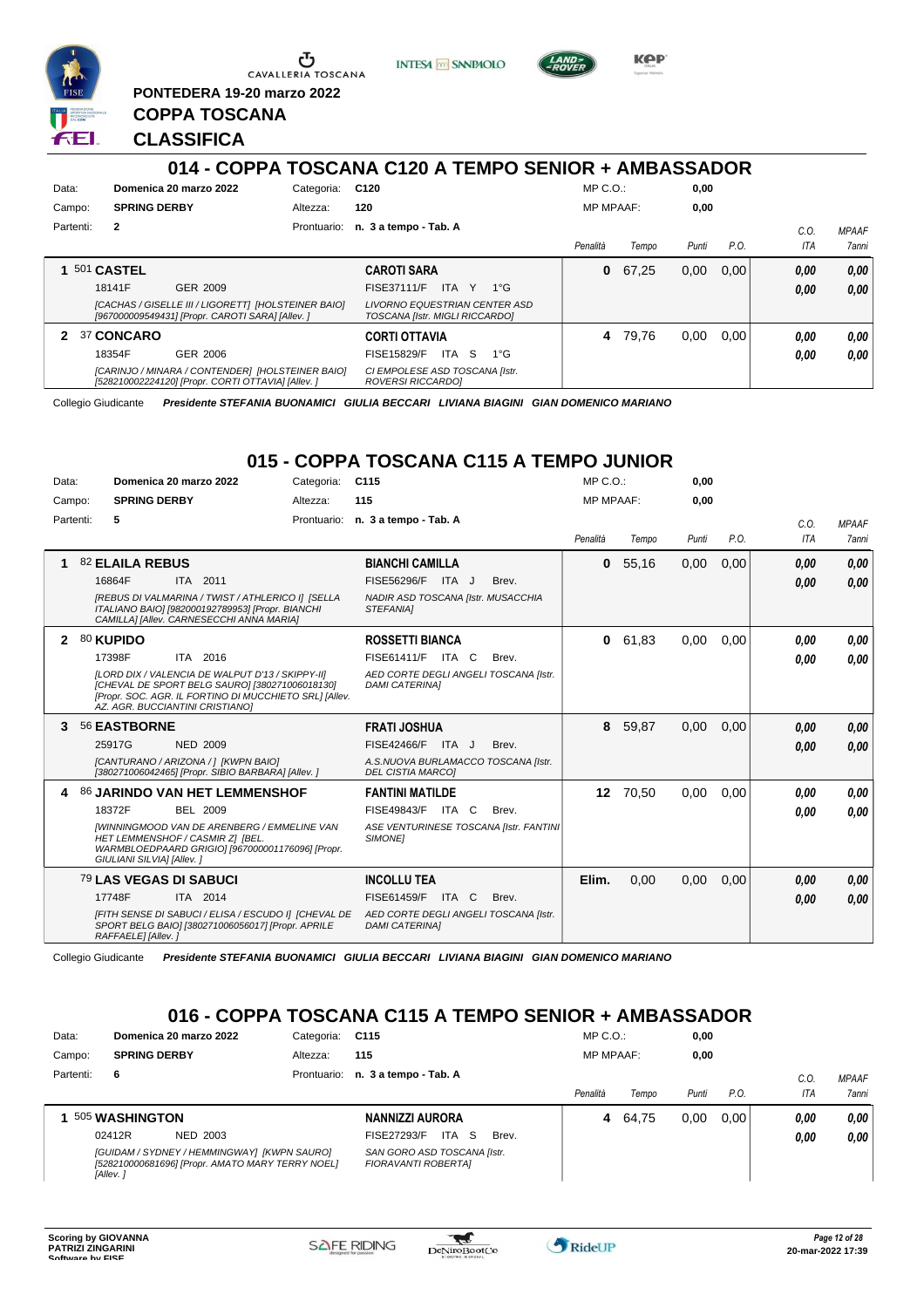

**PONTEDERA 19-20 marzo 2022**

**INTESA M** SANPAOLO



**Kep** 

### **CLASSIFICA**

**COPPA TOSCANA**

|           |                     |                                                                                                         |             | 014 - COPPA TOSCANA C120 A TEMPO SENIOR + AMBASSADOR            |                  |       |       |      |      |              |
|-----------|---------------------|---------------------------------------------------------------------------------------------------------|-------------|-----------------------------------------------------------------|------------------|-------|-------|------|------|--------------|
| Data:     |                     | Domenica 20 marzo 2022                                                                                  | Categoria:  | C120                                                            | $MP C. O.$ :     |       | 0.00  |      |      |              |
| Campo:    | <b>SPRING DERBY</b> |                                                                                                         | Altezza:    | 120                                                             | <b>MP MPAAF:</b> |       | 0,00  |      |      |              |
| Partenti: | $\mathbf{2}$        |                                                                                                         | Prontuario: | n. 3 a tempo - Tab. A                                           |                  |       |       |      | C.O. | <b>MPAAF</b> |
|           |                     |                                                                                                         |             |                                                                 | Penalità         | Tempo | Punti | P.O. | ITA  | 7anni        |
|           | 501 CASTEL          |                                                                                                         |             | <b>CAROTI SARA</b>                                              | 0                | 67.25 | 0,00  | 0,00 | 0,00 | 0.00         |
|           | 18141F              | GER 2009                                                                                                |             | <b>FISE37111/F</b><br>ITA I<br>Y<br>$1^{\circ}G$                |                  |       |       |      | 0.00 | 0.00         |
|           |                     | [CACHAS / GISELLE III / LIGORETT] [HOLSTEINER BAIO]<br>[967000009549431] [Propr. CAROTI SARA] [Allev. ] |             | LIVORNO EQUESTRIAN CENTER ASD<br>TOSCANA [Istr. MIGLI RICCARDO] |                  |       |       |      |      |              |
| 2         | 37 CONCARO          |                                                                                                         |             | <b>CORTI OTTAVIA</b>                                            | 4                | 79.76 | 0.00  | 0,00 | 0,00 | 0.00         |
|           | 18354F              | GER 2006                                                                                                |             | -S<br>$1^{\circ}G$<br>FISE15829/F<br>ITA I                      |                  |       |       |      | 0.00 | 0.00         |
|           |                     | [CARINJO / MINARA / CONTENDER] [HOLSTEINER BAIO]<br>[528210002224120] [Propr. CORTI OTTAVIA] [Allev. ]  |             | CI EMPOLESE ASD TOSCANA [Istr.<br>ROVERSI RICCARDO]             |                  |       |       |      |      |              |

Collegio Giudicante *Presidente STEFANIA BUONAMICI GIULIA BECCARI LIVIANA BIAGINI GIAN DOMENICO MARIANO*

### **015 - COPPA TOSCANA C115 A TEMPO JUNIOR**

| Data: | Domenica 20 marzo 2022<br>Categoria:                                                                                                                                                                                                  | C <sub>115</sub>                                                                                                             | $MP C. O.$ :     |       | 0,00  |      |                    |                       |
|-------|---------------------------------------------------------------------------------------------------------------------------------------------------------------------------------------------------------------------------------------|------------------------------------------------------------------------------------------------------------------------------|------------------|-------|-------|------|--------------------|-----------------------|
|       | <b>SPRING DERBY</b><br>Campo:<br>Altezza:                                                                                                                                                                                             | 115                                                                                                                          | <b>MP MPAAF:</b> |       | 0,00  |      |                    |                       |
|       | Partenti:<br>5                                                                                                                                                                                                                        | Prontuario: n. 3 a tempo - Tab. A                                                                                            | Penalità         | Tempo | Punti | P.O. | C.O.<br><b>ITA</b> | <b>MPAAF</b><br>7anni |
| 1     | 82 ELAILA REBUS<br>16864F<br>ITA 2011<br>[REBUS DI VALMARINA / TWIST / ATHLERICO I] [SELLA<br>ITALIANO BAIO] [982000192789953] [Propr. BIANCHI<br>CAMILLA] [Allev. CARNESECCHI ANNA MARIA]                                            | <b>BIANCHI CAMILLA</b><br><b>FISE56296/F</b><br>ITA J<br>Brev.<br>NADIR ASD TOSCANA [Istr. MUSACCHIA<br><b>STEFANIAI</b>     | $\mathbf{0}$     | 55,16 | 0,00  | 0,00 | 0.00<br>0.00       | 0,00<br>0,00          |
| 2     | 80 KUPIDO<br>17398F<br>ITA 2016<br>[LORD DIX / VALENCIA DE WALPUT D'13 / SKIPPY-II]<br>[CHEVAL DE SPORT BELG SAURO] [380271006018130]<br>[Propr. SOC. AGR. IL FORTINO DI MUCCHIETO SRL] [Allev.<br>AZ. AGR. BUCCIANTINI CRISTIANO]    | <b>ROSSETTI BIANCA</b><br>FISE61411/F ITA C<br>Brev.<br>AED CORTE DEGLI ANGELI TOSCANA [Istr.<br><b>DAMI CATERINAI</b>       | $\mathbf{0}$     | 61.83 | 0.00  | 0.00 | 0.00<br>0.00       | 0.00<br>0.00          |
| 3     | 56 EASTBORNE<br>25917G<br><b>NED 2009</b><br>[CANTURANO / ARIZONA / 1 [KWPN BAIO]<br>[380271006042465] [Propr. SIBIO BARBARA] [Allev. ]                                                                                               | <b>FRATI JOSHUA</b><br>FISE42466/F ITA J<br>Brev.<br>A.S.NUOVA BURLAMACCO TOSCANA [Istr.<br><b>DEL CISTIA MARCOI</b>         | 8                | 59,87 | 0,00  | 0,00 | 0,00<br>0.00       | 0,00<br>0,00          |
| 4     | 86 JARINDO VAN HET LEMMENSHOF<br>18372F<br><b>BEL 2009</b><br><b>IWINNINGMOOD VAN DE ARENBERG / EMMELINE VAN</b><br>HET LEMMENSHOF / CASMIR ZI [BEL.<br>WARMBLOEDPAARD GRIGIO] [967000001176096] [Propr.<br>GIULIANI SILVIA] [Allev.] | <b>FANTINI MATILDE</b><br><b>FISE49843/F ITA C</b><br>Brev.<br>ASE VENTURINESE TOSCANA [Istr. FANTINI]<br>SIMONE]            | 12 <sup>1</sup>  | 70,50 | 0,00  | 0,00 | 0.00<br>0.00       | 0.00<br>0.00          |
|       | 79 LAS VEGAS DI SABUCI<br>ITA 2014<br>17748F<br>[FITH SENSE DI SABUCI / ELISA / ESCUDO I] [CHEVAL DE<br>SPORT BELG BAIO] [380271006056017] [Propr. APRILE<br>RAFFAELE] [Allev.]                                                       | <b>INCOLLU TEA</b><br><b>FISE61459/F</b><br>ITA C<br>Brev.<br>AED CORTE DEGLI ANGELI TOSCANA [Istr.<br><b>DAMI CATERINAI</b> | Elim.            | 0,00  | 0,00  | 0,00 | 0.00<br>0.00       | 0,00<br>0,00          |

Collegio Giudicante *Presidente STEFANIA BUONAMICI GIULIA BECCARI LIVIANA BIAGINI GIAN DOMENICO MARIANO*

### **016 - COPPA TOSCANA C115 A TEMPO SENIOR + AMBASSADOR**

| Data:     | Domenica 20 marzo 2022                                                                                      | Categoria: | C115                                               | $MP C. O.$ :     |       | 0,00  |      |         |              |
|-----------|-------------------------------------------------------------------------------------------------------------|------------|----------------------------------------------------|------------------|-------|-------|------|---------|--------------|
| Campo:    | <b>SPRING DERBY</b>                                                                                         | Altezza:   | 115                                                | <b>MP MPAAF:</b> |       | 0,00  |      |         |              |
| Partenti: | 6                                                                                                           |            | Prontuario: n. 3 a tempo - Tab. A                  |                  |       |       |      | $C_{0}$ | <b>MPAAF</b> |
|           |                                                                                                             |            |                                                    | Penalità         | Tempo | Punti | P.O. | ITA     | 7anni        |
|           | 505 WASHINGTON                                                                                              |            | NANNIZZI AURORA                                    | 4                | 64.75 | 0,00  | 0.00 | 0.00    | 0.00         |
|           | 02412R<br>NED 2003                                                                                          |            | ITA<br>FISE27293/F<br>- S<br>Brev.                 |                  |       |       |      | 0.00    | 0.00         |
|           | [GUIDAM / SYDNEY / HEMMINGWAY] [KWPN SAURO]<br>[528210000681696] [Propr. AMATO MARY TERRY NOEL]<br>[Allev.] |            | SAN GORO ASD TOSCANA [Istr.<br>FIORAVANTI ROBERTAI |                  |       |       |      |         |              |

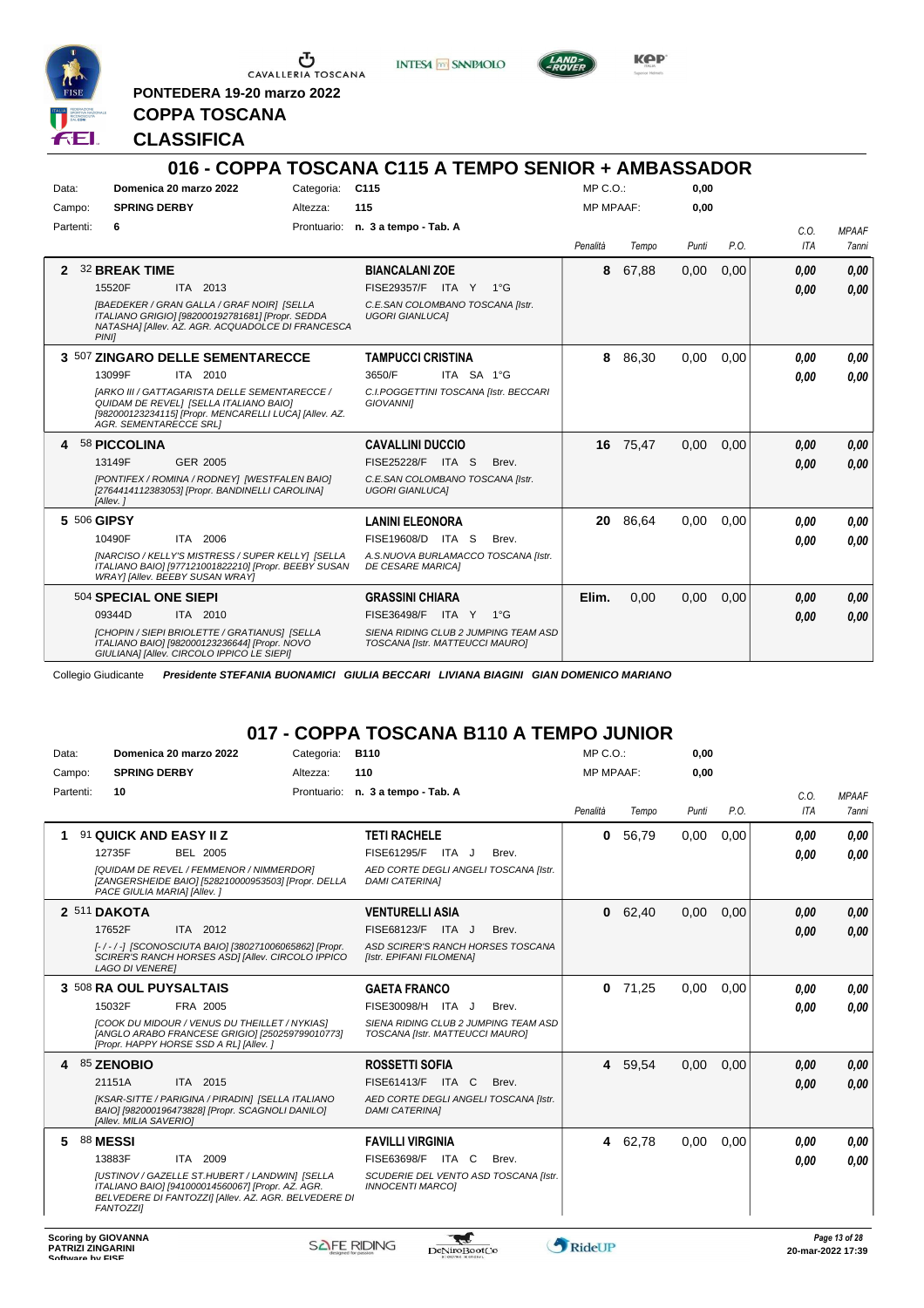

**INTESA M** SANPAOLO



**Kep** 

**PONTEDERA 19-20 marzo 2022 COPPA TOSCANA**

**CLASSIFICA**

|             |                                                                                                                                                                                           |            | 016 - COPPA TOSCANA C115 A TEMPO SENIOR + AMBASSADOR                    |                  |       |       |      |                    |                              |
|-------------|-------------------------------------------------------------------------------------------------------------------------------------------------------------------------------------------|------------|-------------------------------------------------------------------------|------------------|-------|-------|------|--------------------|------------------------------|
| Data:       | Domenica 20 marzo 2022                                                                                                                                                                    | Categoria: | C115                                                                    | $MP C. O.$ :     |       | 0.00  |      |                    |                              |
| Campo:      | <b>SPRING DERBY</b>                                                                                                                                                                       | Altezza:   | 115                                                                     | <b>MP MPAAF:</b> |       | 0.00  |      |                    |                              |
| Partenti:   | 6                                                                                                                                                                                         |            | Prontuario: n. 3 a tempo - Tab. A                                       | Penalità         | Tempo | Punti | P.O. | C.0.<br><b>ITA</b> | <b>MPAAF</b><br><b>7anni</b> |
| 2           | <b>32 BREAK TIME</b>                                                                                                                                                                      |            | <b>BIANCALANI ZOE</b>                                                   | 8                | 67,88 | 0,00  | 0,00 | 0.00               | 0.00                         |
|             | 15520F<br>ITA 2013                                                                                                                                                                        |            | FISE29357/F ITA Y 1°G                                                   |                  |       |       |      | 0.00               | 0.00                         |
|             | [BAEDEKER / GRAN GALLA / GRAF NOIR] [SELLA<br>ITALIANO GRIGIO] [982000192781681] [Propr. SEDDA<br>NATASHAI [Allev. AZ. AGR. ACQUADOLCE DI FRANCESCA<br><b>PINII</b>                       |            | C.E.SAN COLOMBANO TOSCANA [Istr.<br><b>UGORI GIANLUCAI</b>              |                  |       |       |      |                    |                              |
|             | 3 507 ZINGARO DELLE SEMENTARECCE                                                                                                                                                          |            | <b>TAMPUCCI CRISTINA</b>                                                | 8                | 86,30 | 0.00  | 0,00 | 0,00               | 0,00                         |
|             | 13099F<br>ITA 2010                                                                                                                                                                        |            | ITA SA 1°G<br>3650/F                                                    |                  |       |       |      | 0,00               | 0.00                         |
|             | <b>IARKO III / GATTAGARISTA DELLE SEMENTARECCE /</b><br>QUIDAM DE REVELI [SELLA ITALIANO BAIO]<br>[982000123234115] [Propr. MENCARELLI LUCA] [Allev. AZ.<br><b>AGR. SEMENTARECCE SRL1</b> |            | C.I.POGGETTINI TOSCANA [Istr. BECCARI<br><b>GIOVANNII</b>               |                  |       |       |      |                    |                              |
| 4           | 58 PICCOLINA                                                                                                                                                                              |            | <b>CAVALLINI DUCCIO</b>                                                 | 16               | 75,47 | 0.00  | 0.00 | 0.00               | 0,00                         |
|             | 13149F<br>GER 2005                                                                                                                                                                        |            | <b>FISE25228/F ITA S</b><br>Brev.                                       |                  |       |       |      | 0.00               | 0.00                         |
|             | [PONTIFEX / ROMINA / RODNEY] [WESTFALEN BAIO]<br>[2764414112383053] [Propr. BANDINELLI CAROLINA]<br>[Allev.]                                                                              |            | C.E.SAN COLOMBANO TOSCANA [Istr.<br><b>UGORI GIANLUCAI</b>              |                  |       |       |      |                    |                              |
| 5 506 GIPSY |                                                                                                                                                                                           |            | <b>LANINI ELEONORA</b>                                                  | 20               | 86.64 | 0.00  | 0.00 | 0.00               | 0.00                         |
|             | 10490F<br>ITA 2006                                                                                                                                                                        |            | FISE19608/D ITA S<br>Brev.                                              |                  |       |       |      | 0,00               | 0.00                         |
|             | [NARCISO / KELLY'S MISTRESS / SUPER KELLY] [SELLA<br>ITALIANO BAIO] [977121001822210] [Propr. BEEBY SUSAN<br><b>WRAY] [Allev. BEEBY SUSAN WRAY]</b>                                       |            | A.S.NUOVA BURLAMACCO TOSCANA [Istr.<br><b>DE CESARE MARICA]</b>         |                  |       |       |      |                    |                              |
|             | 504 SPECIAL ONE SIEPI                                                                                                                                                                     |            | <b>GRASSINI CHIARA</b>                                                  | Elim.            | 0,00  | 0,00  | 0,00 | 0.00               | 0.00                         |
|             | 09344D<br>ITA 2010                                                                                                                                                                        |            | FISE36498/F<br>ITA Y<br>$1^{\circ}G$                                    |                  |       |       |      | 0,00               | 0.00                         |
|             | [CHOPIN / SIEPI BRIOLETTE / GRATIANUS] [SELLA<br>ITALIANO BAIO] [982000123236644] [Propr. NOVO<br>GIULIANA] [Allev. CIRCOLO IPPICO LE SIEPI]                                              |            | SIENA RIDING CLUB 2 JUMPING TEAM ASD<br>TOSCANA [Istr. MATTEUCCI MAURO] |                  |       |       |      |                    |                              |

Collegio Giudicante *Presidente STEFANIA BUONAMICI GIULIA BECCARI LIVIANA BIAGINI GIAN DOMENICO MARIANO*

# **017 - COPPA TOSCANA B110 A TEMPO JUNIOR**

| Data:     | Domenica 20 marzo 2022                                                                                                                                                          | Categoria:  | <b>B110</b>                                                             | $MP C. O.$ :     |         | 0,00  |      |            |               |
|-----------|---------------------------------------------------------------------------------------------------------------------------------------------------------------------------------|-------------|-------------------------------------------------------------------------|------------------|---------|-------|------|------------|---------------|
| Campo:    | <b>SPRING DERBY</b>                                                                                                                                                             | Altezza:    | 110                                                                     | <b>MP MPAAF:</b> |         | 0,00  |      |            |               |
| Partenti: | 10                                                                                                                                                                              | Prontuario: | n. 3 a tempo - Tab. A                                                   |                  |         |       |      | C.O.       | <b>MPAAF</b>  |
|           |                                                                                                                                                                                 |             |                                                                         | Penalità         | Tempo   | Punti | P.O. | <b>ITA</b> | 7anni         |
| 1         | 91 QUICK AND EASY II Z                                                                                                                                                          |             | <b>TETI RACHELE</b>                                                     | 0                | 56,79   | 0,00  | 0,00 | 0.00       | 0,00          |
|           | 12735F<br>BEL 2005                                                                                                                                                              |             | <b>FISE61295/F</b><br>ITA J<br>Brev.                                    |                  |         |       |      | 0.00       | 0.00          |
|           | [QUIDAM DE REVEL / FEMMENOR / NIMMERDOR]<br>[ZANGERSHEIDE BAIO] [528210000953503] [Propr. DELLA<br>PACE GIULIA MARIAI [Allev.]                                                  |             | AED CORTE DEGLI ANGELI TOSCANA [Istr.<br><b>DAMI CATERINAI</b>          |                  |         |       |      |            |               |
|           | 2 511 DAKOTA                                                                                                                                                                    |             | <b>VENTURELLI ASIA</b>                                                  | 0                | 62,40   | 0,00  | 0.00 | 0,00       | 0,00          |
|           | 17652F<br>ITA 2012                                                                                                                                                              |             | FISE68123/F ITA J<br>Brev.                                              |                  |         |       |      | 0,00       | 0.00          |
|           | [-/-/-] [SCONOSCIUTA BAIO] [380271006065862] [Propr.<br>SCIRER'S RANCH HORSES ASD] [Allev. CIRCOLO IPPICO<br><b>LAGO DI VENEREI</b>                                             |             | ASD SCIRER'S RANCH HORSES TOSCANA<br>[Istr. EPIFANI FILOMENA]           |                  |         |       |      |            |               |
|           | 3 508 RA OUL PUYSALTAIS                                                                                                                                                         |             | <b>GAETA FRANCO</b>                                                     | 0                | 71.25   | 0.00  | 0.00 | 0.00       | 0.00          |
|           | 15032F<br>FRA 2005                                                                                                                                                              |             | FISE30098/H ITA J<br>Brev.                                              |                  |         |       |      | 0.00       | 0.00          |
|           | <b>ICOOK DU MIDOUR / VENUS DU THEILLET / NYKIASI</b><br>[ANGLO ARABO FRANCESE GRIGIO] [250259799010773]<br>[Propr. HAPPY HORSE SSD A RL] [Allev.]                               |             | SIENA RIDING CLUB 2 JUMPING TEAM ASD<br>TOSCANA [Istr. MATTEUCCI MAURO] |                  |         |       |      |            |               |
| 4         | 85 ZENOBIO                                                                                                                                                                      |             | <b>ROSSETTI SOFIA</b>                                                   |                  | 4 59,54 | 0,00  | 0,00 | 0,00       | 0,00          |
|           | 21151A<br>ITA 2015                                                                                                                                                              |             | FISE61413/F ITA C<br>Brev.                                              |                  |         |       |      | 0,00       | 0.00          |
|           | [KSAR-SITTE / PARIGINA / PIRADIN] [SELLA ITALIANO<br>BAIO] [982000196473828] [Propr. SCAGNOLI DANILO]<br>[Allev. MILIA SAVERIO]                                                 |             | AED CORTE DEGLI ANGELI TOSCANA [Istr.<br><b>DAMI CATERINAI</b>          |                  |         |       |      |            |               |
| 5         | <b>88 MESSI</b>                                                                                                                                                                 |             | <b>FAVILLI VIRGINIA</b>                                                 |                  | 4 62.78 | 0.00  | 0.00 | 0.00       | 0.00          |
|           | 13883F<br>ITA 2009                                                                                                                                                              |             | FISE63698/F<br>ITA C<br>Brev.                                           |                  |         |       |      | 0.00       | 0.00          |
|           | [USTINOV / GAZELLE ST.HUBERT / LANDWIN] [SELLA<br>ITALIANO BAIO] [941000014560067] [Propr. AZ. AGR.<br>BELVEDERE DI FANTOZZI] [Allev. AZ. AGR. BELVEDERE DI<br><b>FANTOZZII</b> |             | SCUDERIE DEL VENTO ASD TOSCANA [Istr.<br><b>INNOCENTI MARCOI</b>        |                  |         |       |      |            |               |
|           | <b>Scoring by GIOVANNA</b>                                                                                                                                                      |             |                                                                         |                  |         |       |      |            | Page 13 of 28 |

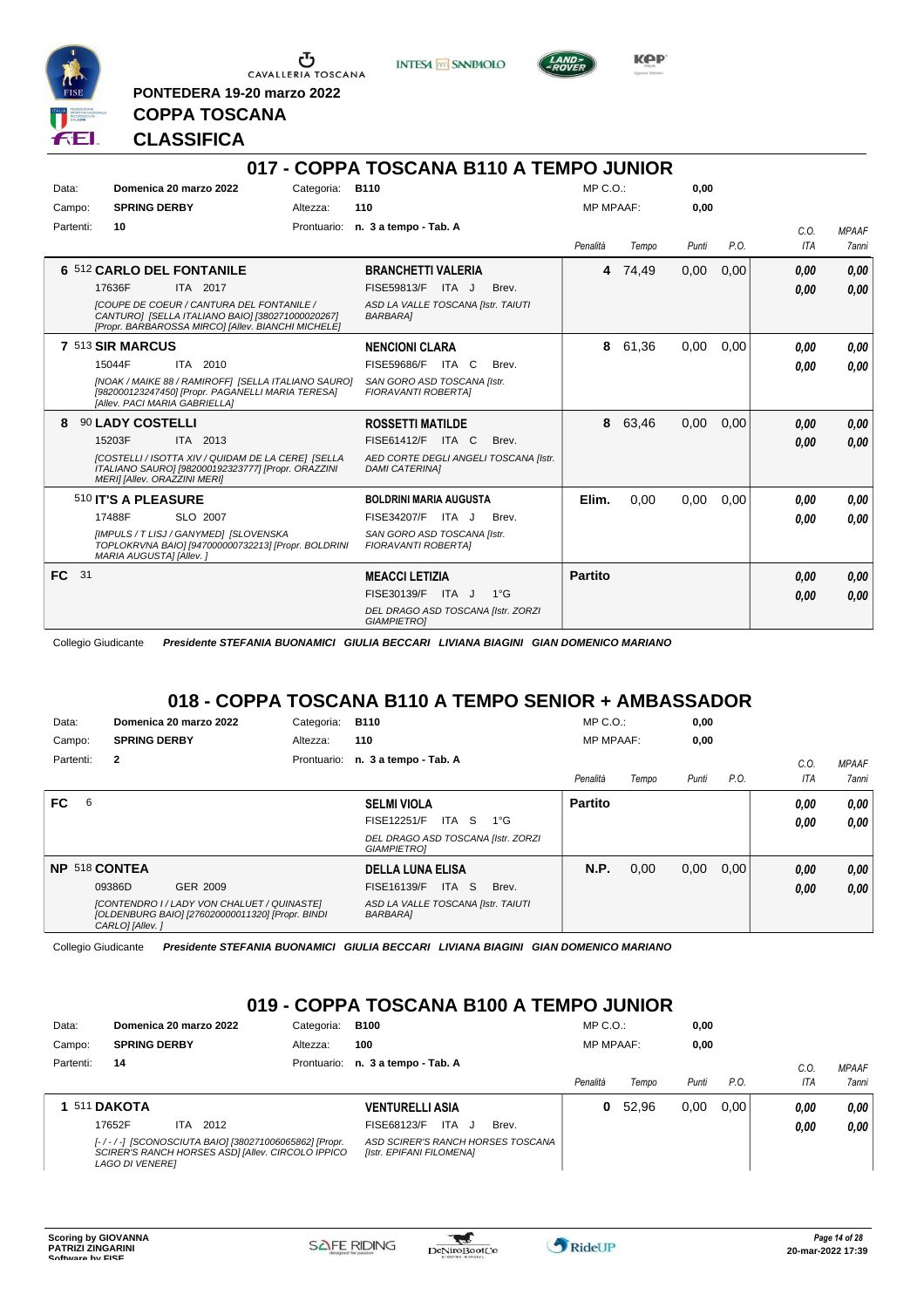

 $\sigma$  cavalleria toscana

**PONTEDERA 19-20 marzo 2022**

**INTESA** M SANPAOLO



**Kep** 

# **CLASSIFICA**

**COPPA TOSCANA**

|           |                               |                                                                                                                                                            |            | 017 - COPPA TOSCANA B110 A TEMPO JUNIOR                        |              |                  |         |       |      |            |              |
|-----------|-------------------------------|------------------------------------------------------------------------------------------------------------------------------------------------------------|------------|----------------------------------------------------------------|--------------|------------------|---------|-------|------|------------|--------------|
| Data:     |                               | Domenica 20 marzo 2022                                                                                                                                     | Categoria: | <b>B110</b>                                                    |              | MP C. O.         |         | 0.00  |      |            |              |
| Campo:    | <b>SPRING DERBY</b>           |                                                                                                                                                            | Altezza:   | 110                                                            |              | <b>MP MPAAF:</b> |         | 0,00  |      |            |              |
| Partenti: | 10                            |                                                                                                                                                            |            | Prontuario: n. 3 a tempo - Tab. A                              |              |                  |         |       |      | C.O.       | <b>MPAAF</b> |
|           |                               |                                                                                                                                                            |            |                                                                |              | Penalità         | Tempo   | Punti | P.O. | <b>ITA</b> | <b>7anni</b> |
|           | 6 512 CARLO DEL FONTANILE     |                                                                                                                                                            |            | <b>BRANCHETTI VALERIA</b>                                      |              |                  | 4 74,49 | 0,00  | 0,00 | 0,00       | 0.00         |
|           | 17636F                        | ITA 2017                                                                                                                                                   |            | ITA J<br>FISE59813/F                                           | Brev.        |                  |         |       |      | 0.00       | 0,00         |
|           |                               | <b>ICOUPE DE COEUR / CANTURA DEL FONTANILE /</b><br>CANTURO] [SELLA ITALIANO BAIO] [380271000020267]<br>[Propr. BARBAROSSA MIRCO] [Allev. BIANCHI MICHELE] |            | ASD LA VALLE TOSCANA [Istr. TAIUTI<br><b>BARBARA]</b>          |              |                  |         |       |      |            |              |
|           | 7 513 SIR MARCUS              |                                                                                                                                                            |            | <b>NENCIONI CLARA</b>                                          |              | 8                | 61,36   | 0.00  | 0.00 | 0.00       | 0.00         |
|           | 15044F                        | ITA 2010                                                                                                                                                   |            | <b>FISE59686/F</b><br>ITA C                                    | Brev.        |                  |         |       |      | 0.00       | 0.00         |
|           | [Allev. PACI MARIA GABRIELLA] | [NOAK / MAIKE 88 / RAMIROFF] [SELLA ITALIANO SAURO]<br>[982000123247450] [Propr. PAGANELLI MARIA TERESA]                                                   |            | SAN GORO ASD TOSCANA [Istr.<br><b>FIORAVANTI ROBERTAI</b>      |              |                  |         |       |      |            |              |
| 8         | 90 LADY COSTELLI              |                                                                                                                                                            |            | <b>ROSSETTI MATILDE</b>                                        |              | 8                | 63,46   | 0,00  | 0.00 | 0,00       | 0,00         |
|           | 15203F                        | ITA 2013                                                                                                                                                   |            | FISE61412/F ITA C                                              | Brev.        |                  |         |       |      | 0.00       | 0.00         |
|           | MERI] [Allev. ORAZZINI MERI]  | <b>ICOSTELLI / ISOTTA XIV / QUIDAM DE LA CEREI ISELLA</b><br>ITALIANO SAURO] [982000192323777] [Propr. ORAZZINI                                            |            | AED CORTE DEGLI ANGELI TOSCANA [Istr.<br><b>DAMI CATERINAI</b> |              |                  |         |       |      |            |              |
|           | 510 <b>IT'S A PLEASURE</b>    |                                                                                                                                                            |            | <b>BOLDRINI MARIA AUGUSTA</b>                                  |              | Elim.            | 0.00    | 0,00  | 0.00 | 0.00       | 0,00         |
|           | 17488F                        | SLO 2007                                                                                                                                                   |            | FISE34207/F<br>ITA J                                           | Brev.        |                  |         |       |      | 0,00       | 0.00         |
|           | MARIA AUGUSTA] [Allev.]       | [IMPULS / T LISJ / GANYMED] [SLOVENSKA<br>TOPLOKRVNA BAIO] [947000000732213] [Propr. BOLDRINI                                                              |            | SAN GORO ASD TOSCANA [Istr.<br><b>FIORAVANTI ROBERTAI</b>      |              |                  |         |       |      |            |              |
| FC 31     |                               |                                                                                                                                                            |            | <b>MEACCI LETIZIA</b>                                          |              | <b>Partito</b>   |         |       |      | 0.00       | 0,00         |
|           |                               |                                                                                                                                                            |            | FISE30139/F ITA J                                              | $1^{\circ}G$ |                  |         |       |      | 0.00       | 0.00         |
|           |                               |                                                                                                                                                            |            | DEL DRAGO ASD TOSCANA [Istr. ZORZI<br><b>GIAMPIETRO]</b>       |              |                  |         |       |      |            |              |

Collegio Giudicante *Presidente STEFANIA BUONAMICI GIULIA BECCARI LIVIANA BIAGINI GIAN DOMENICO MARIANO*

### **018 - COPPA TOSCANA B110 A TEMPO SENIOR + AMBASSADOR**

| Data:     | Domenica 20 marzo 2022                                                                                         | Categoria: | <b>B110</b>                                              | $MP C. O.$ :     |       | 0,00  |      |            |              |
|-----------|----------------------------------------------------------------------------------------------------------------|------------|----------------------------------------------------------|------------------|-------|-------|------|------------|--------------|
| Campo:    | <b>SPRING DERBY</b>                                                                                            | Altezza:   | 110                                                      | <b>MP MPAAF:</b> |       | 0,00  |      |            |              |
| Partenti: | $\overline{2}$                                                                                                 |            | Prontuario: n. 3 a tempo - Tab. A                        |                  |       |       |      | C.0        | <b>MPAAF</b> |
|           |                                                                                                                |            |                                                          | Penalità         | Tempo | Punti | P.O. | <b>ITA</b> | 7anni        |
| FC.<br>6  |                                                                                                                |            | <b>SELMI VIOLA</b>                                       | <b>Partito</b>   |       |       |      | 0.00       | 0,00         |
|           |                                                                                                                |            | ITA S<br>FISE12251/F<br>1°G                              |                  |       |       |      | 0.00       | 0.00         |
|           |                                                                                                                |            | DEL DRAGO ASD TOSCANA [Istr. ZORZI<br><b>GIAMPIETROI</b> |                  |       |       |      |            |              |
|           | NP 518 CONTEA                                                                                                  |            | <b>DELLA LUNA ELISA</b>                                  | <b>N.P.</b>      | 0,00  | 0,00  | 0,00 | 0,00       | 0,00         |
|           | 09386D<br>GER 2009                                                                                             |            | ITA S<br>FISE16139/F<br>Brev.                            |                  |       |       |      | 0,00       | 0.00         |
|           | [CONTENDRO I/LADY VON CHALUET/QUINASTE]<br>[OLDENBURG BAIO] [276020000011320] [Propr. BINDI<br>CARLO] [Allev.] |            | ASD LA VALLE TOSCANA [Istr. TAIUTI<br><b>BARBARA1</b>    |                  |       |       |      |            |              |

Collegio Giudicante *Presidente STEFANIA BUONAMICI GIULIA BECCARI LIVIANA BIAGINI GIAN DOMENICO MARIANO*

### **019 - COPPA TOSCANA B100 A TEMPO JUNIOR**

| Data:     | Domenica 20 marzo 2022                                                                                                              |             | <b>B100</b><br>Categoria:                                     |                  | $MP C. O.$ : |       | 0,00 |      |              |
|-----------|-------------------------------------------------------------------------------------------------------------------------------------|-------------|---------------------------------------------------------------|------------------|--------------|-------|------|------|--------------|
| Campo:    | <b>SPRING DERBY</b><br>Altezza:                                                                                                     |             | 100                                                           | <b>MP MPAAF:</b> |              | 0,00  |      |      |              |
| Partenti: | 14                                                                                                                                  | Prontuario: | n. 3 a tempo - Tab. A                                         |                  |              |       |      | C.O  | <b>MPAAF</b> |
|           |                                                                                                                                     |             |                                                               | Penalità         | Tempo        | Punti | P.O. | ITA  | <b>7anni</b> |
|           | <b>1 511 DAKOTA</b>                                                                                                                 |             | <b>VENTURELLI ASIA</b>                                        | 0                | 52.96        | 0.00  | 0.00 | 0.00 | 0.00         |
|           | 2012<br>17652F<br>ITA.                                                                                                              |             | ITA.<br>Brev.<br>FISE68123/F<br>- J                           |                  |              |       |      | 0.00 | 0.00         |
|           | [-/-/-] [SCONOSCIUTA BAIO] [380271006065862] [Propr.<br>SCIRER'S RANCH HORSES ASDI [Allev. CIRCOLO IPPICO<br><b>LAGO DI VENEREI</b> |             | ASD SCIRER'S RANCH HORSES TOSCANA<br>[Istr. EPIFANI FILOMENA] |                  |              |       |      |      |              |

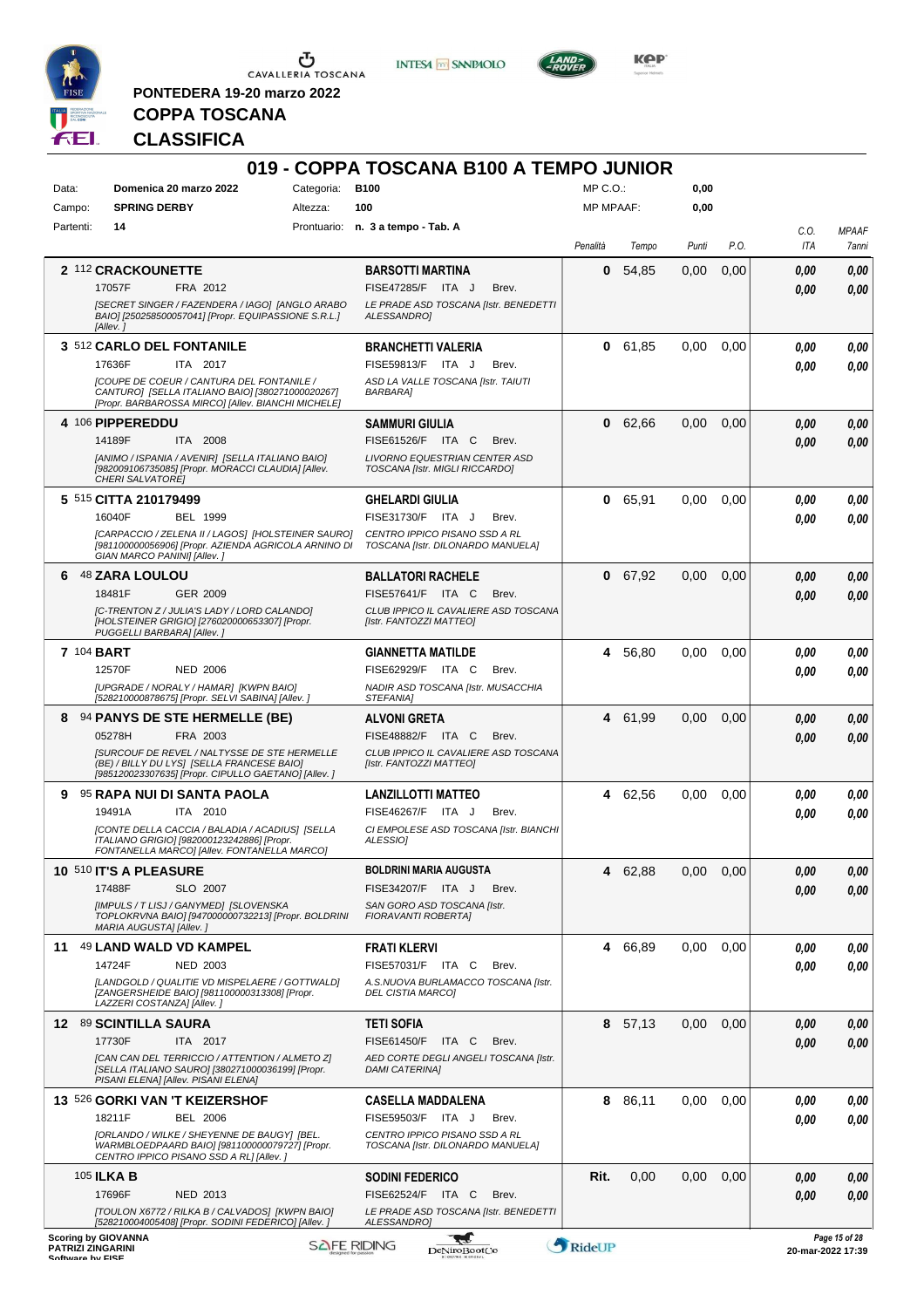

 $\mathop{\mathbf{U}}_{\mathop{\mathbf{CAVALLERIA}}}\mathop{\mathbf{Coxana}}$ 

**PONTEDERA 19-20 marzo 2022**

**INTESA** M SANPAOLO



KOP<sup>®</sup>

# **COPPA TOSCANA CLASSIFICA**

|                  |                                                                                                                                                            |                    | 019 - COPPA TOSCANA B100 A TEMPO JUNIOR                     |                  |         |       |      |                   |               |
|------------------|------------------------------------------------------------------------------------------------------------------------------------------------------------|--------------------|-------------------------------------------------------------|------------------|---------|-------|------|-------------------|---------------|
| Data:            | Domenica 20 marzo 2022                                                                                                                                     | Categoria:         | <b>B100</b>                                                 | MP C.O.:         |         | 0,00  |      |                   |               |
| Campo:           | <b>SPRING DERBY</b>                                                                                                                                        | Altezza:           | 100                                                         | <b>MP MPAAF:</b> |         | 0,00  |      |                   |               |
| Partenti:        | 14                                                                                                                                                         |                    | Prontuario: n. 3 a tempo - Tab. A                           |                  |         |       |      | C.O.              | <b>MPAAF</b>  |
|                  |                                                                                                                                                            |                    |                                                             | Penalità         | Tempo   | Punti | P.O. | ITA               | 7anni         |
|                  |                                                                                                                                                            |                    |                                                             |                  |         |       |      |                   |               |
|                  | 2 112 CRACKOUNETTE                                                                                                                                         |                    | <b>BARSOTTI MARTINA</b>                                     | 0                | 54,85   | 0.00  | 0,00 | 0.00              | 0,00          |
|                  | 17057F<br>FRA 2012                                                                                                                                         |                    | <b>FISE47285/F</b><br>ITA J<br>Brev.                        |                  |         |       |      | 0.00              | 0.00          |
|                  | [SECRET SINGER / FAZENDERA / IAGO] [ANGLO ARABO<br>BAIO] [250258500057041] [Propr. EQUIPASSIONE S.R.L.]                                                    |                    | LE PRADE ASD TOSCANA [Istr. BENEDETTI<br>ALESSANDRO]        |                  |         |       |      |                   |               |
|                  | [Allev.]                                                                                                                                                   |                    |                                                             |                  |         |       |      |                   |               |
|                  | 3 512 CARLO DEL FONTANILE                                                                                                                                  |                    | <b>BRANCHETTI VALERIA</b>                                   | 0                | 61,85   | 0.00  | 0,00 | 0.00              | 0,00          |
|                  | 17636F<br>ITA 2017                                                                                                                                         |                    | FISE59813/F<br>ITA J<br>Brev.                               |                  |         |       |      | 0.00              | 0.00          |
|                  | <b>[COUPE DE COEUR / CANTURA DEL FONTANILE /</b><br>CANTURO] [SELLA ITALIANO BAIO] [380271000020267]<br>[Propr. BARBAROSSA MIRCO] [Allev. BIANCHI MICHELE] |                    | ASD LA VALLE TOSCANA [Istr. TAIUTI<br><b>BARBARA]</b>       |                  |         |       |      |                   |               |
|                  | 4 106 PIPPEREDDU                                                                                                                                           |                    | <b>SAMMURI GIULIA</b>                                       | 0                | 62,66   | 0,00  | 0,00 | 0.00              | 0,00          |
|                  | 14189F<br>ITA 2008                                                                                                                                         |                    | FISE61526/F ITA C<br>Brev.                                  |                  |         |       |      | 0.00              | 0.00          |
|                  | [ANIMO / ISPANIA / AVENIR] [SELLA ITALIANO BAIO]                                                                                                           |                    | LIVORNO EQUESTRIAN CENTER ASD                               |                  |         |       |      |                   |               |
|                  | [982009106735085] [Propr. MORACCI CLAUDIA] [Allev.<br>CHERI SALVATORE]                                                                                     |                    | TOSCANA [Istr. MIGLI RICCARDO]                              |                  |         |       |      |                   |               |
|                  | 5 515 CITTA 210179499                                                                                                                                      |                    | <b>GHELARDI GIULIA</b>                                      | 0                | 65,91   | 0.00  | 0.00 | 0.00              | 0,00          |
|                  | 16040F<br><b>BEL 1999</b>                                                                                                                                  |                    | FISE31730/F<br>ITA J<br>Brev.                               |                  |         |       |      | 0.00              | 0.00          |
|                  | [CARPACCIO / ZELENA II / LAGOS] [HOLSTEINER SAURO]                                                                                                         |                    | CENTRO IPPICO PISANO SSD A RL                               |                  |         |       |      |                   |               |
|                  | [981100000056906] [Propr. AZIENDA AGRICOLA ARNINO DI<br>GIAN MARCO PANINI] [Allev.]                                                                        |                    | TOSCANA [Istr. DILONARDO MANUELA]                           |                  |         |       |      |                   |               |
| 6                | <b>48 ZARA LOULOU</b>                                                                                                                                      |                    | <b>BALLATORI RACHELE</b>                                    | 0                | 67,92   | 0.00  | 0,00 | 0,00              | 0,00          |
|                  | GER 2009<br>18481F                                                                                                                                         |                    | FISE57641/F ITA C<br>Brev.                                  |                  |         |       |      | 0.00              | 0.00          |
|                  | [C-TRENTON Z / JULIA'S LADY / LORD CALANDO]                                                                                                                |                    | CLUB IPPICO IL CAVALIERE ASD TOSCANA                        |                  |         |       |      |                   |               |
|                  | [HOLSTEINER GRIGIO] [276020000653307] [Propr.<br>PUGGELLI BARBARA] [Allev.]                                                                                |                    | [Istr. FANTOZZI MATTEO]                                     |                  |         |       |      |                   |               |
|                  | <b>7 104 BART</b>                                                                                                                                          |                    | <b>GIANNETTA MATILDE</b>                                    |                  | 4 56,80 | 0.00  | 0,00 | 0.00              | 0,00          |
|                  | 12570F<br><b>NED 2006</b>                                                                                                                                  |                    | FISE62929/F ITA C<br>Brev.                                  |                  |         |       |      | 0.00              | 0.00          |
|                  | [UPGRADE / NORALY / HAMAR] [KWPN BAIO]<br>[528210000878675] [Propr. SELVI SABINA] [Allev.]                                                                 |                    | NADIR ASD TOSCANA [Istr. MUSACCHIA<br>STEFANIA]             |                  |         |       |      |                   |               |
| 8                | 94 PANYS DE STE HERMELLE (BE)                                                                                                                              |                    |                                                             |                  | 4 61,99 |       |      |                   |               |
|                  | FRA 2003<br>05278H                                                                                                                                         |                    | <b>ALVONI GRETA</b><br><b>FISE48882/F</b><br>ITA C<br>Brev. |                  |         | 0.00  | 0,00 | 0.00              | 0,00          |
|                  | <b>ISURCOUF DE REVEL / NALTYSSE DE STE HERMELLE</b>                                                                                                        |                    | CLUB IPPICO IL CAVALIERE ASD TOSCANA                        |                  |         |       |      | 0.00              | 0.00          |
|                  | (BE) / BILLY DU LYS] [SELLA FRANCESE BAIO]<br>[985120023307635] [Propr. CIPULLO GAETANO] [Allev. ]                                                         |                    | [Istr. FANTOZZI MATTEO]                                     |                  |         |       |      |                   |               |
| 9                | 95 RAPA NUI DI SANTA PAOLA                                                                                                                                 |                    | <b>LANZILLOTTI MATTEO</b>                                   | 4                | 62,56   | 0.00  | 0,00 | 0.00              | 0,00          |
|                  | 19491A<br>ITA 2010                                                                                                                                         |                    | <b>FISE46267/F</b><br>ITA J<br>Brev.                        |                  |         |       |      | 0.00              | 0.00          |
|                  | [CONTE DELLA CACCIA / BALADIA / ACADIUS] [SELLA                                                                                                            |                    | CI EMPOLESE ASD TOSCANA [Istr. BIANCHI                      |                  |         |       |      |                   |               |
|                  | ITALIANO GRIGIO] [982000123242886] [Propr.<br>FONTANELLA MARCO] [Allev. FONTANELLA MARCO]                                                                  |                    | <b>ALESSIOI</b>                                             |                  |         |       |      |                   |               |
|                  | <b>10 510 IT'S A PLEASURE</b>                                                                                                                              |                    | <b>BOLDRINI MARIA AUGUSTA</b>                               | 4                | 62,88   | 0.00  | 0,00 | 0.00              | 0,00          |
|                  | SLO 2007<br>17488F                                                                                                                                         |                    | FISE34207/F ITA J<br>Brev.                                  |                  |         |       |      | 0.00              | 0,00          |
|                  | [IMPULS / T LISJ / GANYMED] [SLOVENSKA                                                                                                                     |                    | SAN GORO ASD TOSCANA [Istr.                                 |                  |         |       |      |                   |               |
|                  | TOPLOKRVNA BAIO] [947000000732213] [Propr. BOLDRINI<br>MARIA AUGUSTA] [Allev.]                                                                             |                    | <b>FIORAVANTI ROBERTAI</b>                                  |                  |         |       |      |                   |               |
| 11               | 49 LAND WALD VD KAMPEL                                                                                                                                     |                    | <b>FRATI KLERVI</b>                                         | 4                | 66,89   | 0,00  | 0,00 | 0,00              | 0,00          |
|                  | 14724F<br><b>NED 2003</b>                                                                                                                                  |                    | FISE57031/F ITA C<br>Brev.                                  |                  |         |       |      | 0.00              | 0,00          |
|                  | [LANDGOLD / QUALITIE VD MISPELAERE / GOTTWALD]                                                                                                             |                    | A.S.NUOVA BURLAMACCO TOSCANA [Istr.                         |                  |         |       |      |                   |               |
|                  | [ZANGERSHEIDE BAIO] [981100000313308] [Propr.<br>LAZZERI COSTANZA] [Allev.]                                                                                |                    | <b>DEL CISTIA MARCO]</b>                                    |                  |         |       |      |                   |               |
|                  | 12 89 SCINTILLA SAURA                                                                                                                                      |                    | <b>TETI SOFIA</b>                                           |                  | 8 57,13 | 0.00  | 0,00 | 0,00              | 0,00          |
|                  | 17730F<br>ITA 2017                                                                                                                                         |                    | FISE61450/F<br>ITA C<br>Brev.                               |                  |         |       |      | 0.00              | 0,00          |
|                  | [CAN CAN DEL TERRICCIO / ATTENTION / ALMETO Z]                                                                                                             |                    | AED CORTE DEGLI ANGELI TOSCANA [Istr.                       |                  |         |       |      |                   |               |
|                  | [SELLA ITALIANO SAURO] [380271000036199] [Propr.<br>PISANI ELENA] [Allev. PISANI ELENA]                                                                    |                    | <b>DAMI CATERINAI</b>                                       |                  |         |       |      |                   |               |
|                  | 13 526 GORKI VAN 'T KEIZERSHOF                                                                                                                             |                    | <b>CASELLA MADDALENA</b>                                    | 8                | 86,11   | 0.00  | 0,00 | 0.00              | 0,00          |
|                  | 18211F<br>BEL 2006                                                                                                                                         |                    | FISE59503/F<br>ITA J<br>Brev.                               |                  |         |       |      | 0.00              | 0.00          |
|                  | [ORLANDO / WILKE / SHEYENNE DE BAUGY] [BEL.                                                                                                                |                    | CENTRO IPPICO PISANO SSD A RL                               |                  |         |       |      |                   |               |
|                  | WARMBLOEDPAARD BAIO] [981100000079727] [Propr.<br>CENTRO IPPICO PISANO SSD A RLI [Allev.]                                                                  |                    | TOSCANA [Istr. DILONARDO MANUELA]                           |                  |         |       |      |                   |               |
|                  | 105 <b>ILKA B</b>                                                                                                                                          |                    | <b>SODINI FEDERICO</b>                                      | Rit.             | 0,00    | 0,00  | 0,00 | 0.00              | 0,00          |
|                  | 17696F<br><b>NED 2013</b>                                                                                                                                  |                    | FISE62524/F<br>ITA C<br>Brev.                               |                  |         |       |      | 0.00              | 0,00          |
|                  | [TOULON X6772 / RILKA B / CALVADOS] [KWPN BAIO]                                                                                                            |                    | LE PRADE ASD TOSCANA [Istr. BENEDETTI                       |                  |         |       |      |                   |               |
|                  | [528210004005408] [Propr. SODINI FEDERICO] [Allev.]<br><b>Scoring by GIOVANNA</b>                                                                          |                    | ALESSANDRO]                                                 |                  |         |       |      |                   | Page 15 of 28 |
| Coffware by EICE | <b>PATRIZI ZINGARINI</b>                                                                                                                                   | <b>SAFE RIDING</b> | <b>DeNiroBootCo</b>                                         | RideUP           |         |       |      | 20-mar-2022 17:39 |               |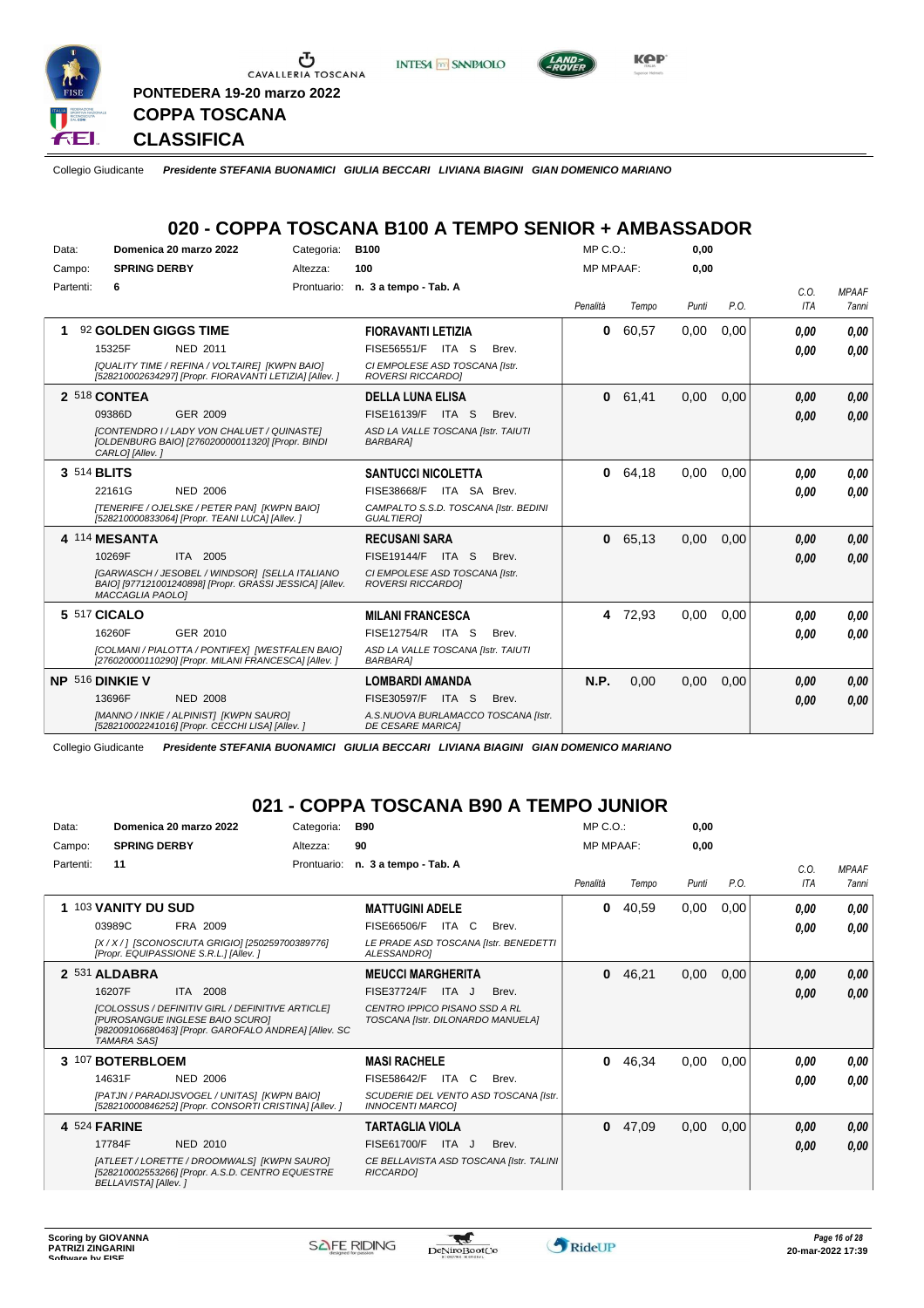

Ⴠ CAVALLERIA TOSCANA **PONTEDERA 19-20 marzo 2022**





**CLASSIFICA**

**COPPA TOSCANA**

Collegio Giudicante *Presidente STEFANIA BUONAMICI GIULIA BECCARI LIVIANA BIAGINI GIAN DOMENICO MARIANO*

### **020 - COPPA TOSCANA B100 A TEMPO SENIOR + AMBASSADOR**

| Data: |           |                         | Domenica 20 marzo 2022                                                                                    | Categoria: | <b>B100</b>                                                     |       | $MP C. O.$ :     |       | 0,00  |      |      |              |
|-------|-----------|-------------------------|-----------------------------------------------------------------------------------------------------------|------------|-----------------------------------------------------------------|-------|------------------|-------|-------|------|------|--------------|
|       | Campo:    | <b>SPRING DERBY</b>     |                                                                                                           | Altezza:   | 100                                                             |       | <b>MP MPAAF:</b> |       | 0,00  |      |      |              |
|       | Partenti: | 6                       |                                                                                                           |            | Prontuario: n. 3 a tempo - Tab. A                               |       |                  |       |       |      | C.O. | <b>MPAAF</b> |
|       |           |                         |                                                                                                           |            |                                                                 |       | Penalità         | Tempo | Punti | P.O. | ITA  | <b>7anni</b> |
|       |           | 92 GOLDEN GIGGS TIME    |                                                                                                           |            | <b>FIORAVANTI LETIZIA</b>                                       |       | 0                | 60,57 | 0,00  | 0,00 | 0,00 | 0.00         |
|       |           | 15325F                  | NED 2011                                                                                                  |            | <b>FISE56551/F</b><br>ITA S                                     | Brev. |                  |       |       |      | 0,00 | 0.00         |
|       |           |                         | [QUALITY TIME / REFINA / VOLTAIRE] [KWPN BAIO]<br>[528210002634297] [Propr. FIORAVANTI LETIZIA] [Allev. ] |            | CI EMPOLESE ASD TOSCANA [Istr.<br><b>ROVERSI RICCARDOI</b>      |       |                  |       |       |      |      |              |
|       |           | 2 518 CONTEA            |                                                                                                           |            | <b>DELLA LUNA ELISA</b>                                         |       | 0                | 61,41 | 0.00  | 0.00 | 0,00 | 0,00         |
|       |           | 09386D                  | GER 2009                                                                                                  |            | FISE16139/F ITA S                                               | Brev. |                  |       |       |      | 0,00 | 0.00         |
|       |           | CARLO] [Allev.]         | [CONTENDRO I/LADY VON CHALUET/QUINASTE]<br>[OLDENBURG BAIO] [276020000011320] [Propr. BINDI               |            | ASD LA VALLE TOSCANA [Istr. TAIUTI<br><b>BARBARA1</b>           |       |                  |       |       |      |      |              |
|       |           | 3 514 BLITS             |                                                                                                           |            | <b>SANTUCCI NICOLETTA</b>                                       |       | 0                | 64.18 | 0.00  | 0.00 | 0,00 | 0.00         |
|       |           | 22161G                  | <b>NED 2006</b>                                                                                           |            | FISE38668/F<br>ITA SA Brev.                                     |       |                  |       |       |      | 0,00 | 0.00         |
|       |           |                         | [TENERIFE / OJELSKE / PETER PAN] [KWPN BAIO]<br>[528210000833064] [Propr. TEANI LUCA] [Allev. ]           |            | CAMPALTO S.S.D. TOSCANA [Istr. BEDINI<br><b>GUALTIEROI</b>      |       |                  |       |       |      |      |              |
|       |           | 4 114 MESANTA           |                                                                                                           |            | <b>RECUSANI SARA</b>                                            |       | 0                | 65,13 | 0,00  | 0,00 | 0,00 | 0.00         |
|       |           | 10269F                  | ITA 2005                                                                                                  |            | FISE19144/F<br>ITA S                                            | Brev. |                  |       |       |      | 0,00 | 0.00         |
|       |           | <b>MACCAGLIA PAOLO1</b> | [GARWASCH / JESOBEL / WINDSOR] [SELLA ITALIANO<br>BAIO] [977121001240898] [Propr. GRASSI JESSICA] [Allev. |            | CI EMPOLESE ASD TOSCANA [Istr.<br><b>ROVERSI RICCARDOI</b>      |       |                  |       |       |      |      |              |
|       |           | 5 517 CICALO            |                                                                                                           |            | <b>MILANI FRANCESCA</b>                                         |       | 4                | 72,93 | 0,00  | 0,00 | 0,00 | 0.00         |
|       |           | 16260F                  | GER 2010                                                                                                  |            | FISE12754/R ITA S                                               | Brev. |                  |       |       |      | 0,00 | 0.00         |
|       |           |                         | [COLMANI / PIALOTTA / PONTIFEX] [WESTFALEN BAIO]<br>[276020000110290] [Propr. MILANI FRANCESCA] [Allev.]  |            | ASD LA VALLE TOSCANA [Istr. TAIUTI<br><b>BARBARA1</b>           |       |                  |       |       |      |      |              |
|       |           | <b>NP 516 DINKIE V</b>  |                                                                                                           |            | <b>LOMBARDI AMANDA</b>                                          |       | N.P.             | 0.00  | 0,00  | 0,00 | 0,00 | 0.00         |
|       |           | 13696F                  | <b>NED 2008</b>                                                                                           |            | FISE30597/F<br>ITA S                                            | Brev. |                  |       |       |      | 0,00 | 0.00         |
|       |           |                         | [MANNO / INKIE / ALPINIST] [KWPN SAURO]<br>[528210002241016] [Propr. CECCHI LISA] [Allev.]                |            | A.S.NUOVA BURLAMACCO TOSCANA [Istr.<br><b>DE CESARE MARICAI</b> |       |                  |       |       |      |      |              |

Collegio Giudicante *Presidente STEFANIA BUONAMICI GIULIA BECCARI LIVIANA BIAGINI GIAN DOMENICO MARIANO*

### **021 - COPPA TOSCANA B90 A TEMPO JUNIOR**

| Data:     | Domenica 20 marzo 2022                                                                                                                                                    | Categoria:  | B90                                                                | $MP C. O.$ :     |       | 0.00  |      |             |                       |
|-----------|---------------------------------------------------------------------------------------------------------------------------------------------------------------------------|-------------|--------------------------------------------------------------------|------------------|-------|-------|------|-------------|-----------------------|
| Campo:    | <b>SPRING DERBY</b>                                                                                                                                                       | Altezza:    | 90                                                                 | <b>MP MPAAF:</b> |       | 0,00  |      |             |                       |
| Partenti: | 11                                                                                                                                                                        | Prontuario: | n. 3 a tempo - Tab. A                                              | Penalità         | Tempo | Punti | P.O. | C.0.<br>ITA | <b>MPAAF</b><br>7anni |
| 1         | 103 VANITY DU SUD                                                                                                                                                         |             | <b>MATTUGINI ADELE</b>                                             | 0                | 40,59 | 0,00  | 0,00 | 0.00        | 0,00                  |
|           | 03989C<br>FRA 2009                                                                                                                                                        |             | FISE66506/F<br>ITA C<br>Brev.                                      |                  |       |       |      | 0.00        | 0.00                  |
|           | [X / X / 1 [SCONOSCIUTA GRIGIO] [250259700389776]<br>[Propr. EQUIPASSIONE S.R.L.] [Allev.]                                                                                |             | LE PRADE ASD TOSCANA [Istr. BENEDETTI<br>ALESSANDROI               |                  |       |       |      |             |                       |
|           | 2 531 ALDABRA                                                                                                                                                             |             | <b>MEUCCI MARGHERITA</b>                                           | 0                | 46,21 | 0,00  | 0,00 | 0,00        | 0.00                  |
|           | ITA 2008<br>16207F                                                                                                                                                        |             | <b>FISE37724/F</b><br>ITA J<br>Brev.                               |                  |       |       |      | 0,00        | 0,00                  |
|           | <b>ICOLOSSUS / DEFINITIV GIRL / DEFINITIVE ARTICLEI</b><br>[PUROSANGUE INGLESE BAIO SCURO]<br>[982009106680463] [Propr. GAROFALO ANDREA] [Allev. SC<br><b>TAMARA SASI</b> |             | CENTRO IPPICO PISANO SSD A RL<br>TOSCANA [Istr. DILONARDO MANUELA] |                  |       |       |      |             |                       |
|           | 3 107 BOTERBLOEM                                                                                                                                                          |             | <b>MASI RACHELE</b>                                                | 0                | 46,34 | 0,00  | 0,00 | 0.00        | 0,00                  |
|           | <b>NED 2006</b><br>14631F                                                                                                                                                 |             | FISE58642/F<br>ITA C<br>Brev.                                      |                  |       |       |      | 0.00        | 0.00                  |
|           | [PATJN / PARADIJSVOGEL / UNITAS] [KWPN BAIO]<br>[528210000846252] [Propr. CONSORTI CRISTINA] [Allev.]                                                                     |             | SCUDERIE DEL VENTO ASD TOSCANA [Istr.<br><b>INNOCENTI MARCOI</b>   |                  |       |       |      |             |                       |
|           | 4 524 FARINE                                                                                                                                                              |             | TARTAGLIA VIOLA                                                    | 0                | 47,09 | 0,00  | 0,00 | 0,00        | 0,00                  |
|           | 17784F<br><b>NED 2010</b>                                                                                                                                                 |             | <b>FISE61700/F</b><br>ITA J<br>Brev.                               |                  |       |       |      | 0.00        | 0.00                  |
|           | [ATLEET / LORETTE / DROOMWALS] [KWPN SAURO]<br>[528210002553266] [Propr. A.S.D. CENTRO EQUESTRE<br><b>BELLAVISTA]</b> [Allev.]                                            |             | CE BELLAVISTA ASD TOSCANA [Istr. TALINI<br><b>RICCARDOI</b>        |                  |       |       |      |             |                       |

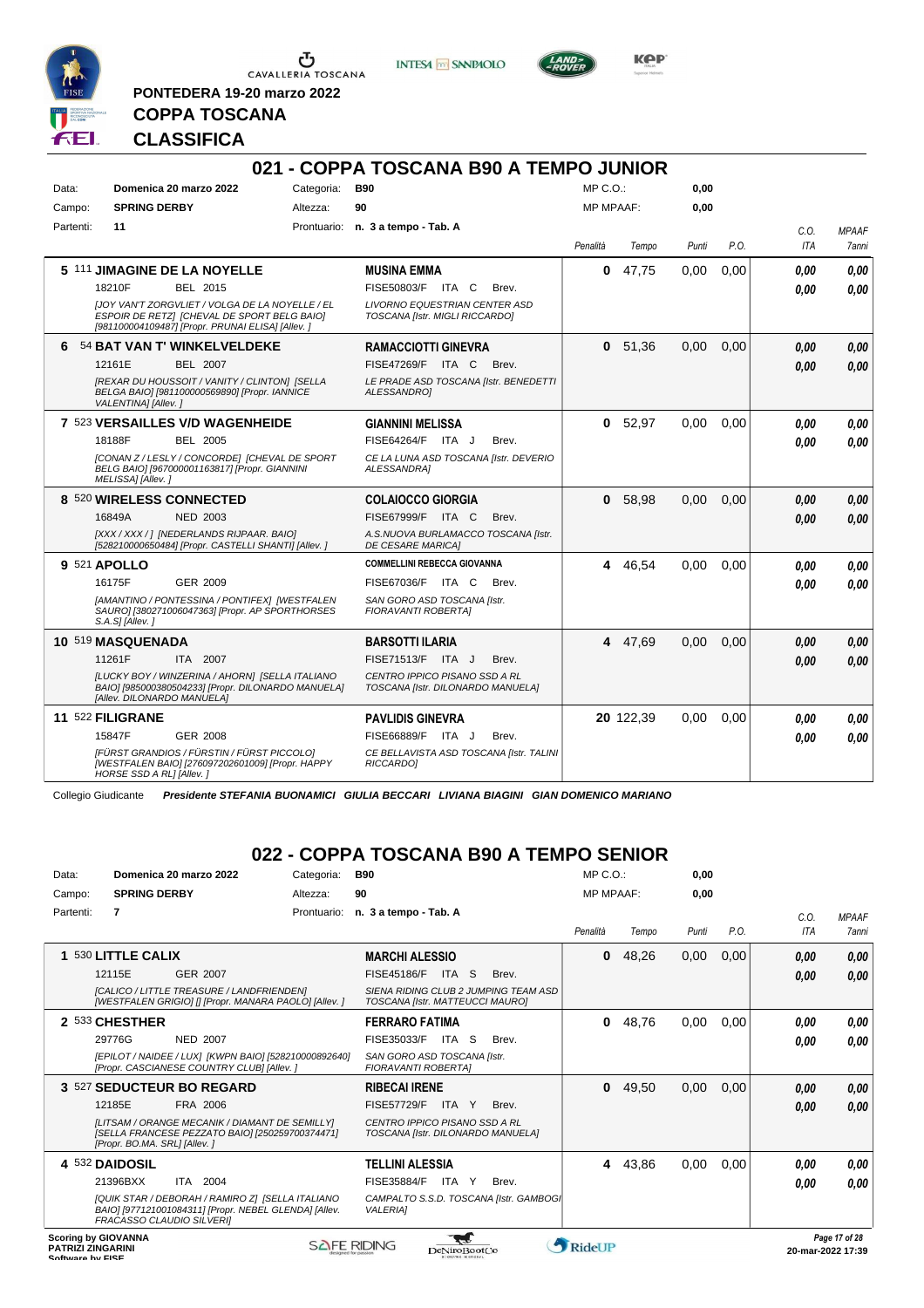

**PONTEDERA 19-20 marzo 2022**

**INTESA M** SANPAOLO



**Kep** 

# **COPPA TOSCANA CLASSIFICA**

|           |                          |                                                                                                                                                    |            | 021 - COPPA TOSCANA B90 A TEMPO JUNIOR                                 |                  |           |       |      |            |              |
|-----------|--------------------------|----------------------------------------------------------------------------------------------------------------------------------------------------|------------|------------------------------------------------------------------------|------------------|-----------|-------|------|------------|--------------|
| Data:     |                          | Domenica 20 marzo 2022                                                                                                                             | Categoria: | <b>B90</b>                                                             | $MP C. O.$ :     |           | 0,00  |      |            |              |
| Campo:    | <b>SPRING DERBY</b>      |                                                                                                                                                    | Altezza:   | 90                                                                     | <b>MP MPAAF:</b> |           | 0,00  |      |            |              |
| Partenti: | 11                       |                                                                                                                                                    |            | Prontuario: n. 3 a tempo - Tab. A                                      |                  |           |       |      | C.O.       | <b>MPAAF</b> |
|           |                          |                                                                                                                                                    |            |                                                                        | Penalità         | Tempo     | Punti | P.O. | <b>ITA</b> | 7anni        |
|           |                          | 5 111 JIMAGINE DE LA NOYELLE                                                                                                                       |            | <b>MUSINA EMMA</b>                                                     | 0                | 47,75     | 0,00  | 0.00 | 0.00       | 0.00         |
|           | 18210F                   | BEL 2015                                                                                                                                           |            | FISE50803/F ITA C<br>Brev.                                             |                  |           |       |      | 0.00       | 0.00         |
|           |                          | JJOY VAN'T ZORGVLIET / VOLGA DE LA NOYELLE / EL<br>ESPOIR DE RETZI [CHEVAL DE SPORT BELG BAIO]<br>[981100004109487] [Propr. PRUNAI ELISA] [Allev.] |            | <b>LIVORNO EQUESTRIAN CENTER ASD</b><br>TOSCANA [Istr. MIGLI RICCARDO] |                  |           |       |      |            |              |
|           |                          | 6 54 BAT VAN T' WINKELVELDEKE                                                                                                                      |            | <b>RAMACCIOTTI GINEVRA</b>                                             | $\mathbf{0}$     | 51,36     | 0.00  | 0.00 | 0,00       | 0,00         |
|           | 12161E                   | <b>BEL 2007</b>                                                                                                                                    |            | FISE47269/F<br>ITA C<br>Brev.                                          |                  |           |       |      | 0.00       | 0.00         |
|           | VALENTINA] [Allev.]      | [REXAR DU HOUSSOIT / VANITY / CLINTON] [SELLA<br>BELGA BAIO] [981100000569890] [Propr. IANNICE                                                     |            | LE PRADE ASD TOSCANA [Istr. BENEDETTI<br>ALESSANDROI                   |                  |           |       |      |            |              |
|           |                          | 7 523 VERSAILLES V/D WAGENHEIDE                                                                                                                    |            | <b>GIANNINI MELISSA</b>                                                |                  | 0 52,97   | 0.00  | 0.00 | 0.00       | 0.00         |
|           | 18188F                   | <b>BEL 2005</b>                                                                                                                                    |            | FISE64264/F ITA J<br>Brev.                                             |                  |           |       |      | 0.00       | 0.00         |
|           | MELISSA] [Allev.]        | [CONAN Z / LESLY / CONCORDE] [CHEVAL DE SPORT<br>BELG BAIO] [967000001163817] [Propr. GIANNINI                                                     |            | CE LA LUNA ASD TOSCANA [Istr. DEVERIO<br>ALESSANDRA]                   |                  |           |       |      |            |              |
|           |                          | 8 520 WIRELESS CONNECTED                                                                                                                           |            | <b>COLAIOCCO GIORGIA</b>                                               | $\mathbf{0}$     | 58,98     | 0,00  | 0.00 | 0.00       | 0.00         |
|           | 16849A                   | <b>NED 2003</b>                                                                                                                                    |            | FISE67999/F ITA C<br>Brev.                                             |                  |           |       |      | 0.00       | 0,00         |
|           |                          | [XXX / XXX / ] [NEDERLANDS RIJPAAR. BAIO]<br>[528210000650484] [Propr. CASTELLI SHANTI] [Allev. ]                                                  |            | A.S.NUOVA BURLAMACCO TOSCANA [Istr.<br>DE CESARE MARICA]               |                  |           |       |      |            |              |
|           | 9 521 APOLLO             |                                                                                                                                                    |            | <b>COMMELLINI REBECCA GIOVANNA</b>                                     |                  | 4 46,54   | 0,00  | 0.00 | 0.00       | 0.00         |
|           | 16175F                   | GER 2009                                                                                                                                           |            | FISE67036/F ITA C<br>Brev.                                             |                  |           |       |      | 0.00       | 0.00         |
|           | $S.A.S$ ] [Allev. ]      | [AMANTINO / PONTESSINA / PONTIFEX] [WESTFALEN<br>SAURO] [380271006047363] [Propr. AP SPORTHORSES                                                   |            | SAN GORO ASD TOSCANA [Istr.<br><b>FIORAVANTI ROBERTAI</b>              |                  |           |       |      |            |              |
|           | 10 519 MASQUENADA        |                                                                                                                                                    |            | <b>BARSOTTI ILARIA</b>                                                 |                  | 4 47.69   | 0.00  | 0.00 | 0.00       | 0.00         |
|           | 11261F                   | ITA 2007                                                                                                                                           |            | FISE71513/F ITA J<br>Brev.                                             |                  |           |       |      | 0,00       | 0.00         |
|           |                          | [LUCKY BOY / WINZERINA / AHORN] [SELLA ITALIANO<br>BAIO] [985000380504233] [Propr. DILONARDO MANUELA]<br>[Allev. DILONARDO MANUELA]                |            | CENTRO IPPICO PISANO SSD A RL<br>TOSCANA [Istr. DILONARDO MANUELA]     |                  |           |       |      |            |              |
|           | 11 522 FILIGRANE         |                                                                                                                                                    |            | <b>PAVLIDIS GINEVRA</b>                                                |                  | 20 122,39 | 0,00  | 0,00 | 0,00       | 0,00         |
|           | 15847F                   | <b>GER 2008</b>                                                                                                                                    |            | FISE66889/F ITA J<br>Brev.                                             |                  |           |       |      | 0.00       | 0.00         |
|           | HORSE SSD A RL1 [Allev.] | [FÜRST GRANDIOS / FÜRSTIN / FÜRST PICCOLO]<br>[WESTFALEN BAIO] [276097202601009] [Propr. HAPPY                                                     |            | CE BELLAVISTA ASD TOSCANA [Istr. TALINI<br>RICCARDO1                   |                  |           |       |      |            |              |

Collegio Giudicante *Presidente STEFANIA BUONAMICI GIULIA BECCARI LIVIANA BIAGINI GIAN DOMENICO MARIANO*

# **022 - COPPA TOSCANA B90 A TEMPO SENIOR**

| Data:     |                                                        | Domenica 20 marzo 2022                                                                                                                 | Categoria:  | <b>B90</b>                                                         |                 |                                         | MP C. O.         |       | 0.00  |      |      |                                    |
|-----------|--------------------------------------------------------|----------------------------------------------------------------------------------------------------------------------------------------|-------------|--------------------------------------------------------------------|-----------------|-----------------------------------------|------------------|-------|-------|------|------|------------------------------------|
| Campo:    | <b>SPRING DERBY</b>                                    |                                                                                                                                        | Altezza:    | 90                                                                 |                 |                                         | <b>MP MPAAF:</b> |       | 0,00  |      |      |                                    |
| Partenti: | $\overline{7}$                                         |                                                                                                                                        | Prontuario: | n. 3 a tempo - Tab. A                                              |                 |                                         |                  |       |       |      | C.O. | <b>MPAAF</b>                       |
|           |                                                        |                                                                                                                                        |             |                                                                    |                 |                                         | Penalità         | Tempo | Punti | P.O. | ITA  | <b>7anni</b>                       |
|           | 530 LITTLE CALIX                                       |                                                                                                                                        |             | <b>MARCHI ALESSIO</b>                                              |                 |                                         | 0                | 48,26 | 0,00  | 0,00 | 0,00 | 0,00                               |
|           | 12115E                                                 | <b>GER 2007</b>                                                                                                                        |             | FISE45186/F                                                        | ITA.<br>S       | Brev.                                   |                  |       |       |      | 0,00 | 0,00                               |
|           |                                                        | [CALICO / LITTLE TREASURE / LANDFRIENDEN]<br>[WESTFALEN GRIGIO] [] [Propr. MANARA PAOLO] [Allev. ]                                     |             | TOSCANA [Istr. MATTEUCCI MAURO]                                    |                 | SIENA RIDING CLUB 2 JUMPING TEAM ASD    |                  |       |       |      |      |                                    |
|           | 2 533 CHESTHER                                         |                                                                                                                                        |             | <b>FERRARO FATIMA</b>                                              |                 |                                         | 0                | 48,76 | 0,00  | 0,00 | 0.00 | 0,00                               |
|           | 29776G                                                 | <b>NED 2007</b>                                                                                                                        |             | FISE35033/F                                                        | ITA S           | Brev.                                   |                  |       |       |      | 0.00 | 0.00                               |
|           |                                                        | [EPILOT / NAIDEE / LUX] [KWPN BAIO] [528210000892640]<br>[Propr. CASCIANESE COUNTRY CLUB] [Allev. ]                                    |             | SAN GORO ASD TOSCANA [Istr.<br><b>FIORAVANTI ROBERTAI</b>          |                 |                                         |                  |       |       |      |      |                                    |
|           |                                                        | 3 527 SEDUCTEUR BO REGARD                                                                                                              |             | <b>RIBECAI IRENE</b>                                               |                 |                                         | 0                | 49,50 | 0,00  | 0,00 | 0,00 | 0,00                               |
|           | 12185E                                                 | FRA 2006                                                                                                                               |             | <b>FISE57729/F</b>                                                 | <b>ITA</b><br>Y | Brev.                                   |                  |       |       |      | 0,00 | 0,00                               |
|           | [Propr. BO.MA. SRL] [Allev. ]                          | [LITSAM / ORANGE MECANIK / DIAMANT DE SEMILLY]<br>[SELLA FRANCESE PEZZATO BAIO] [250259700374471]                                      |             | CENTRO IPPICO PISANO SSD A RL<br>TOSCANA [Istr. DILONARDO MANUELA] |                 |                                         |                  |       |       |      |      |                                    |
|           | 4 532 DAIDOSIL                                         |                                                                                                                                        |             | <b>TELLINI ALESSIA</b>                                             |                 |                                         | 4                | 43,86 | 0.00  | 0,00 | 0,00 | 0.00                               |
|           | 21396BXX                                               | ITA 2004                                                                                                                               |             | FISE35884/F                                                        | ITA Y           | Brev.                                   |                  |       |       |      | 0,00 | 0,00                               |
|           |                                                        | [QUIK STAR / DEBORAH / RAMIRO Z] [SELLA ITALIANO<br>BAIO] [977121001084311] [Propr. NEBEL GLENDA] [Allev.<br>FRACASSO CLAUDIO SILVERII |             | <b>VALERIA1</b>                                                    |                 | CAMPALTO S.S.D. TOSCANA [Istr. GAMBOGI] |                  |       |       |      |      |                                    |
|           | <b>Scoring by GIOVANNA</b><br><b>PATRIZI ZINGARINI</b> |                                                                                                                                        |             | <b>SAFE RIDING</b>                                                 | DeNiroBoot('o   |                                         | RideUP           |       |       |      |      | Page 17 of 28<br>20-mar-2022 17:39 |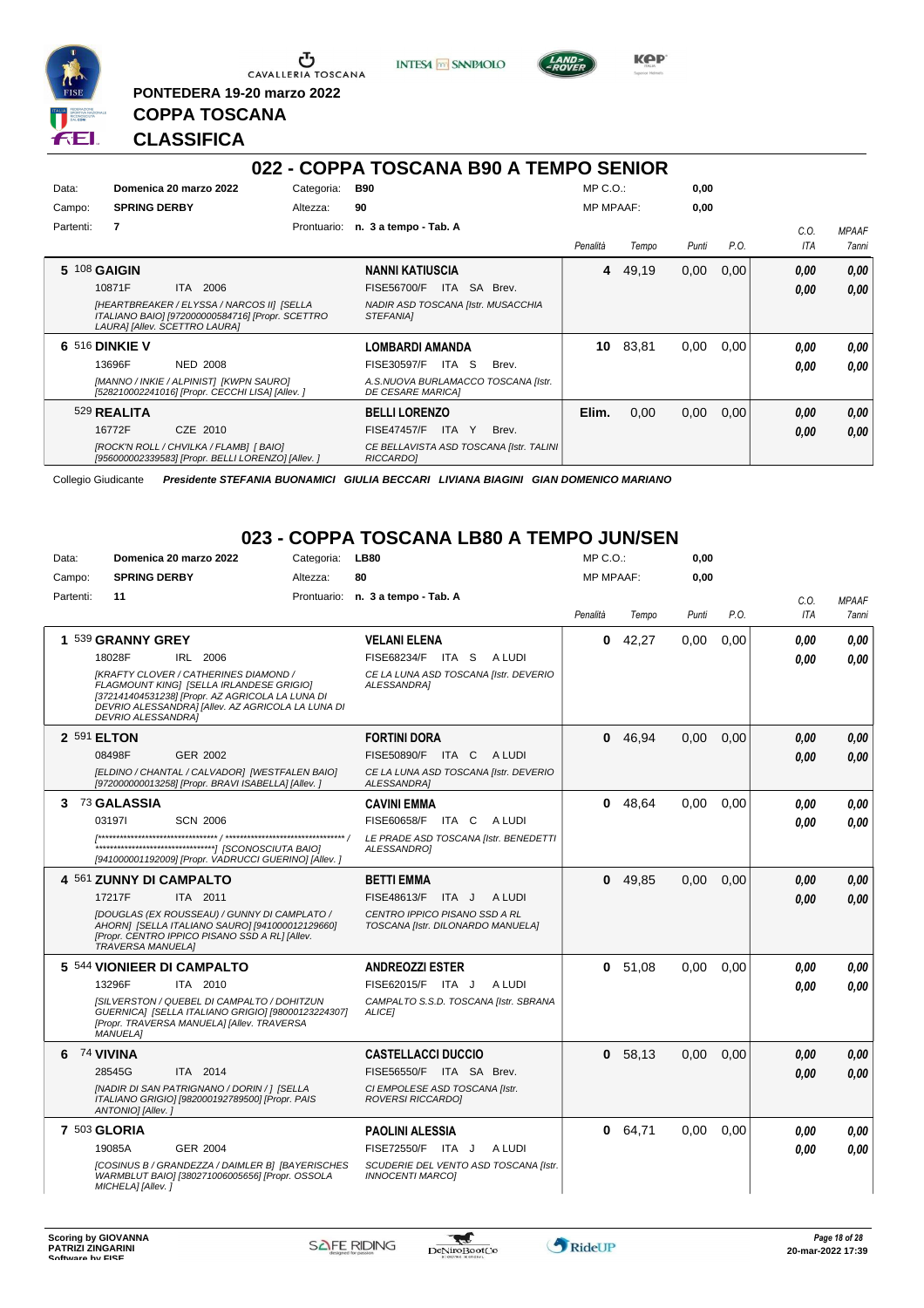

**PONTEDERA 19-20 marzo 2022**

**INTESA** M SANPAOLO



**KPP** 

# **CLASSIFICA**

**COPPA TOSCANA**

|           | 022 - COPPA TOSCANA B90 A TEMPO SENIOR                                                                                          |                                                        |                                                                 |                  |       |       |      |      |              |  |  |  |  |  |
|-----------|---------------------------------------------------------------------------------------------------------------------------------|--------------------------------------------------------|-----------------------------------------------------------------|------------------|-------|-------|------|------|--------------|--|--|--|--|--|
| Data:     | Domenica 20 marzo 2022                                                                                                          | Categoria:                                             | B90                                                             | $MP C. O.$ :     |       | 0,00  |      |      |              |  |  |  |  |  |
| Campo:    | <b>SPRING DERBY</b>                                                                                                             | Altezza:                                               | 90                                                              | <b>MP MPAAF:</b> |       | 0,00  |      |      |              |  |  |  |  |  |
| Partenti: | $\overline{7}$                                                                                                                  | Prontuario:                                            | n. 3 a tempo - Tab. A                                           |                  |       |       |      | C.O. | <b>MPAAF</b> |  |  |  |  |  |
|           |                                                                                                                                 |                                                        |                                                                 | Penalità         | Tempo | Punti | P.O. | ITA  | 7anni        |  |  |  |  |  |
|           | 5 108 GAIGIN                                                                                                                    |                                                        | <b>NANNI KATIUSCIA</b>                                          | 4                | 49,19 | 0,00  | 0.00 | 0,00 | 0,00         |  |  |  |  |  |
|           | ITA 2006<br>10871F                                                                                                              |                                                        | <b>FISE56700/F</b><br>SA Brev.<br>ITA                           |                  |       |       |      | 0.00 | 0.00         |  |  |  |  |  |
|           | [HEARTBREAKER / ELYSSA / NARCOS II] [SELLA<br>ITALIANO BAIO] [972000000584716] [Propr. SCETTRO<br>LAURA] [Allev. SCETTRO LAURA] | NADIR ASD TOSCANA [Istr. MUSACCHIA<br><b>STEFANIAI</b> |                                                                 |                  |       |       |      |      |              |  |  |  |  |  |
|           | <b>6 516 DINKIE V</b>                                                                                                           |                                                        | <b>LOMBARDI AMANDA</b>                                          | 10               | 83,81 | 0,00  | 0,00 | 0.00 | 0.00         |  |  |  |  |  |
|           | 13696F<br><b>NED 2008</b>                                                                                                       |                                                        | FISE30597/F<br>ITA S<br>Brev.                                   |                  |       |       |      | 0.00 | 0.00         |  |  |  |  |  |
|           | [MANNO / INKIE / ALPINIST] [KWPN SAURO]<br>[528210002241016] [Propr. CECCHI LISA] [Allev. ]                                     |                                                        | A.S.NUOVA BURLAMACCO TOSCANA [Istr.<br><b>DE CESARE MARICAI</b> |                  |       |       |      |      |              |  |  |  |  |  |
|           | 529 REALITA                                                                                                                     |                                                        | <b>BELLI LORENZO</b>                                            | Elim.            | 0,00  | 0,00  | 0.00 | 0.00 | 0.00         |  |  |  |  |  |
|           | 16772F<br>CZE 2010                                                                                                              |                                                        | <b>FISE47457/F</b><br>ITA<br>Y<br>Brev.                         |                  |       |       |      | 0,00 | 0.00         |  |  |  |  |  |
|           | [ROCK'N ROLL / CHVILKA / FLAMB] [ BAIO]<br>[956000002339583] [Propr. BELLI LORENZO] [Allev. ]                                   |                                                        | CE BELLAVISTA ASD TOSCANA [Istr. TALINI<br><b>RICCARDOI</b>     |                  |       |       |      |      |              |  |  |  |  |  |

Collegio Giudicante *Presidente STEFANIA BUONAMICI GIULIA BECCARI LIVIANA BIAGINI GIAN DOMENICO MARIANO*

### **023 - COPPA TOSCANA LB80 A TEMPO JUN/SEN**

| Data:     | Domenica 20 marzo 2022                                                                                                                                                                                                         | Categoria: | <b>LB80</b>                                                        | MP C. O.         |        | 0,00  |      |            |              |
|-----------|--------------------------------------------------------------------------------------------------------------------------------------------------------------------------------------------------------------------------------|------------|--------------------------------------------------------------------|------------------|--------|-------|------|------------|--------------|
| Campo:    | <b>SPRING DERBY</b>                                                                                                                                                                                                            | Altezza:   | 80                                                                 | <b>MP MPAAF:</b> |        | 0,00  |      |            |              |
| Partenti: | 11                                                                                                                                                                                                                             |            | Prontuario: n. 3 a tempo - Tab. A                                  |                  |        |       |      | C.O.       | <b>MPAAF</b> |
|           |                                                                                                                                                                                                                                |            |                                                                    | Penalità         | Tempo  | Punti | P.O. | <b>ITA</b> | 7anni        |
|           | 1 539 GRANNY GREY                                                                                                                                                                                                              |            | <b>VELANI ELENA</b>                                                | 0                | 42,27  | 0,00  | 0,00 | 0.00       | 0,00         |
|           | 18028F<br>IRL 2006                                                                                                                                                                                                             |            | FISE68234/F ITA S<br>A LUDI                                        |                  |        |       |      | 0.00       | 0.00         |
|           | <b>IKRAFTY CLOVER / CATHERINES DIAMOND /</b><br>FLAGMOUNT KING] [SELLA IRLANDESE GRIGIO]<br>[372141404531238] [Propr. AZ AGRICOLA LA LUNA DI<br>DEVRIO ALESSANDRAI [Allev. AZ AGRICOLA LA LUNA DI<br><b>DEVRIO ALESSANDRA1</b> |            | CE LA LUNA ASD TOSCANA [Istr. DEVERIO<br>ALESSANDRA1               |                  |        |       |      |            |              |
|           | 2 591 ELTON                                                                                                                                                                                                                    |            | <b>FORTINI DORA</b>                                                |                  | 046,94 | 0,00  | 0.00 | 0.00       | 0,00         |
|           | 08498F<br>GER 2002                                                                                                                                                                                                             |            | FISE50890/F ITA C<br>A LUDI                                        |                  |        |       |      | 0.00       | 0,00         |
|           | [ELDINO / CHANTAL / CALVADOR] [WESTFALEN BAIO]<br>[972000000013258] [Propr. BRAVI ISABELLA] [Allev. ]                                                                                                                          |            | CE LA LUNA ASD TOSCANA [Istr. DEVERIO<br>ALESSANDRA]               |                  |        |       |      |            |              |
|           | 3 73 GALASSIA                                                                                                                                                                                                                  |            | <b>CAVINI EMMA</b>                                                 |                  | 048,64 | 0.00  | 0.00 | 0.00       | 0,00         |
|           | 031971<br><b>SCN 2006</b>                                                                                                                                                                                                      |            | FISE60658/F<br>ITA C<br>A LUDI                                     |                  |        |       |      | 0.00       | 0.00         |
|           | [941000001192009] [Propr. VADRUCCI GUERINO] [Allev. ]                                                                                                                                                                          |            | LE PRADE ASD TOSCANA [Istr. BENEDETTI<br>ALESSANDRO]               |                  |        |       |      |            |              |
|           | 4 561 ZUNNY DI CAMPALTO                                                                                                                                                                                                        |            | <b>BETTI EMMA</b>                                                  | $\mathbf{0}$     | 49,85  | 0,00  | 0,00 | 0.00       | 0,00         |
|           | 17217F<br>ITA 2011                                                                                                                                                                                                             |            | FISE48613/F<br>A LUDI<br>ITA J                                     |                  |        |       |      | 0.00       | 0,00         |
|           | IDOUGLAS (EX ROUSSEAU) / GUNNY DI CAMPLATO /<br>AHORN] [SELLA ITALIANO SAURO] [941000012129660]<br>[Propr. CENTRO IPPICO PISANO SSD A RL] [Allev.<br><b>TRAVERSA MANUELA1</b>                                                  |            | CENTRO IPPICO PISANO SSD A RL<br>TOSCANA [Istr. DILONARDO MANUELA] |                  |        |       |      |            |              |
|           | 5 544 VIONIEER DI CAMPALTO                                                                                                                                                                                                     |            | <b>ANDREOZZI ESTER</b>                                             | 0                | 51.08  | 0.00  | 0.00 | 0.00       | 0.00         |
|           | 13296F<br>ITA 2010                                                                                                                                                                                                             |            | FISE62015/F ITA J<br>A LUDI                                        |                  |        |       |      | 0.00       | 0.00         |
|           | [SILVERSTON / QUEBEL DI CAMPALTO / DOHITZUN<br>GUERNICA] [SELLA ITALIANO GRIGIO] [98000123224307]<br>[Propr. TRAVERSA MANUELA] [Allev. TRAVERSA<br><b>MANUELA1</b>                                                             |            | CAMPALTO S.S.D. TOSCANA [Istr. SBRANA<br><b>ALICEI</b>             |                  |        |       |      |            |              |
| 6         | 74 VIVINA                                                                                                                                                                                                                      |            | <b>CASTELLACCI DUCCIO</b>                                          | 0                | 58,13  | 0,00  | 0,00 | 0.00       | 0,00         |
|           | ITA 2014<br>28545G                                                                                                                                                                                                             |            | FISE56550/F ITA SA Brev.                                           |                  |        |       |      | 0.00       | 0.00         |
|           | [NADIR DI SAN PATRIGNANO / DORIN / 1 [SELLA<br>ITALIANO GRIGIO] [982000192789500] [Propr. PAIS<br>ANTONIO] [Allev.]                                                                                                            |            | CI EMPOLESE ASD TOSCANA [Istr.<br><b>ROVERSI RICCARDOI</b>         |                  |        |       |      |            |              |
|           | <b>7 503 GLORIA</b>                                                                                                                                                                                                            |            | <b>PAOLINI ALESSIA</b>                                             | 0                | 64,71  | 0,00  | 0,00 | 0.00       | 0,00         |
|           | 19085A<br>GER 2004                                                                                                                                                                                                             |            | FISE72550/F ITA J<br>A LUDI                                        |                  |        |       |      | 0.00       | 0.00         |
|           | [COSINUS B / GRANDEZZA / DAIMLER B] [BAYERISCHES<br>WARMBLUT BAIO] [380271006005656] [Propr. OSSOLA<br>MICHELA] [Allev.]                                                                                                       |            | SCUDERIE DEL VENTO ASD TOSCANA [Istr.<br><b>INNOCENTI MARCOI</b>   |                  |        |       |      |            |              |

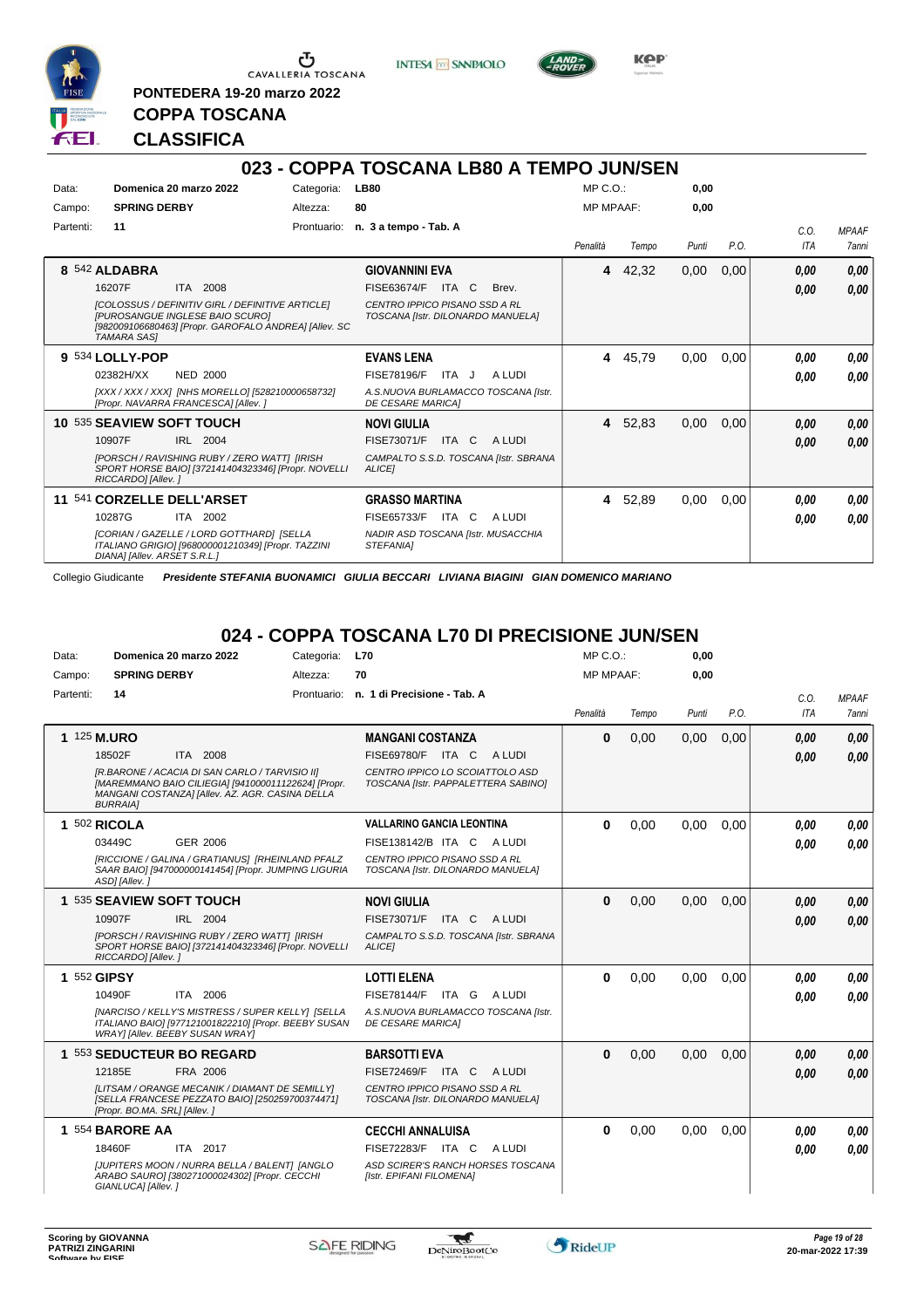





**PONTEDERA 19-20 marzo 2022 COPPA TOSCANA**

#### **CLASSIFICA**

|           |                                                                                                                                                                                                                         |             | 023 - COPPA TOSCANA LB80 A TEMPO JUN/SEN                                                                                        |                  |         |       |      |                    |                              |
|-----------|-------------------------------------------------------------------------------------------------------------------------------------------------------------------------------------------------------------------------|-------------|---------------------------------------------------------------------------------------------------------------------------------|------------------|---------|-------|------|--------------------|------------------------------|
| Data:     | Domenica 20 marzo 2022                                                                                                                                                                                                  | Categoria:  | <b>LB80</b>                                                                                                                     | $MP C. O.$ :     |         | 0.00  |      |                    |                              |
| Campo:    | <b>SPRING DERBY</b>                                                                                                                                                                                                     | Altezza:    | 80                                                                                                                              | <b>MP MPAAF:</b> |         | 0.00  |      |                    |                              |
| Partenti: | 11                                                                                                                                                                                                                      | Prontuario: | n. 3 a tempo - Tab. A                                                                                                           | Penalità         | Tempo   | Punti | P.O. | C.O.<br><b>ITA</b> | <b>MPAAF</b><br><b>7anni</b> |
|           | 8 542 ALDABRA<br>16207F<br><b>ITA 2008</b><br><b>[COLOSSUS / DEFINITIV GIRL / DEFINITIVE ARTICLE]</b><br>[PUROSANGUE INGLESE BAIO SCURO]<br>[982009106680463] [Propr. GAROFALO ANDREA] [Allev. SC<br><b>TAMARA SASI</b> |             | <b>GIOVANNINI EVA</b><br>FISE63674/F<br>ITA<br>C<br>Brev.<br>CENTRO IPPICO PISANO SSD A RL<br>TOSCANA [Istr. DILONARDO MANUELA] | 4                | 42,32   | 0,00  | 0,00 | 0.00<br>0,00       | 0,00<br>0.00                 |
|           | 9 534 LOLLY-POP<br><b>NED 2000</b><br>02382H/XX<br>[XXX / XXX / XXX] [NHS MORELLO] [528210000658732]<br>[Propr. NAVARRA FRANCESCA] [Allev.]                                                                             |             | <b>EVANS LENA</b><br>ITA J<br>A LUDI<br><b>FISE78196/F</b><br>A.S.NUOVA BURLAMACCO TOSCANA [Istr.<br><b>DE CESARE MARICAI</b>   | 4                | 45,79   | 0,00  | 0,00 | 0.00<br>0.00       | 0.00<br>0.00                 |
|           | 10 535 SEAVIEW SOFT TOUCH<br>IRL 2004<br>10907F<br>[PORSCH / RAVISHING RUBY / ZERO WATT] [IRISH<br>SPORT HORSE BAIO] [372141404323346] [Propr. NOVELLI<br>RICCARDO] [Allev. ]                                           |             | <b>NOVI GIULIA</b><br>FISE73071/F<br>ITA C<br>A LUDI<br>CAMPALTO S.S.D. TOSCANA [Istr. SBRANA<br><b>ALICEI</b>                  |                  | 4 52,83 | 0,00  | 0,00 | 0.00<br>0.00       | 0,00<br>0.00                 |
| 11        | 541 CORZELLE DELL'ARSET<br>ITA 2002<br>10287G<br>[CORIAN / GAZELLE / LORD GOTTHARD] [SELLA<br>ITALIANO GRIGIO] [968000001210349] [Propr. TAZZINI<br>DIANA] [Allev. ARSET S.R.L.]                                        |             | <b>GRASSO MARTINA</b><br>FISE65733/F<br>ITA<br>C<br>A LUDI<br>NADIR ASD TOSCANA [Istr. MUSACCHIA<br>STEFANIA]                   |                  | 4 52,89 | 0,00  | 0,00 | 0,00<br>0.00       | 0,00<br>0.00                 |

Collegio Giudicante *Presidente STEFANIA BUONAMICI GIULIA BECCARI LIVIANA BIAGINI GIAN DOMENICO MARIANO*

### **024 - COPPA TOSCANA L70 DI PRECISIONE JUN/SEN**

| Data:     | Domenica 20 marzo 2022                                                                                                                                                      | Categoria: | <b>L70</b>                                                             | MP C. O.         |       | 0,00  |      |            |              |
|-----------|-----------------------------------------------------------------------------------------------------------------------------------------------------------------------------|------------|------------------------------------------------------------------------|------------------|-------|-------|------|------------|--------------|
| Campo:    | <b>SPRING DERBY</b>                                                                                                                                                         | Altezza:   | 70                                                                     | <b>MP MPAAF:</b> |       | 0,00  |      |            |              |
| Partenti: | 14                                                                                                                                                                          |            | Prontuario: n. 1 di Precisione - Tab. A                                |                  |       |       |      | C.O.       | <b>MPAAF</b> |
|           |                                                                                                                                                                             |            |                                                                        | Penalità         | Tempo | Punti | P.O. | <b>ITA</b> | 7anni        |
|           | 1 125 M.URO                                                                                                                                                                 |            | <b>MANGANI COSTANZA</b>                                                | $\bf{0}$         | 0,00  | 0,00  | 0,00 | 0,00       | 0.00         |
|           | 18502F<br>ITA 2008                                                                                                                                                          |            | <b>FISE69780/F</b><br>A LUDI<br>ITA C                                  |                  |       |       |      | 0.00       | 0.00         |
|           | [R.BARONE / ACACIA DI SAN CARLO / TARVISIO II]<br>[MAREMMANO BAIO CILIEGIA] [941000011122624] [Propr.<br>MANGANI COSTANZA] [Allev. AZ. AGR. CASINA DELLA<br><b>BURRAIA1</b> |            | CENTRO IPPICO LO SCOIATTOLO ASD<br>TOSCANA [Istr. PAPPALETTERA SABINO] |                  |       |       |      |            |              |
|           | 1 502 RICOLA                                                                                                                                                                |            | <b>VALLARINO GANCIA LEONTINA</b>                                       | $\bf{0}$         | 0,00  | 0,00  | 0,00 | 0.00       | 0.00         |
|           | <b>GER 2006</b><br>03449C                                                                                                                                                   |            | FISE138142/B ITA C<br>A LUDI                                           |                  |       |       |      | 0.00       | 0.00         |
|           | [RICCIONE / GALINA / GRATIANUS] [RHEINLAND PFALZ<br>SAAR BAIO] [947000000141454] [Propr. JUMPING LIGURIA<br>ASD] [Allev.]                                                   |            | CENTRO IPPICO PISANO SSD A RL<br>TOSCANA [Istr. DILONARDO MANUELA]     |                  |       |       |      |            |              |
|           | 1 535 SEAVIEW SOFT TOUCH                                                                                                                                                    |            | <b>NOVI GIULIA</b>                                                     | $\bf{0}$         | 0,00  | 0.00  | 0.00 | 0.00       | 0,00         |
|           | 10907F<br>IRL 2004                                                                                                                                                          |            | FISE73071/F<br>ITA C<br>A LUDI                                         |                  |       |       |      | 0.00       | 0.00         |
|           | [PORSCH / RAVISHING RUBY / ZERO WATT] [IRISH<br>SPORT HORSE BAIO] [372141404323346] [Propr. NOVELLI<br>RICCARDO] [Allev.]                                                   |            | CAMPALTO S.S.D. TOSCANA [Istr. SBRANA<br><b>ALICEI</b>                 |                  |       |       |      |            |              |
|           | 1 552 GIPSY                                                                                                                                                                 |            | <b>LOTTI ELENA</b>                                                     | $\bf{0}$         | 0,00  | 0,00  | 0.00 | 0.00       | 0,00         |
|           | 10490F<br>ITA 2006                                                                                                                                                          |            | FISE78144/F ITA G<br>A LUDI                                            |                  |       |       |      | 0.00       | 0.00         |
|           | [NARCISO / KELLY'S MISTRESS / SUPER KELLY] [SELLA<br>ITALIANO BAIO] [977121001822210] [Propr. BEEBY SUSAN<br><b>WRAY [Allev. BEEBY SUSAN WRAY]</b>                          |            | A.S.NUOVA BURLAMACCO TOSCANA [Istr.<br><b>DE CESARE MARICAI</b>        |                  |       |       |      |            |              |
|           | 1 553 SEDUCTEUR BO REGARD                                                                                                                                                   |            | <b>BARSOTTI EVA</b>                                                    | $\bf{0}$         | 0.00  | 0.00  | 0.00 | 0.00       | 0,00         |
|           | FRA 2006<br>12185E                                                                                                                                                          |            | FISE72469/F<br>ITA C<br>A LUDI                                         |                  |       |       |      | 0.00       | 0.00         |
|           | [LITSAM / ORANGE MECANIK / DIAMANT DE SEMILLY]<br>[SELLA FRANCESE PEZZATO BAIO] [250259700374471]<br>[Propr. BO.MA. SRL] [Allev.]                                           |            | CENTRO IPPICO PISANO SSD A RL<br>TOSCANA [Istr. DILONARDO MANUELA]     |                  |       |       |      |            |              |
|           | 1 554 BARORE AA                                                                                                                                                             |            | <b>CECCHI ANNALUISA</b>                                                | $\bf{0}$         | 0,00  | 0,00  | 0,00 | 0.00       | 0.00         |
|           | 18460F<br>ITA 2017                                                                                                                                                          |            | <b>FISE72283/F</b><br>ITA C<br>A LUDI                                  |                  |       |       |      | 0.00       | 0.00         |
|           | <b>IJUPITERS MOON / NURRA BELLA / BALENTI IANGLO</b><br>ARABO SAURO] [380271000024302] [Propr. CECCHI<br>GIANLUCA] [Allev.]                                                 |            | ASD SCIRER'S RANCH HORSES TOSCANA<br>[Istr. EPIFANI FILOMENA]          |                  |       |       |      |            |              |

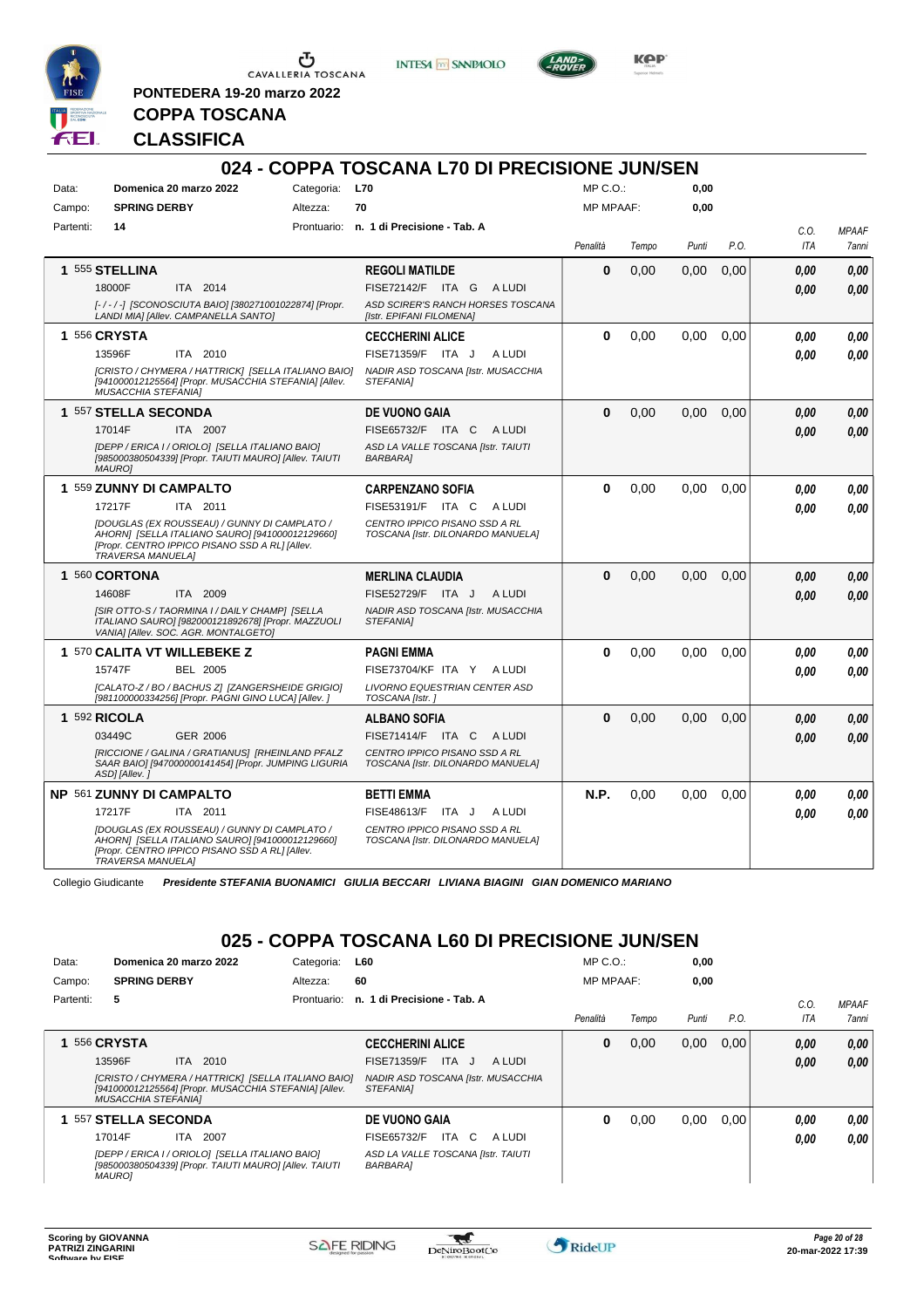

<u>ა</u> CAVALLERIA TOSCANA

**PONTEDERA 19-20 marzo 2022**

**INTESA** M SANPAOLO



**Kep** 

# **COPPA TOSCANA CLASSIFICA**

|           |                                                                                                                                                                                                                                       |                | 024 - COPPA TOSCANA L70 DI PRECISIONE JUN/SEN                                                                                |                  |       |       |      |                    |                       |
|-----------|---------------------------------------------------------------------------------------------------------------------------------------------------------------------------------------------------------------------------------------|----------------|------------------------------------------------------------------------------------------------------------------------------|------------------|-------|-------|------|--------------------|-----------------------|
| Data:     | Domenica 20 marzo 2022                                                                                                                                                                                                                | Categoria: L70 |                                                                                                                              | $MP C. O.$ :     |       | 0.00  |      |                    |                       |
| Campo:    | <b>SPRING DERBY</b>                                                                                                                                                                                                                   | Altezza:       | 70                                                                                                                           | <b>MP MPAAF:</b> |       | 0.00  |      |                    |                       |
| Partenti: | 14                                                                                                                                                                                                                                    |                | Prontuario: n. 1 di Precisione - Tab. A                                                                                      | Penalità         | Tempo | Punti | P.O. | C.O.<br><b>ITA</b> | <b>MPAAF</b><br>7anni |
|           | 1 555 STELLINA<br>18000F<br>ITA 2014<br>[-/-/-] [SCONOSCIUTA BAIO] [380271001022874] [Propr.<br>LANDI MIA] [Allev. CAMPANELLA SANTO]                                                                                                  |                | <b>REGOLI MATILDE</b><br>FISE72142/F ITA G<br>A LUDI<br>ASD SCIRER'S RANCH HORSES TOSCANA<br>[Istr. EPIFANI FILOMENA]        | 0                | 0,00  | 0,00  | 0,00 | 0.00<br>0.00       | 0.00<br>0.00          |
|           | 1 556 CRYSTA<br>13596F<br>ITA 2010<br>[CRISTO / CHYMERA / HATTRICK] [SELLA ITALIANO BAIO]<br>[941000012125564] [Propr. MUSACCHIA STEFANIA] [Allev.<br><b>MUSACCHIA STEFANIAI</b>                                                      |                | <b>CECCHERINI ALICE</b><br>FISE71359/F ITA J<br>A LUDI<br>NADIR ASD TOSCANA [Istr. MUSACCHIA<br><b>STEFANIAI</b>             | $\bf{0}$         | 0,00  | 0,00  | 0.00 | 0.00<br>0.00       | 0.00<br>0,00          |
|           | 1 557 STELLA SECONDA<br>17014F<br>ITA 2007<br>[DEPP / ERICA I / ORIOLO] [SELLA ITALIANO BAIO]<br>[985000380504339] [Propr. TAIUTI MAURO] [Allev. TAIUTI<br><b>MAUROI</b>                                                              |                | <b>DE VUONO GAIA</b><br>FISE65732/F ITA C<br>A LUDI<br>ASD LA VALLE TOSCANA [Istr. TAIUTI<br><b>BARBARA1</b>                 | $\bf{0}$         | 0,00  | 0,00  | 0.00 | 0.00<br>0.00       | 0,00<br>0.00          |
|           | 1 559 ZUNNY DI CAMPALTO<br>17217F<br>ITA 2011<br><b>IDOUGLAS (EX ROUSSEAU) / GUNNY DI CAMPLATO /</b><br>AHORNI [SELLA ITALIANO SAURO] [941000012129660]<br>[Propr. CENTRO IPPICO PISANO SSD A RL] [Allev.<br><b>TRAVERSA MANUELA1</b> |                | <b>CARPENZANO SOFIA</b><br>FISE53191/F ITA C<br>A LUDI<br>CENTRO IPPICO PISANO SSD A RL<br>TOSCANA [Istr. DILONARDO MANUELA] | $\Omega$         | 0,00  | 0,00  | 0.00 | 0,00<br>0.00       | 0,00<br>0.00          |
|           | 1 560 CORTONA<br>14608F<br>ITA 2009<br>[SIR OTTO-S / TAORMINA I / DAILY CHAMP] [SELLA<br>ITALIANO SAURO] [982000121892678] [Propr. MAZZUOLI<br>VANIA] [Allev. SOC. AGR. MONTALGETO]                                                   |                | <b>MERLINA CLAUDIA</b><br>FISE52729/F ITA J<br>A LUDI<br>NADIR ASD TOSCANA [Istr. MUSACCHIA<br><b>STEFANIAI</b>              | $\Omega$         | 0,00  | 0,00  | 0,00 | 0.00<br>0.00       | 0.00<br>0.00          |
|           | 1 570 CALITA VT WILLEBEKE Z<br>15747F<br><b>BEL 2005</b><br>[CALATO-Z / BO / BACHUS Z] [ZANGERSHEIDE GRIGIO]<br>[981100000334256] [Propr. PAGNI GINO LUCA] [Allev. ]                                                                  |                | <b>PAGNI EMMA</b><br>FISE73704/KF ITA Y<br>A LUDI<br>LIVORNO EQUESTRIAN CENTER ASD<br>TOSCANA [Istr.]                        | $\bf{0}$         | 0,00  | 0,00  | 0,00 | 0.00<br>0.00       | 0,00<br>0.00          |
|           | 1 592 RICOLA<br>03449C<br><b>GER 2006</b><br>[RICCIONE / GALINA / GRATIANUS] [RHEINLAND PFALZ<br>SAAR BAIO] [947000000141454] [Propr. JUMPING LIGURIA<br>ASDI [Allev.]                                                                |                | <b>ALBANO SOFIA</b><br>FISE71414/F ITA C<br>A LUDI<br>CENTRO IPPICO PISANO SSD A RL<br>TOSCANA [Istr. DILONARDO MANUELA]     | $\Omega$         | 0,00  | 0.00  | 0.00 | 0,00<br>0.00       | 0.00<br>0.00          |
|           | NP 561 ZUNNY DI CAMPALTO<br>17217F<br>ITA 2011<br>[DOUGLAS (EX ROUSSEAU) / GUNNY DI CAMPLATO /<br>AHORNI [SELLA ITALIANO SAURO] [941000012129660]<br>[Propr. CENTRO IPPICO PISANO SSD A RL] [Allev.<br><b>TRAVERSA MANUELAI</b>       |                | <b>BETTI EMMA</b><br>FISE48613/F<br>A LUDI<br>ITA J<br>CENTRO IPPICO PISANO SSD A RL<br>TOSCANA [Istr. DILONARDO MANUELA]    | N.P.             | 0.00  | 0,00  | 0.00 | 0.00<br>0.00       | 0.00<br>0.00          |

Collegio Giudicante *Presidente STEFANIA BUONAMICI GIULIA BECCARI LIVIANA BIAGINI GIAN DOMENICO MARIANO*

### **025 - COPPA TOSCANA L60 DI PRECISIONE JUN/SEN**

| Data:     |                            | Domenica 20 marzo 2022                                                                                       | Categoria:  | L60                                                    | MP C. O.         |       | 0,00  |      |            |              |
|-----------|----------------------------|--------------------------------------------------------------------------------------------------------------|-------------|--------------------------------------------------------|------------------|-------|-------|------|------------|--------------|
| Campo:    | <b>SPRING DERBY</b>        |                                                                                                              | Altezza:    | 60                                                     | <b>MP MPAAF:</b> |       | 0,00  |      |            |              |
| Partenti: | 5                          |                                                                                                              | Prontuario: | n. 1 di Precisione - Tab. A                            |                  |       |       |      | C.0        | <b>MPAAF</b> |
|           |                            |                                                                                                              |             |                                                        | Penalità         | Tempo | Punti | P.O. | <b>ITA</b> | 7anni        |
|           | <b>556 CRYSTA</b>          |                                                                                                              |             | <b>CECCHERINI ALICE</b>                                | 0                | 0,00  | 0,00  | 0,00 | 0,00       | 0.00         |
|           | 13596F                     | ITA 2010                                                                                                     |             | <b>ITA</b><br>FISE71359/F<br>A LUDI<br>- J             |                  |       |       |      | 0,00       | 0.00         |
|           | <b>MUSACCHIA STEFANIAI</b> | [CRISTO / CHYMERA / HATTRICK] [SELLA ITALIANO BAIO]<br>[941000012125564] [Propr. MUSACCHIA STEFANIA] [Allev. |             | NADIR ASD TOSCANA [Istr. MUSACCHIA<br><b>STEFANIAI</b> |                  |       |       |      |            |              |
|           | 1 557 STELLA SECONDA       |                                                                                                              |             | <b>DE VUONO GAIA</b>                                   | 0                | 0,00  | 0,00  | 0.00 | 0,00       | 0.00         |
|           | 17014F                     | <b>ITA 2007</b>                                                                                              |             | FISE65732/F<br>ITA C<br>A LUDI                         |                  |       |       |      | 0,00       | 0.00         |
|           | <i>MAUROI</i>              | [DEPP / ERICA I / ORIOLO] [SELLA ITALIANO BAIO]<br>[985000380504339] [Propr. TAIUTI MAURO] [Allev. TAIUTI    |             | ASD LA VALLE TOSCANA [Istr. TAIUTI<br><b>BARBARA1</b>  |                  |       |       |      |            |              |

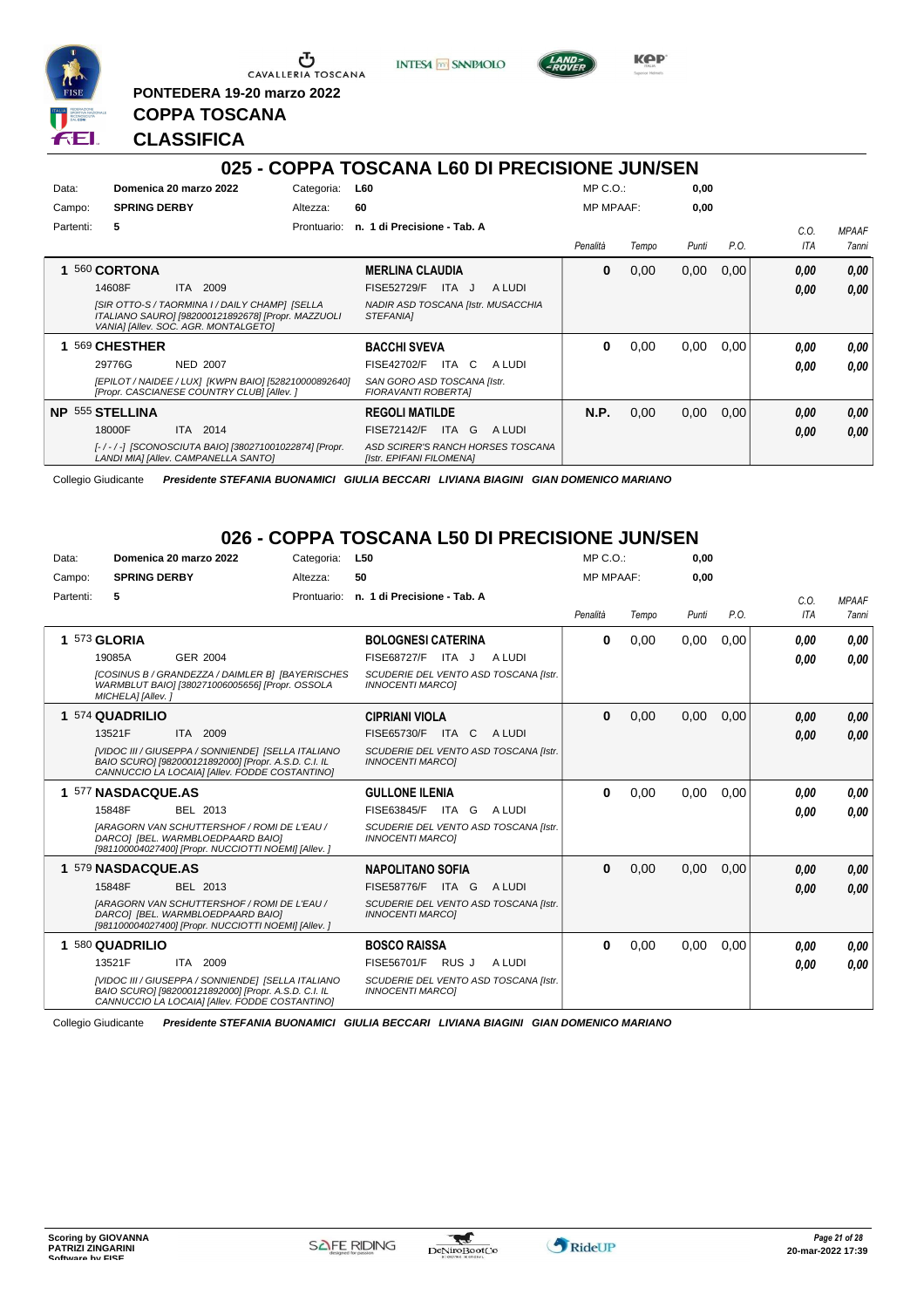

**PONTEDERA 19-20 marzo 2022**

**INTESA** M SANPAOLO



**KPP** 

# **CLASSIFICA**

**COPPA TOSCANA**

|           |                                                                                                                                              |             | 025 - COPPA TOSCANA L60 DI PRECISIONE JUN/SEN                 |                  |       |       |      |            |              |
|-----------|----------------------------------------------------------------------------------------------------------------------------------------------|-------------|---------------------------------------------------------------|------------------|-------|-------|------|------------|--------------|
| Data:     | Domenica 20 marzo 2022                                                                                                                       | Categoria:  | L60                                                           | $MP C. O.$ :     |       | 0,00  |      |            |              |
| Campo:    | <b>SPRING DERBY</b>                                                                                                                          | Altezza:    | 60                                                            | <b>MP MPAAF:</b> |       | 0,00  |      |            |              |
| Partenti: | 5                                                                                                                                            | Prontuario: | n. 1 di Precisione - Tab. A                                   |                  |       |       |      | C.O.       | <b>MPAAF</b> |
|           |                                                                                                                                              |             |                                                               | Penalità         | Tempo | Punti | P.O. | <b>ITA</b> | 7anni        |
|           | 560 CORTONA                                                                                                                                  |             | <b>MERLINA CLAUDIA</b>                                        | 0                | 0,00  | 0,00  | 0,00 | 0,00       | 0,00         |
|           | 2009<br>14608F<br><b>ITA</b>                                                                                                                 |             | <b>FISE52729/F</b><br>A LUDI<br>ITA J                         |                  |       |       |      | 0,00       | 0.00         |
|           | [SIR OTTO-S / TAORMINA I / DAILY CHAMP] [SELLA<br>ITALIANO SAUROI [982000121892678] [Propr. MAZZUOLI<br>VANIA] [Allev. SOC. AGR. MONTALGETO] |             | NADIR ASD TOSCANA [Istr. MUSACCHIA<br><b>STEFANIAI</b>        |                  |       |       |      |            |              |
|           | 569 CHESTHER                                                                                                                                 |             | <b>BACCHI SVEVA</b>                                           | 0                | 0,00  | 0,00  | 0.00 | 0.00       | 0,00         |
|           | 29776G<br><b>NED 2007</b>                                                                                                                    |             | <b>FISE42702/F</b><br>ITA C<br>A LUDI                         |                  |       |       |      | 0.00       | 0,00         |
|           | [EPILOT / NAIDEE / LUX] [KWPN BAIO] [528210000892640]<br>[Propr. CASCIANESE COUNTRY CLUB] [Allev. ]                                          |             | SAN GORO ASD TOSCANA [Istr.<br>FIORAVANTI ROBERTAI            |                  |       |       |      |            |              |
|           | <b>NP 555 STELLINA</b>                                                                                                                       |             | <b>REGOLI MATILDE</b>                                         | N.P.             | 0,00  | 0,00  | 0,00 | 0,00       | 0,00         |
|           | 2014<br>18000F<br><b>ITA</b>                                                                                                                 |             | ITA G<br>A LUDI<br><b>FISE72142/F</b>                         |                  |       |       |      | 0,00       | 0,00         |
|           | [-/-/-] [SCONOSCIUTA BAIO] [380271001022874] [Propr.<br>LANDI MIA] [Allev. CAMPANELLA SANTO]                                                 |             | ASD SCIRER'S RANCH HORSES TOSCANA<br>[Istr. EPIFANI FILOMENA] |                  |       |       |      |            |              |

Collegio Giudicante *Presidente STEFANIA BUONAMICI GIULIA BECCARI LIVIANA BIAGINI GIAN DOMENICO MARIANO*

#### **026 - COPPA TOSCANA L50 DI PRECISIONE JUN/SEN**

| Data:     | Domenica 20 marzo 2022                                                                                                                                              | Categoria:  | L <sub>50</sub>                                                  | $MP C. O.$ :     |       | 0,00  |      |      |              |
|-----------|---------------------------------------------------------------------------------------------------------------------------------------------------------------------|-------------|------------------------------------------------------------------|------------------|-------|-------|------|------|--------------|
| Campo:    | <b>SPRING DERBY</b>                                                                                                                                                 | Altezza:    | 50                                                               | <b>MP MPAAF:</b> |       | 0.00  |      |      |              |
| Partenti: | 5                                                                                                                                                                   | Prontuario: | n. 1 di Precisione - Tab. A                                      |                  |       |       |      | C.O. | <b>MPAAF</b> |
|           |                                                                                                                                                                     |             |                                                                  | Penalità         | Tempo | Punti | P.O. | ITA  | 7anni        |
|           | 1 573 GLORIA                                                                                                                                                        |             | <b>BOLOGNESI CATERINA</b>                                        | 0                | 0,00  | 0,00  | 0,00 | 0.00 | 0.00         |
|           | <b>GER 2004</b><br>19085A                                                                                                                                           |             | FISE68727/F ITA J<br>A LUDI                                      |                  |       |       |      | 0.00 | 0.00         |
|           | [COSINUS B / GRANDEZZA / DAIMLER B] [BAYERISCHES]<br>WARMBLUT BAIO] [380271006005656] [Propr. OSSOLA<br>MICHELA] [Allev.]                                           |             | SCUDERIE DEL VENTO ASD TOSCANA [Istr.<br><b>INNOCENTI MARCOI</b> |                  |       |       |      |      |              |
|           | 1 574 QUADRILIO                                                                                                                                                     |             | <b>CIPRIANI VIOLA</b>                                            | $\bf{0}$         | 0,00  | 0,00  | 0,00 | 0.00 | 0.00         |
|           | ITA 2009<br>13521F                                                                                                                                                  |             | FISE65730/F ITA C<br>A LUDI                                      |                  |       |       |      | 0.00 | 0,00         |
|           | <b>IVIDOC III / GIUSEPPA / SONNIENDEI ISELLA ITALIANO</b><br>BAIO SCURO] [982000121892000] [Propr. A.S.D. C.I. IL<br>CANNUCCIO LA LOCAIA] [Allev. FODDE COSTANTINO] |             | SCUDERIE DEL VENTO ASD TOSCANA [Istr.<br><b>INNOCENTI MARCOI</b> |                  |       |       |      |      |              |
|           | 1 577 NASDACQUE.AS                                                                                                                                                  |             | <b>GULLONE ILENIA</b>                                            | 0                | 0,00  | 0,00  | 0,00 | 0.00 | 0,00         |
|           | 15848F<br>BEL 2013                                                                                                                                                  |             | FISE63845/F<br>ITA G<br>A LUDI                                   |                  |       |       |      | 0.00 | 0.00         |
|           | <b>IARAGORN VAN SCHUTTERSHOF / ROMI DE L'EAU /</b><br>DARCO] [BEL. WARMBLOEDPAARD BAIO]<br>[981100004027400] [Propr. NUCCIOTTI NOEMI] [Allev.]                      |             | SCUDERIE DEL VENTO ASD TOSCANA [Istr.<br><b>INNOCENTI MARCOI</b> |                  |       |       |      |      |              |
|           | 1 579 NASDACQUE.AS                                                                                                                                                  |             | <b>NAPOLITANO SOFIA</b>                                          | $\bf{0}$         | 0,00  | 0,00  | 0,00 | 0.00 | 0,00         |
|           | 15848F<br>BEL 2013                                                                                                                                                  |             | <b>FISE58776/F</b><br>A LUDI<br>ITA G                            |                  |       |       |      | 0.00 | 0,00         |
|           | <b>IARAGORN VAN SCHUTTERSHOF / ROMI DE L'EAU /</b><br>DARCO] [BEL. WARMBLOEDPAARD BAIO]<br>[981100004027400] [Propr. NUCCIOTTI NOEMI] [Allev.]                      |             | SCUDERIE DEL VENTO ASD TOSCANA [Istr.<br><b>INNOCENTI MARCOI</b> |                  |       |       |      |      |              |
|           | 1 580 QUADRILIO                                                                                                                                                     |             | <b>BOSCO RAISSA</b>                                              | 0                | 0,00  | 0,00  | 0,00 | 0.00 | 0.00         |
|           | 13521F<br>ITA 2009                                                                                                                                                  |             | FISE56701/F<br>RUS J<br>A LUDI                                   |                  |       |       |      | 0.00 | 0.00         |
|           | [VIDOC III / GIUSEPPA / SONNIENDE] [SELLA ITALIANO<br>BAIO SCURO] [982000121892000] [Propr. A.S.D. C.I. IL<br>CANNUCCIO LA LOCAIA] [Allev. FODDE COSTANTINO]        |             | SCUDERIE DEL VENTO ASD TOSCANA [Istr.<br><b>INNOCENTI MARCOI</b> |                  |       |       |      |      |              |

Collegio Giudicante *Presidente STEFANIA BUONAMICI GIULIA BECCARI LIVIANA BIAGINI GIAN DOMENICO MARIANO*

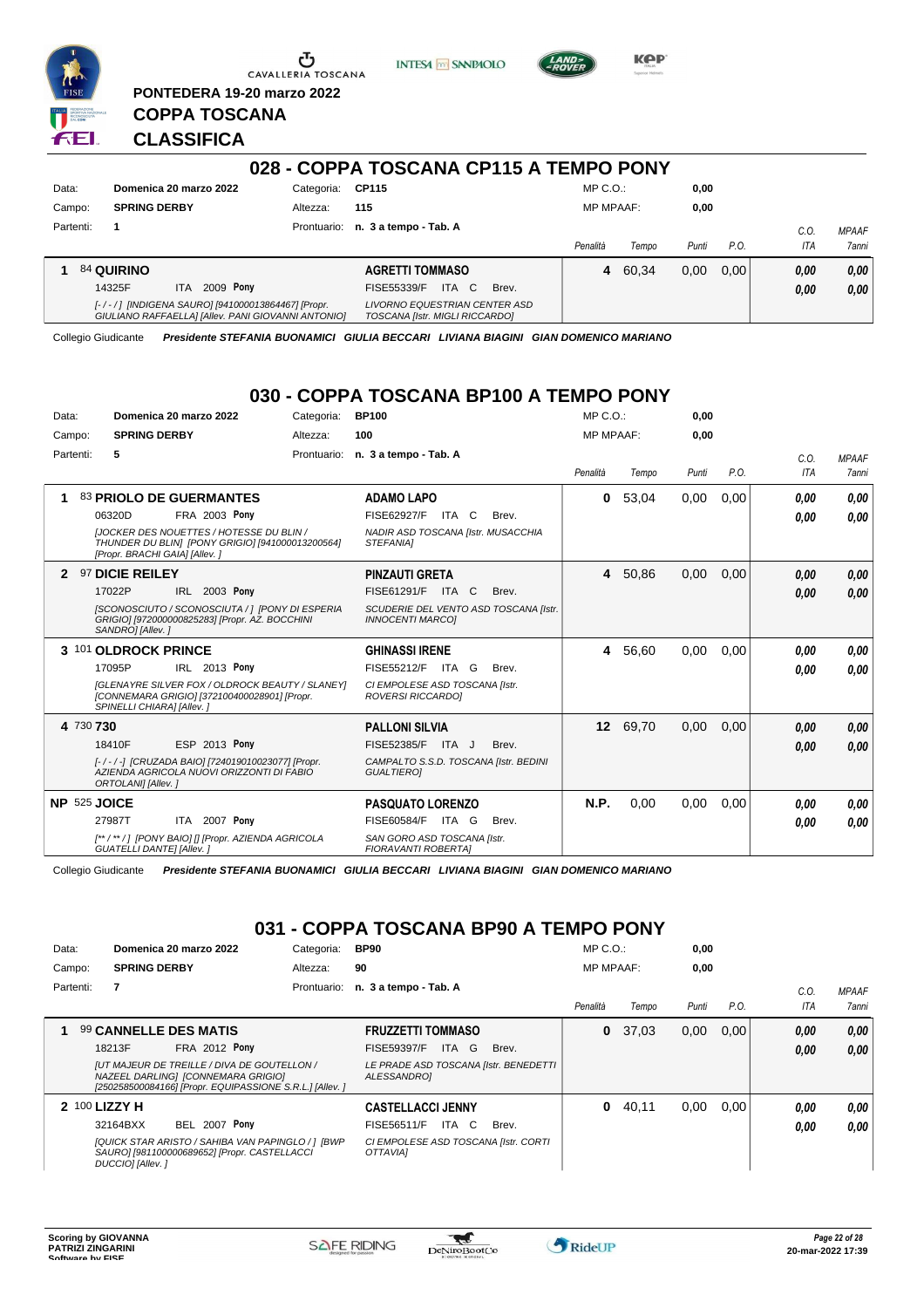

**PONTEDERA 19-20 marzo 2022**

**INTESA** M SANPAOLO



**KPP** 

### **CLASSIFICA**

**COPPA TOSCANA**

| 028 - COPPA TOSCANA CP115 A TEMPO PONY |                                                                                                         |            |                                                                 |                  |       |       |      |      |              |
|----------------------------------------|---------------------------------------------------------------------------------------------------------|------------|-----------------------------------------------------------------|------------------|-------|-------|------|------|--------------|
| Data:                                  | Domenica 20 marzo 2022                                                                                  | Categoria: | CP115                                                           | $MP C. O.$ :     |       | 0,00  |      |      |              |
| Campo:                                 | <b>SPRING DERBY</b>                                                                                     | Altezza:   | 115                                                             | <b>MP MPAAF:</b> |       | 0,00  |      |      |              |
| Partenti:                              |                                                                                                         |            | Prontuario: n. 3 a tempo - Tab. A                               |                  |       |       |      | C.O. | <b>MPAAF</b> |
|                                        |                                                                                                         |            |                                                                 | Penalità         | Tempo | Punti | P.O. | ITA  | 7anni        |
|                                        | <b>84 QUIRINO</b>                                                                                       |            | <b>AGRETTI TOMMASO</b>                                          | 4                | 60.34 | 0,00  | 0.00 | 0.00 | 0,00         |
|                                        | 2009 Pony<br>14325F<br>ITA.                                                                             |            | ITA C<br>FISE55339/F<br>Brev.                                   |                  |       |       |      | 0,00 | 0,00         |
|                                        | [-/-/] [INDIGENA SAURO] [941000013864467] [Propr.<br>GIULIANO RAFFAELLA] [Allev. PANI GIOVANNI ANTONIO] |            | LIVORNO EQUESTRIAN CENTER ASD<br>TOSCANA [Istr. MIGLI RICCARDO] |                  |       |       |      |      |              |

Collegio Giudicante *Presidente STEFANIA BUONAMICI GIULIA BECCARI LIVIANA BIAGINI GIAN DOMENICO MARIANO*

#### **030 - COPPA TOSCANA BP100 A TEMPO PONY**

| Data:     |                      |                                  | Domenica 20 marzo 2022                                                                                 | Categoria:  | <b>BP100</b>                                               |       |                                       | MP C. O.         |         | 0,00  |      |      |              |
|-----------|----------------------|----------------------------------|--------------------------------------------------------------------------------------------------------|-------------|------------------------------------------------------------|-------|---------------------------------------|------------------|---------|-------|------|------|--------------|
| Campo:    |                      | <b>SPRING DERBY</b>              |                                                                                                        | Altezza:    | 100                                                        |       |                                       | <b>MP MPAAF:</b> |         | 0.00  |      |      |              |
| Partenti: | 5                    |                                  |                                                                                                        | Prontuario: | n. 3 a tempo - Tab. A                                      |       |                                       |                  |         |       |      | C.O. | <b>MPAAF</b> |
|           |                      |                                  |                                                                                                        |             |                                                            |       |                                       | Penalità         | Tempo   | Punti | P.O. | ITA  | <b>7anni</b> |
| 1         |                      |                                  | 83 PRIOLO DE GUERMANTES                                                                                |             | <b>ADAMO LAPO</b>                                          |       |                                       | 0                | 53,04   | 0,00  | 0.00 | 0,00 | 0.00         |
|           | 06320D               |                                  | <b>FRA 2003 Pony</b>                                                                                   |             | FISE62927/F                                                | ITA C | Brev.                                 |                  |         |       |      | 0,00 | 0,00         |
|           |                      | [Propr. BRACHI GAIA] [Allev.]    | <b>IJOCKER DES NOUETTES / HOTESSE DU BLIN /</b><br>THUNDER DU BLIN] [PONY GRIGIO] [941000013200564]    |             | NADIR ASD TOSCANA [Istr. MUSACCHIA<br>STEFANIA]            |       |                                       |                  |         |       |      |      |              |
|           | 97 DICIE REILEY      |                                  |                                                                                                        |             | <b>PINZAUTI GRETA</b>                                      |       |                                       |                  | 4 50,86 | 0,00  | 0.00 | 0,00 | 0,00         |
|           | 17022P               |                                  | IRL 2003 Pony                                                                                          |             | FISE61291/F                                                | ITA C | Brev.                                 |                  |         |       |      | 0,00 | 0,00         |
|           | SANDRO] [Allev.]     |                                  | [SCONOSCIUTO / SCONOSCIUTA / ] [PONY DI ESPERIA<br>GRIGIO] [972000000825283] [Propr. AZ. BOCCHINI      |             | <b>INNOCENTI MARCOI</b>                                    |       | SCUDERIE DEL VENTO ASD TOSCANA [Istr. |                  |         |       |      |      |              |
|           | 3 101 OLDROCK PRINCE |                                  |                                                                                                        |             | <b>GHINASSI IRENE</b>                                      |       |                                       | 4                | 56,60   | 0,00  | 0.00 | 0.00 | 0.00         |
|           | 17095P               |                                  | IRL 2013 Pony                                                                                          |             | FISE55212/F ITA G                                          |       | Brev.                                 |                  |         |       |      | 0,00 | 0.00         |
|           |                      | SPINELLI CHIARA] [Allev.]        | <b>IGLENAYRE SILVER FOX / OLDROCK BEAUTY / SLANEYI</b><br>[CONNEMARA GRIGIO] [372100400028901] [Propr. |             | CI EMPOLESE ASD TOSCANA [Istr.<br><b>ROVERSI RICCARDOI</b> |       |                                       |                  |         |       |      |      |              |
|           | 4 730 730            |                                  |                                                                                                        |             | <b>PALLONI SILVIA</b>                                      |       |                                       | 12 <sup>12</sup> | 69,70   | 0,00  | 0,00 | 0,00 | 0,00         |
|           | 18410F               |                                  | ESP 2013 Pony                                                                                          |             | FISE52385/F                                                | ITA J | Brev.                                 |                  |         |       |      | 0,00 | 0,00         |
|           | ORTOLANI] [Allev.]   |                                  | [-/-/-] [CRUZADA BAIO] [724019010023077] [Propr.<br>AZIENDA AGRICOLA NUOVI ORIZZONTI DI FABIO          |             | CAMPALTO S.S.D. TOSCANA [Istr. BEDINI<br><b>GUALTIEROI</b> |       |                                       |                  |         |       |      |      |              |
|           | NP 525 JOICE         |                                  |                                                                                                        |             | <b>PASQUATO LORENZO</b>                                    |       |                                       | N.P.             | 0,00    | 0,00  | 0,00 | 0,00 | 0,00         |
|           | 27987T               |                                  | ITA 2007 Pony                                                                                          |             | FISE60584/F                                                | ITA G | Brev.                                 |                  |         |       |      | 0,00 | 0,00         |
|           |                      | <b>GUATELLI DANTE] [Allev. ]</b> | [**/**/] [PONY BAIO] [] [Propr. AZIENDA AGRICOLA                                                       |             | SAN GORO ASD TOSCANA [Istr.<br><b>FIORAVANTI ROBERTAI</b>  |       |                                       |                  |         |       |      |      |              |

Collegio Giudicante *Presidente STEFANIA BUONAMICI GIULIA BECCARI LIVIANA BIAGINI GIAN DOMENICO MARIANO*

### **031 - COPPA TOSCANA BP90 A TEMPO PONY**

| Data:  |           |                     | Domenica 20 marzo 2022                                                                                                                       | Categoria:  | <b>BP90</b>                                                    |       | $MP C. O.$ :     |       | 0,00  |      |      |                     |
|--------|-----------|---------------------|----------------------------------------------------------------------------------------------------------------------------------------------|-------------|----------------------------------------------------------------|-------|------------------|-------|-------|------|------|---------------------|
| Campo: |           | <b>SPRING DERBY</b> |                                                                                                                                              | Altezza:    | 90                                                             |       | <b>MP MPAAF:</b> |       | 0.00  |      |      |                     |
|        | Partenti: | 7                   |                                                                                                                                              | Prontuario: | n. 3 a tempo - Tab. A                                          |       |                  |       |       |      | C.O. | <b>MPAAF</b>        |
|        |           |                     |                                                                                                                                              |             |                                                                |       | Penalità         | Tempo | Punti | P.O. | ITA  | <i><b>7anni</b></i> |
|        |           |                     | 99 CANNELLE DES MATIS                                                                                                                        |             | <b>FRUZZETTI TOMMASO</b>                                       |       | 0                | 37.03 | 0,00  | 0.00 | 0,00 | 0.00                |
|        |           | 18213F              | <b>FRA 2012 Pony</b>                                                                                                                         |             | ITA G<br><b>FISE59397/F</b>                                    | Brev. |                  |       |       |      | 0,00 | 0.00                |
|        |           |                     | [UT MAJEUR DE TREILLE / DIVA DE GOUTELLON /<br>NAZEEL DARLING] [CONNEMARA GRIGIO]<br>[250258500084166] [Propr. EQUIPASSIONE S.R.L.] [Allev.] |             | LE PRADE ASD TOSCANA [Istr. BENEDETTI<br>ALESSANDRO1           |       |                  |       |       |      |      |                     |
|        |           | 2 100 LIZZY H       |                                                                                                                                              |             | <b>CASTELLACCI JENNY</b>                                       |       | 0                | 40.11 | 0.00  | 0.00 | 0.00 | 0.00                |
|        |           | 32164BXX            | <b>BEL 2007 Pony</b>                                                                                                                         |             | ITA C<br><b>FISE56511/F</b>                                    | Brev. |                  |       |       |      | 0.00 | 0.00                |
|        |           | DUCCIO] [Allev.]    | [QUICK STAR ARISTO / SAHIBA VAN PAPINGLO / ] [BWP<br>SAURO] [981100000689652] [Propr. CASTELLACCI                                            |             | CI EMPOLESE ASD TOSCANA [Istr. CORTI<br><i><b>OTTAVIAI</b></i> |       |                  |       |       |      |      |                     |

 $\blacktriangledown$ 

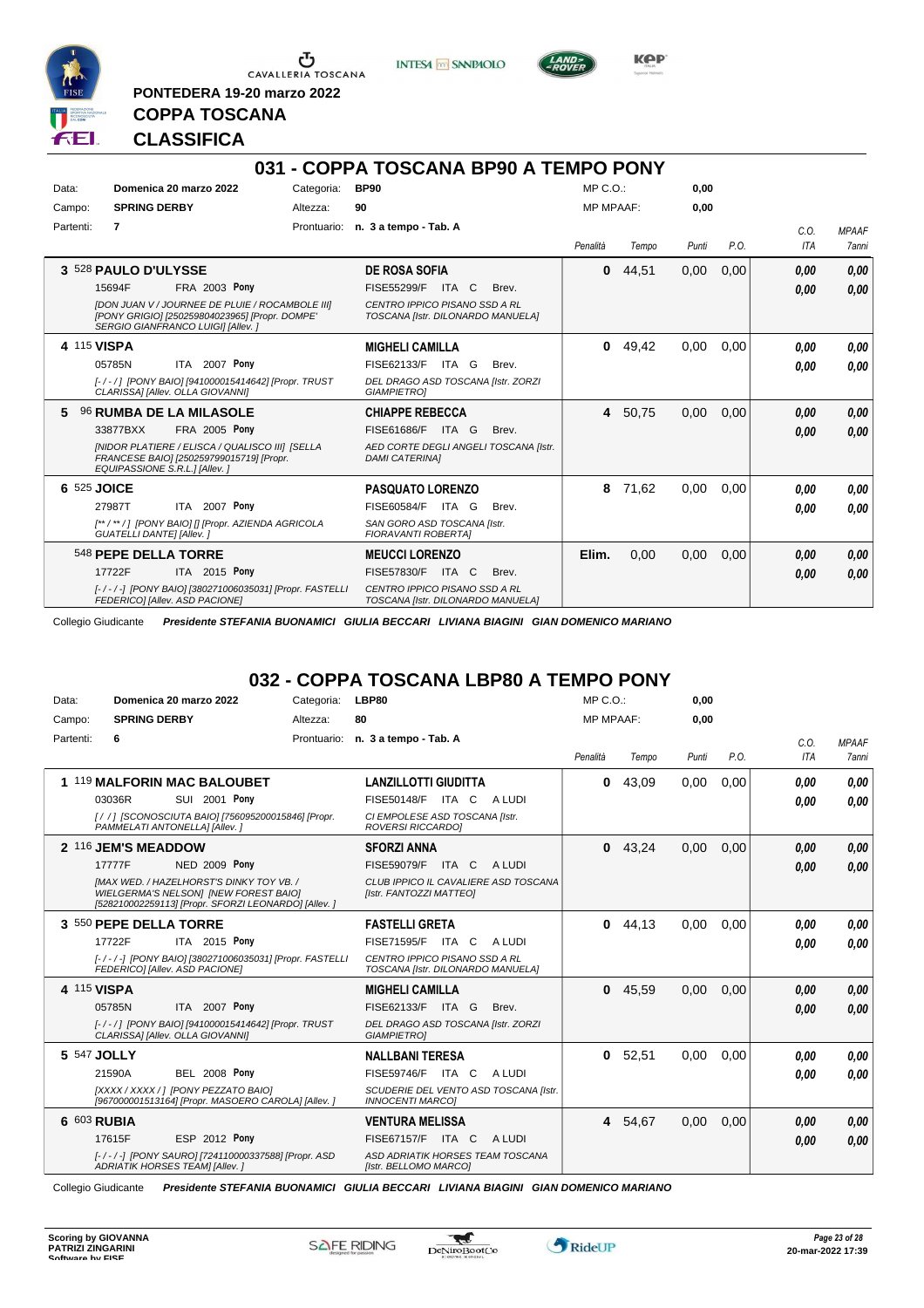

 $\sigma$  Cavalleria Toscana

**PONTEDERA 19-20 marzo 2022**

**INTESA** M SANPAOLO



**Kep** 

### **COPPA TOSCANA CLASSIFICA**

|           |                                                                                                                                                                                                    |             | 031 - COPPA TOSCANA BP90 A TEMPO PONY                                                                                               |                  |         |       |      |                    |                       |
|-----------|----------------------------------------------------------------------------------------------------------------------------------------------------------------------------------------------------|-------------|-------------------------------------------------------------------------------------------------------------------------------------|------------------|---------|-------|------|--------------------|-----------------------|
| Data:     | Domenica 20 marzo 2022                                                                                                                                                                             | Categoria:  | <b>BP90</b>                                                                                                                         | $MP C. O.$ :     |         | 0.00  |      |                    |                       |
| Campo:    | <b>SPRING DERBY</b>                                                                                                                                                                                | Altezza:    | 90                                                                                                                                  | <b>MP MPAAF:</b> |         | 0,00  |      |                    |                       |
| Partenti: | 7                                                                                                                                                                                                  | Prontuario: | n. 3 a tempo - Tab. A                                                                                                               | Penalità         | Tempo   | Punti | P.O. | C.0.<br><b>ITA</b> | <b>MPAAF</b><br>7anni |
|           | 3 528 PAULO D'ULYSSE<br>FRA 2003 Pony<br>15694F<br>[DON JUAN V / JOURNEE DE PLUIE / ROCAMBOLE III]<br>[PONY GRIGIO] [250259804023965] [Propr. DOMPE'<br>SERGIO GIANFRANCO LUIGII [Allev.]          |             | <b>DE ROSA SOFIA</b><br>FISE55299/F<br>ITA C<br>Brev.<br>CENTRO IPPICO PISANO SSD A RL<br>TOSCANA [Istr. DILONARDO MANUELA]         | 0                | 44,51   | 0,00  | 0,00 | 0.00<br>0,00       | 0,00<br>0,00          |
|           | 4 115 VISPA<br>ITA 2007 Pony<br>05785N<br>[-/-/] [PONY BAIO] [941000015414642] [Propr. TRUST<br>CLARISSA] [Allev. OLLA GIOVANNI]                                                                   |             | <b>MIGHELI CAMILLA</b><br>FISE62133/F ITA G<br>Brev.<br>DEL DRAGO ASD TOSCANA [Istr. ZORZI<br><b>GIAMPIETROI</b>                    | 0                | 49.42   | 0.00  | 0.00 | 0.00<br>0,00       | 0,00<br>0.00          |
| 5.        | 96 RUMBA DE LA MILASOLE<br><b>FRA 2005 Pony</b><br>33877BXX<br><b>INIDOR PLATIERE / ELISCA / QUALISCO IIII ISELLA</b><br>FRANCESE BAIO1 [250259799015719] [Propr.<br>EQUIPASSIONE S.R.L.] [Allev.] |             | <b>CHIAPPE REBECCA</b><br>FISE61686/F<br>ITA G<br>Brev.<br>AED CORTE DEGLI ANGELI TOSCANA [Istr.<br><b>DAMI CATERINAI</b>           |                  | 4 50,75 | 0,00  | 0.00 | 0,00<br>0,00       | 0,00<br>0.00          |
|           | 6 525 JOICE<br>ITA 2007 Pony<br>27987T<br>[**/**/] [PONY BAIO] [] [Propr. AZIENDA AGRICOLA<br><b>GUATELLI DANTE] [Allev. ]</b>                                                                     |             | <b>PASQUATO LORENZO</b><br>FISE60584/F<br>ITA G<br>Brev.<br>SAN GORO ASD TOSCANA [Istr.<br><b>FIORAVANTI ROBERTAI</b>               | 8                | 71.62   | 0.00  | 0.00 | 0.00<br>0,00       | 0.00<br>0.00          |
|           | 548 PEPE DELLA TORRE<br>17722F<br>ITA 2015 Pony<br>[-/-/-] [PONY BAIO] [380271006035031] [Propr. FASTELLI<br>FEDERICO] [Allev. ASD PACIONE]                                                        |             | <b>MEUCCI LORENZO</b><br><b>FISE57830/F</b><br>ITA C<br>Brev.<br>CENTRO IPPICO PISANO SSD A RL<br>TOSCANA [Istr. DILONARDO MANUELA] | Elim.            | 0.00    | 0,00  | 0,00 | 0.00<br>0.00       | 0,00<br>0.00          |

Collegio Giudicante *Presidente STEFANIA BUONAMICI GIULIA BECCARI LIVIANA BIAGINI GIAN DOMENICO MARIANO*

### **032 - COPPA TOSCANA LBP80 A TEMPO PONY**

| Data:     | Domenica 20 marzo 2022                                                                                                                           | Categoria:  | LBP80                                                              | $MP C. O.$ :     |           | 0,00  |      |      |              |
|-----------|--------------------------------------------------------------------------------------------------------------------------------------------------|-------------|--------------------------------------------------------------------|------------------|-----------|-------|------|------|--------------|
| Campo:    | <b>SPRING DERBY</b>                                                                                                                              | Altezza:    | 80                                                                 | <b>MP MPAAF:</b> |           | 0.00  |      |      |              |
| Partenti: | 6                                                                                                                                                | Prontuario: | n. 3 a tempo - Tab. A                                              |                  |           |       |      | C.O. | <b>MPAAF</b> |
|           |                                                                                                                                                  |             |                                                                    | Penalità         | Tempo     | Punti | P.O. | ITA  | 7anni        |
|           | 1 119 MALFORIN MAC BALOUBET                                                                                                                      |             | <b>LANZILLOTTI GIUDITTA</b>                                        | 0                | 43,09     | 0.00  | 0.00 | 0.00 | 0,00         |
|           | SUI 2001 Pony<br>03036R                                                                                                                          |             | <b>FISE50148/F</b><br>ITA C<br>A LUDI                              |                  |           |       |      | 0.00 | 0.00         |
|           | [/ /] [SCONOSCIUTA BAIO] [756095200015846] [Propr.<br>PAMMELATI ANTONELLA] [Allev.]                                                              |             | CI EMPOLESE ASD TOSCANA [Istr.<br>ROVERSI RICCARDO]                |                  |           |       |      |      |              |
|           | 2 116 JEM'S MEADDOW                                                                                                                              |             | <b>SFORZI ANNA</b>                                                 |                  | $0$ 43,24 | 0,00  | 0,00 | 0.00 | 0,00         |
|           | 17777F<br><b>NED 2009 Pony</b>                                                                                                                   |             | FISE59079/F<br>ITA C<br>A LUDI                                     |                  |           |       |      | 0.00 | 0,00         |
|           | <b>IMAX WED. / HAZELHORST'S DINKY TOY VB. /</b><br>WIELGERMA'S NELSON] [NEW FOREST BAIO]<br>[528210002259113] [Propr. SFORZI LEONARDO] [Allev. ] |             | CLUB IPPICO IL CAVALIERE ASD TOSCANA<br>[Istr. FANTOZZI MATTEO]    |                  |           |       |      |      |              |
|           | 3 550 PEPE DELLA TORRE                                                                                                                           |             | <b>FASTELLI GRETA</b>                                              | 0                | 44.13     | 0,00  | 0.00 | 0.00 | 0,00         |
|           | ITA 2015 Pony<br>17722F                                                                                                                          |             | FISE71595/F<br>ITA C<br>A LUDI                                     |                  |           |       |      | 0.00 | 0.00         |
|           | [-/-/-] [PONY BAIO] [380271006035031] [Propr. FASTELL]<br>FEDERICO] [Allev. ASD PACIONE]                                                         |             | CENTRO IPPICO PISANO SSD A RL<br>TOSCANA [Istr. DILONARDO MANUELA] |                  |           |       |      |      |              |
|           | 4 115 VISPA                                                                                                                                      |             | <b>MIGHELI CAMILLA</b>                                             | $\mathbf{0}$     | 45,59     | 0,00  | 0,00 | 0.00 | 0,00         |
|           | ITA 2007 Pony<br>05785N                                                                                                                          |             | FISE62133/F ITA G<br>Brev.                                         |                  |           |       |      | 0.00 | 0.00         |
|           | [-/-/] [PONY BAIO] [941000015414642] [Propr. TRUST<br>CLARISSA] [Allev. OLLA GIOVANNI]                                                           |             | DEL DRAGO ASD TOSCANA [Istr. ZORZI<br><b>GIAMPIETROI</b>           |                  |           |       |      |      |              |
|           | 5 547 JOLLY                                                                                                                                      |             | <b>NALLBANI TERESA</b>                                             | $\mathbf{0}$     | 52,51     | 0,00  | 0,00 | 0.00 | 0.00         |
|           | <b>BEL 2008 Pony</b><br>21590A                                                                                                                   |             | FISE59746/F<br>ITA C<br>A LUDI                                     |                  |           |       |      | 0.00 | 0.00         |
|           | [XXXX / XXXX / ] [PONY PEZZATO BAIO]<br>[967000001513164] [Propr. MASOERO CAROLA] [Allev. ]                                                      |             | SCUDERIE DEL VENTO ASD TOSCANA [Istr.<br><b>INNOCENTI MARCOI</b>   |                  |           |       |      |      |              |
|           | 6 603 RUBIA                                                                                                                                      |             | <b>VENTURA MELISSA</b>                                             | 4                | 54,67     | 0,00  | 0,00 | 0.00 | 0,00         |
|           | 17615F<br>ESP 2012 Pony                                                                                                                          |             | FISE67157/F ITA C<br>A LUDI                                        |                  |           |       |      | 0.00 | 0.00         |
|           | [-/-/-] [PONY SAURO] [724110000337588] [Propr. ASD<br>ADRIATIK HORSES TEAM] [Allev. ]                                                            |             | ASD ADRIATIK HORSES TEAM TOSCANA<br>[Istr. BELLOMO MARCO]          |                  |           |       |      |      |              |

Collegio Giudicante *Presidente STEFANIA BUONAMICI GIULIA BECCARI LIVIANA BIAGINI GIAN DOMENICO MARIANO*

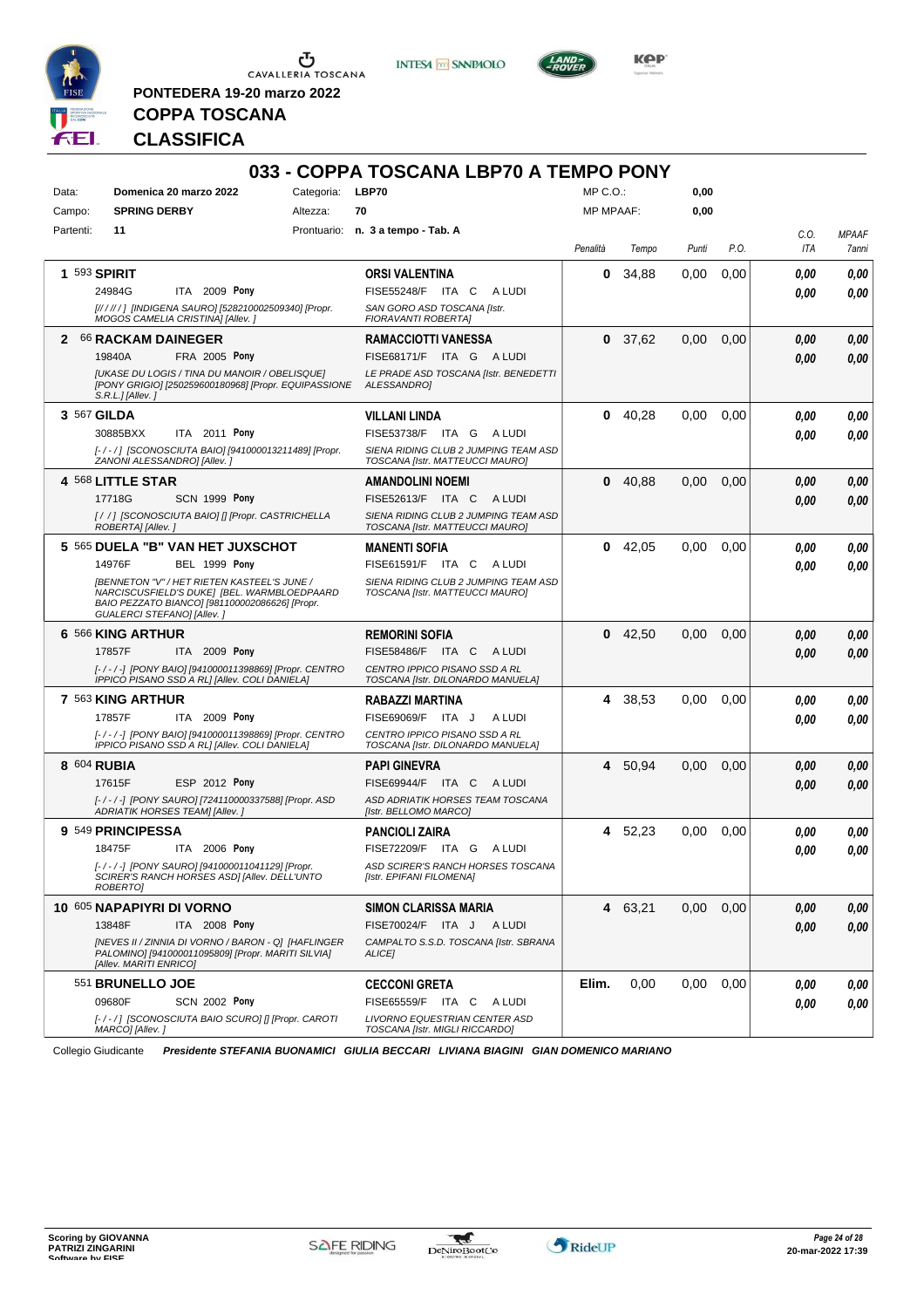

**PONTEDERA 19-20 marzo 2022**

**INTESA M** SANPAOLO



**KOP** 

# **COPPA TOSCANA CLASSIFICA**

| Data:        | Domenica 20 marzo 2022                                                                                                                                                            | Categoria: LBP70 |                                                                         |                  | $MP C. O.$ : | 0,00  |      |            |              |
|--------------|-----------------------------------------------------------------------------------------------------------------------------------------------------------------------------------|------------------|-------------------------------------------------------------------------|------------------|--------------|-------|------|------------|--------------|
| Campo:       | <b>SPRING DERBY</b>                                                                                                                                                               | Altezza:         | 70                                                                      | <b>MP MPAAF:</b> |              | 0,00  |      |            |              |
| Partenti:    | 11                                                                                                                                                                                |                  | Prontuario: n. 3 a tempo - Tab. A                                       |                  |              |       |      | C.O.       | <b>MPAAF</b> |
|              |                                                                                                                                                                                   |                  |                                                                         | Penalità         | Tempo        | Punti | P.O. | <b>ITA</b> | 7anni        |
| 1 593 SPIRIT |                                                                                                                                                                                   |                  | <b>ORSI VALENTINA</b>                                                   | 0                | 34,88        | 0,00  | 0,00 | 0.00       | 0,00         |
|              | ITA 2009 Pony<br>24984G                                                                                                                                                           |                  | <b>FISE55248/F ITA C</b><br>A LUDI                                      |                  |              |       |      | 0,00       |              |
|              | [// / // / ] [INDIGENA SAURO] [528210002509340] [Propr.<br>MOGOS CAMELIA CRISTINA] [Allev.]                                                                                       |                  | SAN GORO ASD TOSCANA [Istr.<br><b>FIORAVANTI ROBERTAI</b>               |                  |              |       |      |            |              |
|              | 2 66 RACKAM DAINEGER                                                                                                                                                              |                  | <b>RAMACCIOTTI VANESSA</b>                                              |                  | 0, 37,62     | 0,00  | 0,00 | 0,00       |              |
|              | FRA 2005 Pony<br>19840A                                                                                                                                                           |                  | FISE68171/F ITA G<br>A LUDI                                             |                  |              |       |      | 0.00       |              |
|              | <b>JUKASE DU LOGIS / TINA DU MANOIR / OBELISQUE]</b><br>[PONY GRIGIO] [250259600180968] [Propr. EQUIPASSIONE<br>$S.R.L.JIAllev.$ ]                                                |                  | LE PRADE ASD TOSCANA [Istr. BENEDETTI<br>ALESSANDRO]                    |                  |              |       |      |            |              |
| 3 567 GILDA  |                                                                                                                                                                                   |                  | <b>VILLANI LINDA</b>                                                    | $\mathbf 0$      | 40,28        | 0,00  | 0,00 | 0.00       |              |
|              | 30885BXX<br>ITA 2011 Pony                                                                                                                                                         |                  | FISE53738/F ITA G ALUDI                                                 |                  |              |       |      | 0.00       |              |
|              | [-/-/] [SCONOSCIUTA BAIO] [941000013211489] [Propr.<br>ZANONI ALESSANDRO] [Allev.]                                                                                                |                  | SIENA RIDING CLUB 2 JUMPING TEAM ASD<br>TOSCANA [Istr. MATTEUCCI MAURO] |                  |              |       |      |            |              |
|              | 4 568 LITTLE STAR                                                                                                                                                                 |                  | <b>AMANDOLINI NOEMI</b>                                                 | 0                | 40,88        | 0,00  | 0,00 | 0.00       |              |
|              | 17718G<br>SCN 1999 Pony                                                                                                                                                           |                  | FISE52613/F ITA C<br>A LUDI                                             |                  |              |       |      | 0.00       |              |
|              | [/ /] [SCONOSCIUTA BAIO] [] [Propr. CASTRICHELLA<br>ROBERTA] [Allev.]                                                                                                             |                  | SIENA RIDING CLUB 2 JUMPING TEAM ASD<br>TOSCANA [Istr. MATTEUCCI MAURO] |                  |              |       |      |            |              |
|              | 5 565 DUELA "B" VAN HET JUXSCHOT                                                                                                                                                  |                  | <b>MANENTI SOFIA</b>                                                    |                  | $0$ 42,05    | 0,00  | 0.00 | 0.00       |              |
|              | 14976F<br><b>BEL 1999 Pony</b>                                                                                                                                                    |                  | FISE61591/F ITA C ALUDI                                                 |                  |              |       |      | 0.00       |              |
|              | <b>IBENNETON "V" / HET RIETEN KASTEEL'S JUNE /</b><br>NARCISCUSFIELD'S DUKE] [BEL. WARMBLOEDPAARD<br>BAIO PEZZATO BIANCO] [981100002086626] [Propr.<br>GUALERCI STEFANO] [Allev.] |                  | SIENA RIDING CLUB 2 JUMPING TEAM ASD<br>TOSCANA [Istr. MATTEUCCI MAURO] |                  |              |       |      |            |              |
|              | 6 566 KING ARTHUR                                                                                                                                                                 |                  | <b>REMORINI SOFIA</b>                                                   | $\mathbf 0$      | 42,50        | 0,00  | 0,00 | 0.00       |              |
|              | 17857F<br><b>ITA 2009 Pony</b>                                                                                                                                                    |                  | <b>FISE58486/F ITA C</b><br>A LUDI                                      |                  |              |       |      | 0.00       |              |
|              | [-/-/-] [PONY BAIO] [941000011398869] [Propr. CENTRO<br>IPPICO PISANO SSD A RLI [Allev. COLI DANIELA]                                                                             |                  | CENTRO IPPICO PISANO SSD A RL<br>TOSCANA [Istr. DILONARDO MANUELA]      |                  |              |       |      |            |              |
|              | 7 563 KING ARTHUR                                                                                                                                                                 |                  | <b>RABAZZI MARTINA</b>                                                  | 4                | 38,53        | 0,00  | 0,00 | 0.00       |              |
|              | 17857F<br>ITA 2009 Pony                                                                                                                                                           |                  | FISE69069/F ITA J<br>A LUDI                                             |                  |              |       |      | 0.00       |              |
|              | [-/-/-] [PONY BAIO] [941000011398869] [Propr. CENTRO<br>IPPICO PISANO SSD A RL] [Allev. COLI DANIELA]                                                                             |                  | CENTRO IPPICO PISANO SSD A RL<br>TOSCANA [Istr. DILONARDO MANUELA]      |                  |              |       |      |            |              |
| 8 604 RUBIA  |                                                                                                                                                                                   |                  | <b>PAPI GINEVRA</b>                                                     |                  | 4 50,94      | 0.00  | 0,00 | 0.00       |              |
|              | 17615F<br>ESP 2012 Pony                                                                                                                                                           |                  | FISE69944/F ITA C ALUDI                                                 |                  |              |       |      | 0.00       |              |
|              | [-/-/-] [PONY SAURO] [724110000337588] [Propr. ASD<br>ADRIATIK HORSES TEAM] [Allev.]                                                                                              |                  | ASD ADRIATIK HORSES TEAM TOSCANA<br>[Istr. BELLOMO MARCO]               |                  |              |       |      |            |              |
|              | 9 549 PRINCIPESSA                                                                                                                                                                 |                  | <b>PANCIOLI ZAIRA</b>                                                   | 4                | 52,23        | 0,00  | 0,00 | 0.00       |              |
|              | 18475F<br>ITA 2006 Pony                                                                                                                                                           |                  | FISE72209/F ITA G ALUDI                                                 |                  |              |       |      | 0.00       |              |
|              | [-/-/-] [PONY SAURO] [941000011041129] [Propr.<br>SCIRER'S RANCH HORSES ASD] [Allev. DELL'UNTO<br>ROBERTO]                                                                        |                  | ASD SCIRER'S RANCH HORSES TOSCANA<br>[Istr. EPIFANI FILOMENA]           |                  |              |       |      |            |              |
|              | 10 605 NAPAPIYRI DI VORNO                                                                                                                                                         |                  | SIMON CLARISSA MARIA                                                    |                  | 4 63,21      | 0,00  | 0,00 | 0,00       |              |
|              | ITA 2008 Pony<br>13848F                                                                                                                                                           |                  | FISE70024/F ITA J ALUDI                                                 |                  |              |       |      | 0,00       |              |
|              | [NEVES II / ZINNIA DI VORNO / BARON - Q] [HAFLINGER<br>PALOMINO] [941000011095809] [Propr. MARITI SILVIA]<br>[Allev. MARITI ENRICO]                                               |                  | CAMPALTO S.S.D. TOSCANA [Istr. SBRANA<br>ALICE]                         |                  |              |       |      |            |              |
|              | 551 BRUNELLO JOE                                                                                                                                                                  |                  | <b>CECCONI GRETA</b>                                                    | Elim.            | 0,00         | 0,00  | 0,00 | 0,00       |              |
|              | 09680F<br><b>SCN 2002 Pony</b>                                                                                                                                                    |                  | FISE65559/F ITA C ALUDI                                                 |                  |              |       |      | 0,00       |              |
|              | [-/-/] [SCONOSCIUTA BAIO SCURO] [] [Propr. CAROTI                                                                                                                                 |                  | LIVORNO EQUESTRIAN CENTER ASD                                           |                  |              |       |      |            |              |

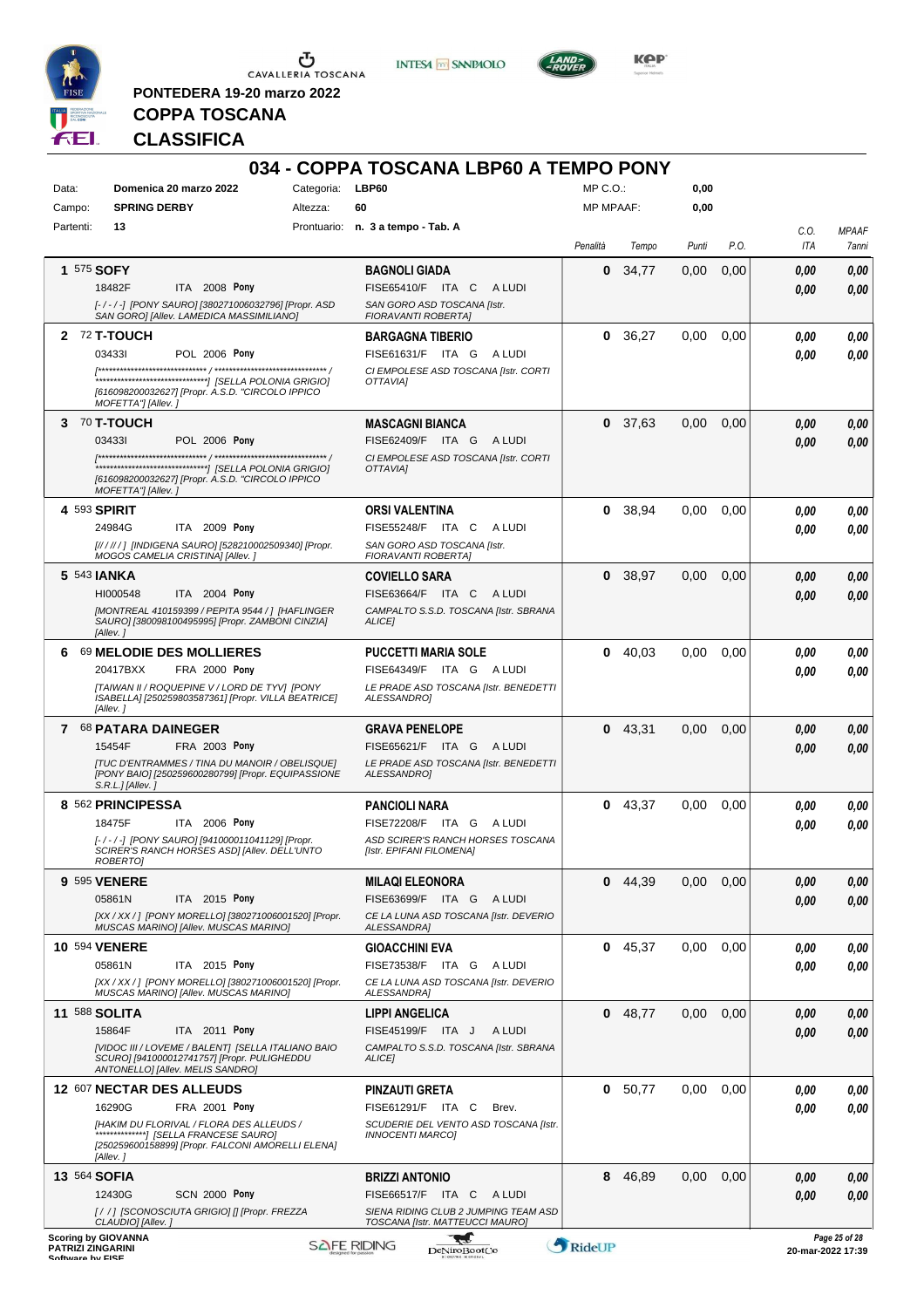

**PONTEDERA 19-20 marzo 2022**

**INTESA** M SANPAOLO



KOP<sup>®</sup>

# **COPPA TOSCANA CLASSIFICA**

| Data:                                 | Domenica 20 marzo 2022                                                                                                         | Categoria: | 034 - COPPA TOSCANA LBP60 A TEMPO PONY<br>LBP60                         | MP C. O.         |          |              |      |             |                                    |
|---------------------------------------|--------------------------------------------------------------------------------------------------------------------------------|------------|-------------------------------------------------------------------------|------------------|----------|--------------|------|-------------|------------------------------------|
| Campo:                                | <b>SPRING DERBY</b>                                                                                                            | Altezza:   | 60                                                                      | <b>MP MPAAF:</b> |          | 0,00<br>0,00 |      |             |                                    |
| Partenti:                             | 13                                                                                                                             |            | Prontuario: n. 3 a tempo - Tab. A                                       |                  |          |              |      |             |                                    |
|                                       |                                                                                                                                |            |                                                                         | Penalità         | Tempo    | Punti        | P.O. | C.O.<br>ITA | <b>MPAAF</b><br>7anni              |
|                                       | 1 575 SOFY                                                                                                                     |            | <b>BAGNOLI GIADA</b>                                                    | 0                | 34,77    | 0,00         | 0,00 | 0.00        | 0,00                               |
|                                       | 18482F<br>ITA 2008 Pony                                                                                                        |            | FISE65410/F ITA C<br>A LUDI                                             |                  |          |              |      | 0.00        | 0,00                               |
|                                       | [-/-/-] [PONY SAURO] [380271006032796] [Propr. ASD<br>SAN GORO] [Allev. LAMEDICA MASSIMILIANO]                                 |            | SAN GORO ASD TOSCANA [Istr.<br>FIORAVANTI ROBERTA]                      |                  |          |              |      |             |                                    |
|                                       | 2 72 T-TOUCH                                                                                                                   |            | <b>BARGAGNA TIBERIO</b>                                                 |                  | 0, 36.27 | 0.00         | 0,00 | 0,00        | 0,00                               |
|                                       | 034331<br>POL 2006 Pony                                                                                                        |            | FISE61631/F ITA G<br>A LUDI                                             |                  |          |              |      | 0.00        | 0.00                               |
|                                       |                                                                                                                                |            | CI EMPOLESE ASD TOSCANA [Istr. CORTI<br><b>OTTAVIAI</b>                 |                  |          |              |      |             |                                    |
|                                       | [616098200032627] [Propr. A.S.D. "CIRCOLO IPPICO<br>MOFETTA"] [Allev.]                                                         |            |                                                                         |                  |          |              |      |             |                                    |
|                                       | $3\,$ $70$ T-TOUCH                                                                                                             |            | <b>MASCAGNI BIANCA</b>                                                  | 0                | 37,63    | 0,00         | 0,00 | 0,00        | 0,00                               |
|                                       | 034331<br><b>POL 2006 Pony</b>                                                                                                 |            | FISE62409/F ITA G ALUDI                                                 |                  |          |              |      | 0.00        | 0,00                               |
|                                       |                                                                                                                                |            | CI EMPOLESE ASD TOSCANA [Istr. CORTI<br>OTTAVIAI                        |                  |          |              |      |             |                                    |
|                                       | [616098200032627] [Propr. A.S.D. "CIRCOLO IPPICO<br>MOFETTA"] [Allev.]                                                         |            |                                                                         |                  |          |              |      |             |                                    |
|                                       | 4 593 SPIRIT                                                                                                                   |            | <b>ORSI VALENTINA</b>                                                   | 0                | 38,94    | 0,00         | 0,00 | 0.00        | 0,00                               |
|                                       | 24984G<br>ITA 2009 Pony                                                                                                        |            | FISE55248/F ITA C<br>A LUDI                                             |                  |          |              |      | 0.00        | 0.00                               |
|                                       | [////// [INDIGENA SAURO] [528210002509340] [Propr.<br>MOGOS CAMELIA CRISTINA] [Allev.]                                         |            | SAN GORO ASD TOSCANA [Istr.<br>FIORAVANTI ROBERTA]                      |                  |          |              |      |             |                                    |
|                                       | 5 543 <b>JANKA</b>                                                                                                             |            | <b>COVIELLO SARA</b>                                                    | 0                | 38,97    | 0,00         | 0,00 | 0,00        | 0,00                               |
|                                       | ITA 2004 Pony<br>HI000548                                                                                                      |            | FISE63664/F ITA C<br>A LUDI                                             |                  |          |              |      | 0,00        | 0.00                               |
|                                       | [MONTREAL 410159399 / PEPITA 9544 / ] [HAFLINGER<br>SAURO] [380098100495995] [Propr. ZAMBONI CINZIA]<br>[Allev.]               |            | CAMPALTO S.S.D. TOSCANA [Istr. SBRANA<br><b>ALICEI</b>                  |                  |          |              |      |             |                                    |
|                                       | 6 69 MELODIE DES MOLLIERES                                                                                                     |            | <b>PUCCETTI MARIA SOLE</b>                                              |                  | 0.40,03  | 0.00         | 0,00 | 0.00        | 0,00                               |
|                                       | 20417BXX<br>FRA 2000 Pony                                                                                                      |            | FISE64349/F ITA G ALUDI                                                 |                  |          |              |      | 0.00        | 0.00                               |
|                                       | [TAIWAN II / ROQUEPINE V / LORD DE TYV] [PONY<br>ISABELLA] [250259803587361] [Propr. VILLA BEATRICE]<br>[Allev.]               |            | LE PRADE ASD TOSCANA [Istr. BENEDETTI<br>ALESSANDRO]                    |                  |          |              |      |             |                                    |
|                                       | 7 68 PATARA DAINEGER                                                                                                           |            | <b>GRAVA PENELOPE</b>                                                   | 0                | 43,31    | 0,00         | 0,00 | 0.00        | 0,00                               |
|                                       | 15454F<br>FRA 2003 Pony                                                                                                        |            | FISE65621/F ITA G ALUDI                                                 |                  |          |              |      | 0.00        | 0.00                               |
|                                       | <b>[TUC D'ENTRAMMES / TINA DU MANOIR / OBELISQUE]</b><br>[PONY BAIO] [250259600280799] [Propr. EQUIPASSIONE<br>S.R.L.J[Allev.] |            | LE PRADE ASD TOSCANA [Istr. BENEDETTI<br>ALESSANDRO1                    |                  |          |              |      |             |                                    |
|                                       | 8 562 PRINCIPESSA                                                                                                              |            | <b>PANCIOLI NARA</b>                                                    | 0                | 43,37    | 0,00         | 0,00 | 0,00        | 0,00                               |
|                                       | 18475F<br>ITA 2006 Pony                                                                                                        |            | FISE72208/F ITA G ALUDI                                                 |                  |          |              |      | 0.00        | 0,00                               |
|                                       | [-/-/-] [PONY SAURO] [941000011041129] [Propr.<br>SCIRER'S RANCH HORSES ASDI [Allev. DELL'UNTO                                 |            | ASD SCIRER'S RANCH HORSES TOSCANA<br>[Istr. EPIFANI FILOMENA]           |                  |          |              |      |             |                                    |
|                                       | <i>ROBERTOI</i>                                                                                                                |            |                                                                         |                  |          |              |      |             |                                    |
|                                       | 9 595 VENERE<br>05861N<br>ITA 2015 Pony                                                                                        |            | <b>MILAQI ELEONORA</b><br>FISE63699/F ITA G ALUDI                       | 0                | 44.39    | 0,00         | 0,00 | 0.00        | 0,00                               |
|                                       | [XX / XX / ] [PONY MORELLO] [380271006001520] [Propr.                                                                          |            | CE LA LUNA ASD TOSCANA [Istr. DEVERIO                                   |                  |          |              |      | 0.00        | 0,00                               |
|                                       | MUSCAS MARINO] [Allev. MUSCAS MARINO]                                                                                          |            | <b>ALESSANDRA]</b>                                                      |                  |          |              |      |             |                                    |
|                                       | <b>10 594 VENERE</b><br>ITA 2015 Pony                                                                                          |            | <b>GIOACCHINI EVA</b>                                                   | 0                | 45,37    | 0,00         | 0,00 | 0.00        | 0,00                               |
|                                       | 05861N<br>[XX / XX / ] [PONY MORELLO] [380271006001520] [Propr.                                                                |            | FISE73538/F ITA G ALUDI<br>CE LA LUNA ASD TOSCANA [Istr. DEVERIO        |                  |          |              |      | 0.00        | 0.00                               |
|                                       | MUSCAS MARINO] [Allev. MUSCAS MARINO]                                                                                          |            | <b>ALESSANDRA]</b>                                                      |                  |          |              |      |             |                                    |
|                                       | 11 588 SOLITA                                                                                                                  |            | <b>LIPPI ANGELICA</b>                                                   | 0                | 48,77    | 0,00         | 0,00 | 0.00        | 0,00                               |
|                                       | ITA 2011 Pony<br>15864F<br>[VIDOC III / LOVEME / BALENT] [SELLA ITALIANO BAIO                                                  |            | FISE45199/F ITA J<br>A LUDI<br>CAMPALTO S.S.D. TOSCANA [Istr. SBRANA    |                  |          |              |      | 0.00        | 0,00                               |
|                                       | SCURO] [941000012741757] [Propr. PULIGHEDDU<br>ANTONELLO] [Allev. MELIS SANDRO]                                                |            | ALICE]                                                                  |                  |          |              |      |             |                                    |
|                                       | 12 607 NECTAR DES ALLEUDS                                                                                                      |            | <b>PINZAUTI GRETA</b>                                                   |                  | 0 50,77  | 0,00         | 0.00 | 0,00        | 0,00                               |
|                                       | 16290G<br>FRA 2001 Pony<br>[HAKIM DU FLORIVAL / FLORA DES ALLEUDS /                                                            |            | FISE61291/F ITA C<br>Brev.<br>SCUDERIE DEL VENTO ASD TOSCANA [Istr.     |                  |          |              |      | 0.00        | 0,00                               |
|                                       | *************************/ JSELLA FRANCESE SAURO]<br>[250259600158899] [Propr. FALCONI AMORELLI ELENA]<br>[Allev.]             |            | <b>INNOCENTI MARCO]</b>                                                 |                  |          |              |      |             |                                    |
|                                       | 13 564 SOFIA                                                                                                                   |            | <b>BRIZZI ANTONIO</b>                                                   | 8                | 46,89    | 0,00         | 0,00 | 0.00        | 0,00                               |
|                                       | 12430G<br><b>SCN 2000 Pony</b>                                                                                                 |            | FISE66517/F ITA C ALUDI                                                 |                  |          |              |      | 0.00        | 0.00                               |
|                                       | [/ /] [SCONOSCIUTA GRIGIO] [] [Propr. FREZZA<br>CLAUDIO] [Allev.]                                                              |            | SIENA RIDING CLUB 2 JUMPING TEAM ASD<br>TOSCANA [Istr. MATTEUCCI MAURO] |                  |          |              |      |             |                                    |
| PATRIZI ZINGARINI<br>Coffware by EICE | <b>Scoring by GIOVANNA</b>                                                                                                     |            | ₩<br><b>SAFE RIDING</b><br><b>DeNiroBootCo</b>                          | RideUP           |          |              |      |             | Page 25 of 28<br>20-mar-2022 17:39 |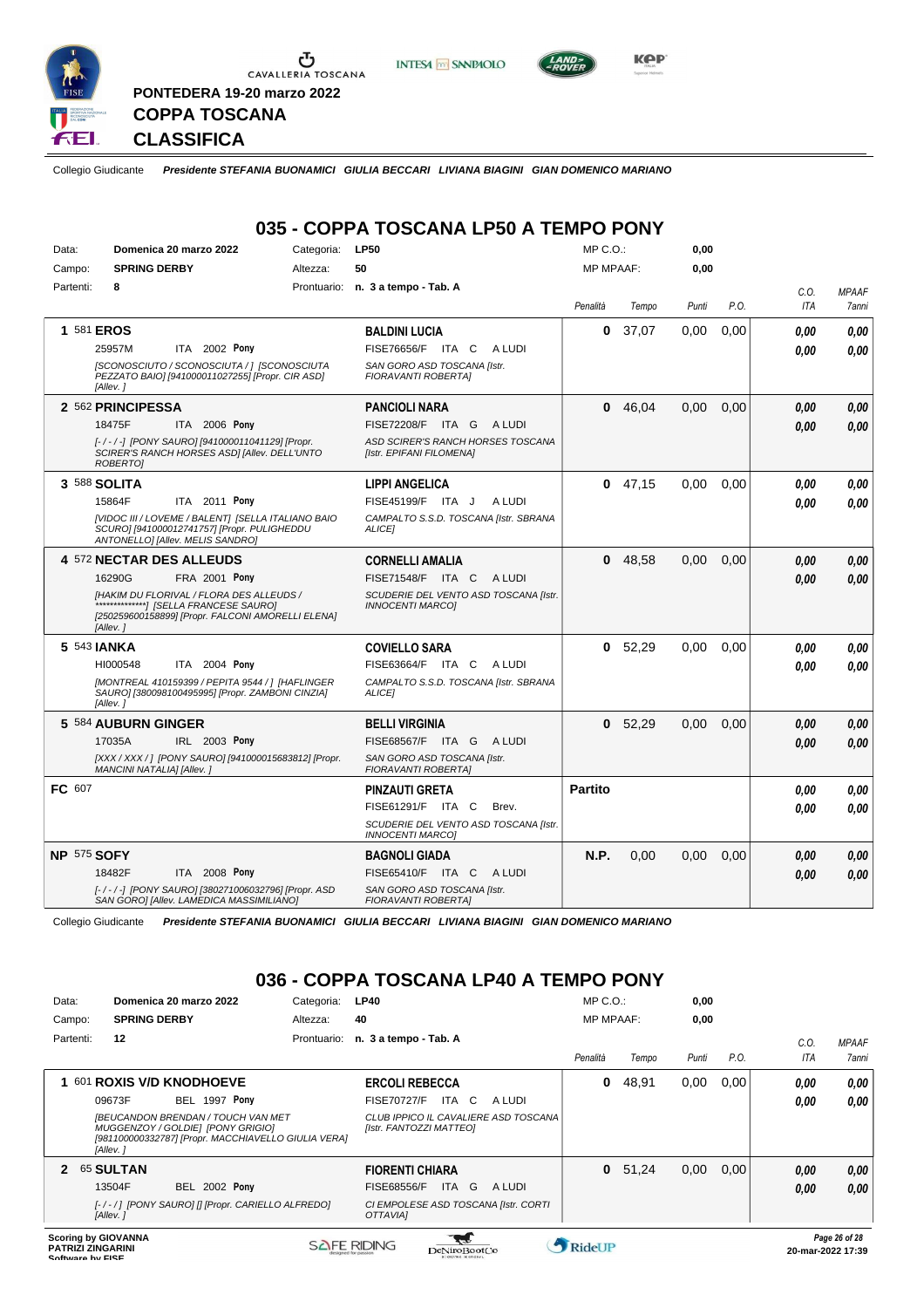

**PONTEDERA 19-20 marzo 2022**





**Kep** 

**CLASSIFICA**

**COPPA TOSCANA**

Collegio Giudicante *Presidente STEFANIA BUONAMICI GIULIA BECCARI LIVIANA BIAGINI GIAN DOMENICO MARIANO*

# **035 - COPPA TOSCANA LP50 A TEMPO PONY**

| Data:       | Domenica 20 marzo 2022                                                                                                                           | Categoria:  | <b>LP50</b>                                                      | MP C.O.:       |                  | 0,00  |      |      |              |
|-------------|--------------------------------------------------------------------------------------------------------------------------------------------------|-------------|------------------------------------------------------------------|----------------|------------------|-------|------|------|--------------|
| Campo:      | <b>SPRING DERBY</b>                                                                                                                              | Altezza:    | 50                                                               |                | <b>MP MPAAF:</b> |       | 0.00 |      |              |
| Partenti:   | 8                                                                                                                                                | Prontuario: | n. 3 a tempo - Tab. A                                            |                |                  |       |      | C.O. | <b>MPAAF</b> |
|             |                                                                                                                                                  |             |                                                                  | Penalità       | Tempo            | Punti | P.O. | ITA  | 7anni        |
|             | 1 581 EROS                                                                                                                                       |             | <b>BALDINI LUCIA</b>                                             | 0              | 37,07            | 0,00  | 0.00 | 0.00 | 0.00         |
|             | ITA 2002 Pony<br>25957M                                                                                                                          |             | FISE76656/F ITA C<br>A LUDI                                      |                |                  |       |      | 0.00 | 0.00         |
|             | [SCONOSCIUTO / SCONOSCIUTA / ] [SCONOSCIUTA<br>PEZZATO BAIO] [941000011027255] [Propr. CIR ASD]<br>[Allev.]                                      |             | SAN GORO ASD TOSCANA [Istr.<br><b>FIORAVANTI ROBERTAI</b>        |                |                  |       |      |      |              |
|             | 2 562 PRINCIPESSA                                                                                                                                |             | <b>PANCIOLI NARA</b>                                             | 0              | 46,04            | 0,00  | 0,00 | 0,00 | 0,00         |
|             | ITA 2006 Pony<br>18475F                                                                                                                          |             | FISE72208/F ITA G<br>A LUDI                                      |                |                  |       |      | 0.00 | 0,00         |
|             | [-/-/-] [PONY SAURO] [941000011041129] [Propr.<br>SCIRER'S RANCH HORSES ASDI [Allev. DELL'UNTO<br><b>ROBERTOI</b>                                |             | ASD SCIRER'S RANCH HORSES TOSCANA<br>[Istr. EPIFANI FILOMENA]    |                |                  |       |      |      |              |
|             | 3 588 SOLITA                                                                                                                                     |             | <b>LIPPI ANGELICA</b>                                            |                | $0$ 47,15        | 0,00  | 0.00 | 0,00 | 0,00         |
|             | ITA 2011 Pony<br>15864F                                                                                                                          |             | FISE45199/F ITA J<br>A LUDI                                      |                |                  |       |      | 0.00 | 0.00         |
|             | [VIDOC III / LOVEME / BALENT] [SELLA ITALIANO BAIO<br>SCURO] [941000012741757] [Propr. PULIGHEDDU<br>ANTONELLO] [Allev. MELIS SANDRO]            |             | CAMPALTO S.S.D. TOSCANA [Istr. SBRANA<br><b>ALICEI</b>           |                |                  |       |      |      |              |
|             | 4 572 NECTAR DES ALLEUDS                                                                                                                         |             | <b>CORNELLI AMALIA</b>                                           | 0              | 48,58            | 0,00  | 0,00 | 0.00 | 0.00         |
|             | FRA 2001 Pony<br>16290G                                                                                                                          |             | FISE71548/F ITA C<br>A LUDI                                      |                |                  |       |      | 0,00 | 0,00         |
|             | [HAKIM DU FLORIVAL / FLORA DES ALLEUDS /<br>[[THE SAURO] [SELLA FRANCESE SAURO]<br>[250259600158899] [Propr. FALCONI AMORELLI ELENA]<br>[Allev.] |             | SCUDERIE DEL VENTO ASD TOSCANA [Istr.<br><b>INNOCENTI MARCOI</b> |                |                  |       |      |      |              |
|             | 5 543 JANKA                                                                                                                                      |             | <b>COVIELLO SARA</b>                                             | 0              | 52,29            | 0,00  | 0.00 | 0.00 | 0.00         |
|             | HI000548<br>ITA 2004 Pony                                                                                                                        |             | FISE63664/F ITA C<br>A LUDI                                      |                |                  |       |      | 0.00 | 0.00         |
|             | [MONTREAL 410159399 / PEPITA 9544 / ] [HAFLINGER<br>SAURO] [380098100495995] [Propr. ZAMBONI CINZIA]<br>[Allev.]                                 |             | CAMPALTO S.S.D. TOSCANA [Istr. SBRANA<br>ALICE]                  |                |                  |       |      |      |              |
|             | 5 584 AUBURN GINGER                                                                                                                              |             | <b>BELLI VIRGINIA</b>                                            | 0              | 52,29            | 0,00  | 0,00 | 0,00 | 0.00         |
|             | IRL 2003 Pony<br>17035A                                                                                                                          |             | FISE68567/F ITA G<br>A LUDI                                      |                |                  |       |      | 0.00 | 0.00         |
|             | [XXX / XXX / ] [PONY SAURO] [941000015683812] [Propr.<br>MANCINI NATALIA] [Allev.]                                                               |             | SAN GORO ASD TOSCANA [Istr.<br><b>FIORAVANTI ROBERTAI</b>        |                |                  |       |      |      |              |
| FC 607      |                                                                                                                                                  |             | <b>PINZAUTI GRETA</b>                                            | <b>Partito</b> |                  |       |      | 0.00 | 0.00         |
|             |                                                                                                                                                  |             | FISE61291/F ITA C<br>Brev.                                       |                |                  |       |      | 0.00 | 0.00         |
|             |                                                                                                                                                  |             | SCUDERIE DEL VENTO ASD TOSCANA [Istr.<br><b>INNOCENTI MARCOI</b> |                |                  |       |      |      |              |
| NP 575 SOFY |                                                                                                                                                  |             | <b>BAGNOLI GIADA</b>                                             | N.P.           | 0,00             | 0,00  | 0,00 | 0,00 | 0.00         |
|             | 18482F<br>ITA 2008 Pony                                                                                                                          |             | <b>FISE65410/F ITA C</b><br>A LUDI                               |                |                  |       |      | 0.00 | 0,00         |
|             | [-/-/-] [PONY SAURO] [380271006032796] [Propr. ASD<br>SAN GORO] [Allev. LAMEDICA MASSIMILIANO]                                                   |             | SAN GORO ASD TOSCANA [Istr.<br>FIORAVANTI ROBERTA]               |                |                  |       |      |      |              |

Collegio Giudicante *Presidente STEFANIA BUONAMICI GIULIA BECCARI LIVIANA BIAGINI GIAN DOMENICO MARIANO*

### **036 - COPPA TOSCANA LP40 A TEMPO PONY**

| Data:                                                   | Domenica 20 marzo 2022                                                                                                                            | Categoria:  | <b>LP40</b>                                                     | $MP C. O.$ :      |       | 0,00  |      |      |               |
|---------------------------------------------------------|---------------------------------------------------------------------------------------------------------------------------------------------------|-------------|-----------------------------------------------------------------|-------------------|-------|-------|------|------|---------------|
| Campo:                                                  | <b>SPRING DERBY</b>                                                                                                                               | Altezza:    | 40                                                              | <b>MP MPAAF:</b>  |       | 0,00  |      |      |               |
| Partenti:                                               | 12                                                                                                                                                | Prontuario: | n. 3 a tempo - Tab. A                                           |                   |       |       |      | C.0  | <b>MPAAF</b>  |
|                                                         |                                                                                                                                                   |             |                                                                 | Penalità          | Tempo | Punti | P.O. | ITA  | 7 anni        |
|                                                         | 601 ROXIS V/D KNODHOEVE                                                                                                                           |             | <b>ERCOLI REBECCA</b>                                           | 0                 | 48,91 | 0,00  | 0.00 | 0.00 | 0,00          |
|                                                         | <b>BEL 1997 Pony</b><br>09673F                                                                                                                    |             | <b>FISE70727/F</b><br>ITA C<br>A LUDI                           |                   |       |       |      | 0,00 | 0.00          |
|                                                         | <b>IBEUCANDON BRENDAN / TOUCH VAN MET</b><br>MUGGENZOY / GOLDIE] [PONY GRIGIO]<br>[981100000332787] [Propr. MACCHIAVELLO GIULIA VERA]<br>[Allev.] |             | CLUB IPPICO IL CAVALIERE ASD TOSCANA<br>[Istr. FANTOZZI MATTEO] |                   |       |       |      |      |               |
| 2                                                       | <b>65 SULTAN</b>                                                                                                                                  |             | <b>FIORENTI CHIARA</b>                                          | $\mathbf{0}$      | 51,24 | 0,00  | 0,00 | 0,00 | 0,00          |
|                                                         | <b>BEL 2002 Pony</b><br>13504F                                                                                                                    |             | <b>FISE68556/F</b><br>ITA G<br>A LUDI                           |                   |       |       |      | 0,00 | 0,00          |
|                                                         | [-/-/] [PONY SAURO] [] [Propr. CARIELLO ALFREDO]<br>[Allev.]                                                                                      |             | CI EMPOLESE ASD TOSCANA [Istr. CORTI<br><b>OTTAVIAI</b>         |                   |       |       |      |      |               |
| <b>Scoring by GIOVANNA</b><br><b>BATBITI TINA ABINI</b> |                                                                                                                                                   |             | SAFE RIDING                                                     | <b>A</b> pidol ID |       |       |      |      | Page 26 of 28 |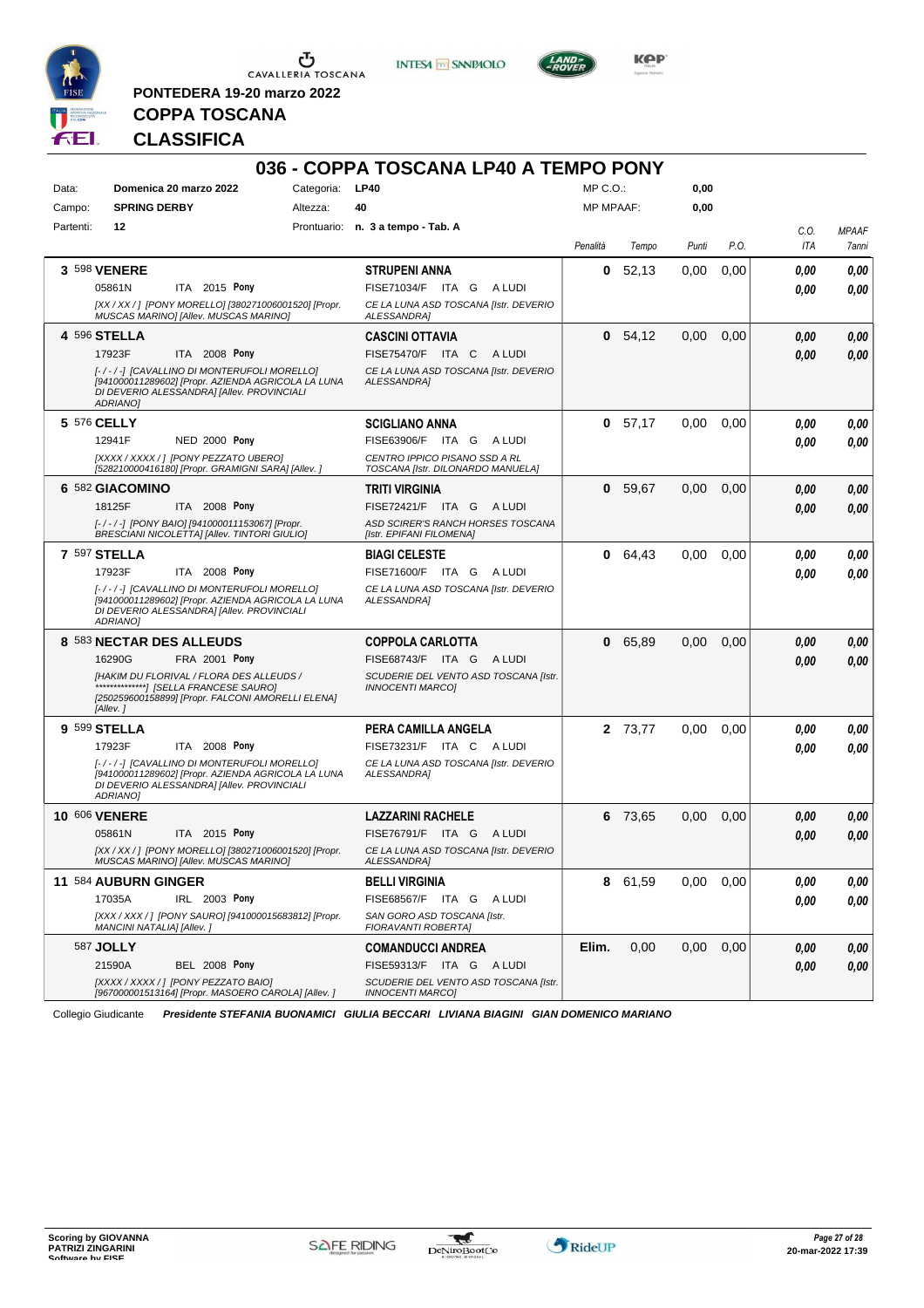

**PONTEDERA 19-20 marzo 2022**

**INTESA M** SANPAOLO



**Kep** 

# **COPPA TOSCANA CLASSIFICA**

|           |                                                                                                                                                                                                                     |          | 036 - COPPA TOSCANA LP40 A TEMPO PONY                                                                                      |                  |           |       |      |              |                       |
|-----------|---------------------------------------------------------------------------------------------------------------------------------------------------------------------------------------------------------------------|----------|----------------------------------------------------------------------------------------------------------------------------|------------------|-----------|-------|------|--------------|-----------------------|
| Data:     | Categoria: LP40<br>Domenica 20 marzo 2022                                                                                                                                                                           |          |                                                                                                                            | $MP C. O.$ :     |           | 0,00  |      |              |                       |
| Campo:    | <b>SPRING DERBY</b>                                                                                                                                                                                                 | Altezza: | 40                                                                                                                         | <b>MP MPAAF:</b> |           | 0,00  |      |              |                       |
| Partenti: | 12                                                                                                                                                                                                                  |          | Prontuario: n. 3 a tempo - Tab. A                                                                                          | Penalità         | Tempo     | Punti | P.O. | C.O.<br>ITA  | <b>MPAAF</b><br>7anni |
|           | 3 598 VENERE<br>05861N<br>ITA 2015 Pony<br>[XX / XX / ] [PONY MORELLO] [380271006001520] [Propr.<br>MUSCAS MARINO] [Allev. MUSCAS MARINO]                                                                           |          | <b>STRUPENI ANNA</b><br>FISE71034/F ITA G<br>A LUDI<br>CE LA LUNA ASD TOSCANA [Istr. DEVERIO<br><b>ALESSANDRAI</b>         | 0                | 52,13     | 0,00  | 0,00 | 0,00<br>0.00 | 0,00<br>0.00          |
|           | <b>4 596 STELLA</b><br>17923F<br>ITA 2008 Pony<br>[-/-/-] [CAVALLINO DI MONTERUFOLI MORELLO]<br>[941000011289602] [Propr. AZIENDA AGRICOLA LA LUNA<br>DI DEVERIO ALESSANDRA] [Allev. PROVINCIALI<br><b>ADRIANOI</b> |          | CASCINI OTTAVIA<br>FISE75470/F ITA C<br>A LUDI<br>CE LA LUNA ASD TOSCANA [Istr. DEVERIO<br>ALESSANDRA]                     | 0                | 54,12     | 0,00  | 0,00 | 0.00<br>0.00 | 0,00<br>0,00          |
|           | 5 576 CELLY<br><b>NED 2000 Pony</b><br>12941F<br>[XXXX / XXXX / ] [PONY PEZZATO UBERO]<br>[528210000416180] [Propr. GRAMIGNI SARA] [Allev. 1                                                                        |          | <b>SCIGLIANO ANNA</b><br>FISE63906/F ITA G<br>A LUDI<br>CENTRO IPPICO PISANO SSD A RL<br>TOSCANA [Istr. DILONARDO MANUELA] |                  | 0, 57, 17 | 0,00  | 0,00 | 0.00<br>0.00 | 0,00<br>0.00          |
|           | 6 582 GIACOMINO<br>18125F<br>ITA 2008 Pony<br>[-/-/-] [PONY BAIO] [941000011153067] [Propr.<br><b>BRESCIANI NICOLETTAI [Allev. TINTORI GIULIO]</b>                                                                  |          | <b>TRITI VIRGINIA</b><br>FISE72421/F ITA G<br>A LUDI<br>ASD SCIRER'S RANCH HORSES TOSCANA<br>[Istr. EPIFANI FILOMENA]      | 0                | 59,67     | 0,00  | 0,00 | 0.00<br>0.00 | 0,00<br>0,00          |
|           | <b>7 597 STELLA</b><br>17923F<br>ITA 2008 Pony<br>[-/-/-] [CAVALLINO DI MONTERUFOLI MORELLO]<br>[941000011289602] [Propr. AZIENDA AGRICOLA LA LUNA<br>DI DEVERIO ALESSANDRA] [Allev. PROVINCIALI<br>ADRIANO]        |          | <b>BIAGI CELESTE</b><br>FISE71600/F ITA G ALUDI<br>CE LA LUNA ASD TOSCANA [Istr. DEVERIO<br>ALESSANDRA]                    | 0                | 64,43     | 0,00  | 0.00 | 0,00<br>0.00 | 0,00<br>0.00          |
|           | 8 583 NECTAR DES ALLEUDS<br>16290G<br>FRA 2001 Pony<br>[HAKIM DU FLORIVAL / FLORA DES ALLEUDS /<br>********************/ [SELLA FRANCESE SAURO]<br>[250259600158899] [Propr. FALCONI AMORELLI ELENA]<br>[Allev.]    |          | <b>COPPOLA CARLOTTA</b><br>FISE68743/F ITA G<br>A LUDI<br>SCUDERIE DEL VENTO ASD TOSCANA [Istr.<br><b>INNOCENTI MARCO]</b> | 0                | 65,89     | 0,00  | 0,00 | 0.00<br>0.00 | 0,00<br>0,00          |
|           | 9 599 STELLA<br>17923F<br>ITA 2008 Pony<br>[-/-/-] [CAVALLINO DI MONTERUFOLI MORELLO]<br>[941000011289602] [Propr. AZIENDA AGRICOLA LA LUNA<br>DI DEVERIO ALESSANDRA] [Allev. PROVINCIALI<br><b>ADRIANO1</b>        |          | PERA CAMILLA ANGELA<br>FISE73231/F ITA C ALUDI<br>CE LA LUNA ASD TOSCANA [Istr. DEVERIO<br>ALESSANDRA1                     |                  | 2 73,77   | 0,00  | 0,00 | 0.00<br>0.00 | 0,00<br>0.00          |
|           | 10 606 VENERE<br>ITA 2015 Pony<br>05861N<br>[XX / XX / ] [PONY MORELLO] [380271006001520] [Propr.<br>MUSCAS MARINO] [Allev. MUSCAS MARINO]                                                                          |          | <b>LAZZARINI RACHELE</b><br>FISE76791/F ITA G<br>A LUDI<br>CE LA LUNA ASD TOSCANA [Istr. DEVERIO<br>ALESSANDRA]            | 6                | 73,65     | 0,00  | 0,00 | 0,00<br>0.00 | 0,00<br>0.00          |
|           | 11 584 AUBURN GINGER<br>17035A<br>IRL 2003 Pony<br>[XXX / XXX /] [PONY SAURO] [941000015683812] [Propr.<br>MANCINI NATALIA] [Allev.]                                                                                |          | <b>BELLI VIRGINIA</b><br>FISE68567/F ITA G ALUDI<br>SAN GORO ASD TOSCANA [Istr.<br>FIORAVANTI ROBERTA]                     |                  | 8 61,59   | 0,00  | 0,00 | 0,00<br>0.00 | 0,00<br>0,00          |
|           | 587 <b>JOLLY</b><br>21590A<br><b>BEL 2008 Pony</b><br>[XXXX / XXXX / ] [PONY PEZZATO BAIO]<br>[967000001513164] [Propr. MASOERO CAROLA] [Allev. ]                                                                   |          | <b>COMANDUCCI ANDREA</b><br>FISE59313/F ITA G ALUDI<br>SCUDERIE DEL VENTO ASD TOSCANA [Istr.<br><b>INNOCENTI MARCO]</b>    | Elim.            | 0,00      | 0.00  | 0,00 | 0.00<br>0,00 | 0,00<br>0,00          |

Collegio Giudicante *Presidente STEFANIA BUONAMICI GIULIA BECCARI LIVIANA BIAGINI GIAN DOMENICO MARIANO*